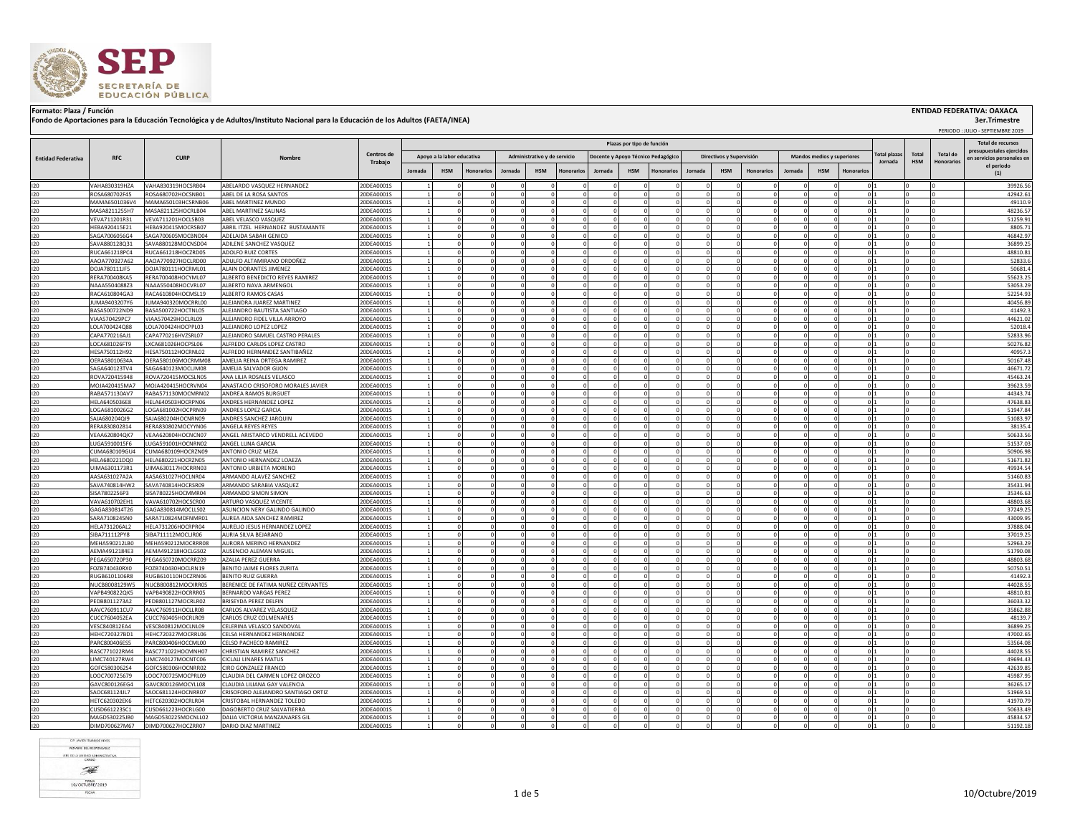

## Formato: Plaza / Función **ENTIDAD FEDERATIVA: OAXACA (INSTITUA) ENTIDAD FEDERATIVA: OAXACA**<br>Fondo de Aportaciones para la Educación Tecnológica y de Adultos/Instituto Nacional para la Educación de los Adultos (FAETA/INEA)

 **3er.Trimestre**

PERIODO : JULIO - SEPTIEMBRE 2019

|                           |                                |                                          | Nombre                                            |                          |         |                            |                         |         |                              |                   |             | Plazas por tipo de función |                                    |            |                          |                   |                            |                |                              |            |            |            | <b>Total de recursos</b>                 |
|---------------------------|--------------------------------|------------------------------------------|---------------------------------------------------|--------------------------|---------|----------------------------|-------------------------|---------|------------------------------|-------------------|-------------|----------------------------|------------------------------------|------------|--------------------------|-------------------|----------------------------|----------------|------------------------------|------------|------------|------------|------------------------------------------|
|                           |                                |                                          |                                                   | Centros de<br>Trabajo    |         | Apoyo a la labor educativa |                         |         | Administrativo y de servicio |                   |             |                            |                                    |            | Directivos y Supervisión |                   | Mandos medios y superiores |                |                              | otal plaza | Total      | Total de   | presupuestales ejercidos                 |
| <b>Entidad Federativa</b> | <b>RFC</b>                     | <b>CURP</b>                              |                                                   |                          |         |                            |                         |         |                              |                   |             |                            | Docente y Apoyo Técnico Pedagógico |            |                          |                   |                            |                |                              | Jornada    | <b>HSM</b> | Honorarios | en servicios personales en<br>el periodo |
|                           |                                |                                          |                                                   |                          | Jornada | <b>HSM</b>                 | <b>Honorarios</b>       | Jornada | <b>HSM</b>                   | <b>Ionorarios</b> | Jornada     | <b>HSM</b>                 | <b>Honorarios</b>                  | Jornada    | <b>HSM</b>               | <b>Honorarios</b> | Jornada                    | <b>HSM</b>     | Honorario                    |            |            |            | (1)                                      |
| 120                       | VAHA830319HZA                  | VAHA830319HOCSRB04                       | ABELARDO VASQUEZ HERNANDEZ                        | 20DEA0001S               |         |                            |                         |         |                              |                   |             |                            |                                    |            |                          |                   |                            |                | $\Omega$                     |            |            |            | 39926.56                                 |
| 120                       | ROSA680702F45                  | ROSA680702HOCSNB01                       | ABEL DE LA ROSA SANTOS                            | 20DEA0001S               |         |                            | $\Omega$                |         |                              |                   |             |                            | $\Omega$                           |            |                          |                   |                            |                | 0 <sup>11</sup>              |            |            |            | 42942.61                                 |
| 120                       | MAMA6501036V4                  | MAMA650103HCSRNB06                       | ABEL MARTINEZ MUNDO                               | 20DEA0001S               |         | $\sim$                     |                         |         |                              |                   |             |                            | $\Omega$                           |            |                          |                   |                            |                | $\Omega$                     |            |            |            | 49110.9                                  |
| 120                       | MASA8211255H7                  | MASA821125HOCRLB04                       | ABEL MARTINEZ SALINAS                             | 20DEA0001S               |         |                            | $\mathbf 0$             |         |                              |                   |             |                            |                                    |            |                          |                   |                            |                | 0                            |            |            |            | 48236.57                                 |
| 120                       | VEVA711201R31                  | VEVA711201HOCLSB03                       | ABEL VELASCO VASQUEZ                              | 20DEA0001S               |         | $\overline{0}$             |                         |         |                              |                   |             |                            |                                    |            |                          |                   |                            |                | $\mathbf{0}$                 |            |            |            | 51259.91                                 |
| 120                       | HEBA920415E21                  | HEBA920415MOCRSB07                       | ABRIL ITZEL HERNANDEZ BUSTAMANTE                  | 20DEA0001S               |         |                            |                         |         |                              |                   |             |                            |                                    |            |                          |                   |                            |                | $\Omega$                     |            |            |            | 8805.71                                  |
| 120                       | SAGA7006056G4                  | SAGA700605MOCBND04                       | ADELAIDA SABAH GENICO                             | 20DEA0001S               |         | $\Omega$                   |                         |         |                              |                   | $\Omega$    |                            |                                    |            |                          | $\Omega$          |                            |                | 0                            |            |            |            | 46842.97                                 |
| 120                       | SAVA880128Q31                  | SAVA880128MOCNSD04                       | ADILENE SANCHEZ VASQUEZ                           | 20DEA0001S               |         | $\overline{0}$             |                         |         |                              |                   | $\Omega$    |                            | $\Omega$                           | $\Omega$   |                          | $^{\circ}$        |                            | $^{\circ}$     | 0 1                          |            |            |            | 36899.25                                 |
| 120<br>120                | RUCA661218PC4<br>AAOA770927A62 | RUCA661218HOCZRD05<br>AAOA770927HOCLRD00 | ADOLFO RUIZ CORTES<br>ADULFO ALTAMIRANO ORDOÑEZ   | 20DEA0001S<br>20DEA0001S |         | $\overline{0}$             | $^{\circ}$              |         |                              |                   | $\Omega$    |                            | $\mathbf{0}$                       |            |                          | $\Omega$          |                            |                | 0 <sup>1</sup><br>$0\vert1$  |            |            |            | 48810.81<br>52833.6                      |
| 120                       | DOJA780111JF5                  | DOJA780111HOCRML01                       | ALAIN DORANTES JIMENEZ                            | 20DEA0001S               |         | $\overline{0}$             |                         |         |                              |                   | $\Omega$    |                            | $\mathbf{0}$                       |            | $\mathbf 0$              | $\overline{0}$    |                            | $^{\circ}$     | $0\vert1$                    |            |            |            | 50681.4                                  |
| 120                       | RERA700408KA5                  | RERA700408HOCYML07                       | ALBERTO BENEDICTO REYES RAMIREZ                   | 20DEA0001S               |         | $\Omega$                   |                         |         |                              |                   | $\Omega$    |                            | $\Omega$                           |            | $\Omega$                 |                   |                            |                | $\Omega$                     |            |            |            | 55623.25                                 |
| 120                       | NAAA5504088Z3                  | NAAA550408HOCVRL07                       | ALBERTO NAVA ARMENGOL                             | 20DEA0001S               |         | $\Omega$                   |                         |         |                              |                   | $\Omega$    |                            | $\Omega$                           |            | O.                       | $\Omega$          |                            | $\Omega$       | 0 <sup>11</sup>              |            |            |            | 53053.29                                 |
| 120                       | RACA610804GA3                  | RACA610804HOCMSL19                       | ALBERTO RAMOS CASAS                               | 20DEA0001S               |         |                            | $\circ$                 |         |                              |                   | $\Omega$    |                            | $\Omega$                           | $\Omega$   | $\Omega$                 | $\Omega$          | $\Omega$                   | $\Omega$       | $0\vert1$                    |            |            |            | 52254.93                                 |
| 120                       | UMA9403207Y6                   | JUMA940320MOCRRL00                       | ALEJANDRA JUAREZ MARTINEZ                         | 20DEA0001S               |         |                            | $\Omega$                |         |                              |                   |             |                            | $\Omega$                           |            |                          |                   |                            |                | $\Omega$                     |            |            |            | 40456.89                                 |
| 120                       | BASA500722ND9                  | BASA500722HOCTNL05                       | ALEJANDRO BAUTISTA SANTIAGO                       | 20DEA0001S               |         | $\mathbf{0}$               |                         |         |                              |                   | $\Omega$    |                            | $\Omega$                           |            |                          |                   |                            | $\overline{0}$ | 0                            |            |            |            | 41492.3                                  |
| 120                       | VIAA570429PC7                  | VIAA570429HOCLRL09                       | ALEJANDRO FIDEL VILLA ARROYO                      | 20DEA0001S               |         | $\mathbf 0$                |                         |         |                              |                   |             |                            |                                    |            |                          |                   |                            |                | 0                            |            |            |            | 44621.02                                 |
| 120                       | LOLA700424Q88                  | LOLA700424HOCPPL03                       | ALEJANDRO LOPEZ LOPEZ                             | 20DEA0001S               |         | $\mathbf{0}$               |                         |         |                              |                   |             |                            |                                    |            |                          |                   |                            |                | 0                            |            |            |            | 52018.4                                  |
| 120                       | CAPA770216AJ1                  | CAPA770216HVZSRL07                       | ALEJANDRO SAMUEL CASTRO PERALES                   | 20DEA0001S               |         | $\mathbf 0$                |                         |         |                              |                   | $\Omega$    |                            |                                    |            |                          | $\Omega$          |                            | $\Omega$       | - 0 I                        |            |            |            | 52833.96                                 |
| 120                       | LOCA681026FT9                  | LXCA681026HOCPSL06                       | ALFREDO CARLOS LOPEZ CASTRO                       | 20DEA0001S               |         | $\mathbf 0$                |                         |         |                              |                   | $\Omega$    |                            | $\Omega$                           | $\Omega$   |                          | $^{\circ}$        |                            | $^{\circ}$     | 0 1                          |            |            |            | 50276.82                                 |
| 120                       | HESA750112H92                  | HESA750112HOCRNL02                       | ALFREDO HERNANDEZ SANTIBAÑEZ                      | 20DEA0001S               |         | $\overline{0}$             |                         |         |                              |                   | $\Omega$    |                            | $\Omega$                           | $\Omega$   | $\Omega$                 | $\overline{0}$    |                            | $\Omega$       | 0 1                          |            |            |            | 40957.3                                  |
| 120                       | OERA58010634A                  | OERA580106MOCRMM08                       | AMELIA REINA ORTEGA RAMIREZ                       | 20DEA0001S               |         | $\overline{0}$             |                         |         |                              |                   | $\Omega$    |                            | $\mathbf{0}$                       |            |                          | $\overline{0}$    |                            |                | $0\vert1$                    |            |            |            | 50167.48                                 |
| 120                       | SAGA640123TV4                  | SAGA640123MOCLJM08                       | AMELIA SALVADOR GIJON                             | 20DEA0001S               |         | $\overline{0}$             |                         |         |                              |                   | $\Omega$    |                            | $\mathbf{0}$                       |            | $\mathbf 0$              |                   |                            |                | - 0 I                        |            |            |            | 46671.72                                 |
| 120                       | ROVA720415948                  | ROVA720415MOCSLN05                       | ANA LILIA ROSALES VELASCO                         | 20DEA0001S               |         |                            | $\Omega$                |         |                              |                   |             |                            | $\Omega$                           |            |                          |                   |                            |                | 0 1                          |            |            |            | 45463.24                                 |
| 120                       | MOJA420415MA7                  | MOJA420415HOCRVN04                       | ANASTACIO CRISOFORO MORALES JAVIER                | 20DEA0001S               |         | $\Omega$                   |                         |         |                              |                   |             |                            | $\Omega$                           |            | O.                       |                   |                            |                | 0 <sup>11</sup>              |            |            |            | 39623.59                                 |
| 120                       | RABA571130AV7                  | RABA571130MOCMRN02                       | ANDREA RAMOS BURGUET                              | 20DEA0001S               |         | $\Omega$<br>$\Omega$       |                         |         |                              |                   |             |                            | $\Omega$<br>$\Omega$               |            | $\Omega$<br>$\Omega$     |                   |                            |                | $\Omega$                     |            |            |            | 44343.74                                 |
| 120                       | HELA6405036E8                  | HELA640503HOCRPN06                       | ANDRES HERNANDEZ LOPEZ                            | 20DEA0001S               |         |                            |                         |         |                              |                   |             |                            |                                    |            |                          | $\Omega$          |                            |                | 0 <sub>1</sub>               |            |            |            | 47638.83                                 |
| 120<br>120                | OGA6810026G2<br>SAJA680204QI9  | LOGA681002HOCPRN09<br>SAJA680204HOCNRN09 | ANDRES LOPEZ GARCIA<br>ANDRES SANCHEZ JARQUIN     | 20DEA0001S<br>20DEA0001S |         |                            | $\mathbf 0$<br>$\Omega$ |         |                              |                   |             |                            |                                    |            |                          |                   |                            |                | $\mathbf{0}$<br>$\mathbf{0}$ |            |            |            | 51947.84<br>51083.97                     |
| 120                       | RERA830802814                  | RERA830802MOCYYN06                       | ANGELA REYES REYES                                | 20DEA0001S               |         |                            | $\Omega$                |         |                              |                   |             |                            |                                    |            |                          |                   |                            |                | 0                            |            |            |            | 38135.4                                  |
| 120                       | VEAA620804QK7                  | VEAA620804HOCNCN07                       | ANGEL ARISTARCO VENDRELL ACEVEDO                  | 20DEA0001S               |         | $\overline{0}$             |                         |         |                              |                   | $\Omega$    |                            |                                    |            |                          | $\Omega$          |                            | $^{\circ}$     | 0 1                          |            |            |            | 50633.56                                 |
| 120                       | LUGA5910015F6                  | LUGA591001HOCNRN02                       | ANGEL LUNA GARCIA                                 | 20DEA0001S               |         |                            | $\circ$                 |         |                              |                   | $\Omega$    |                            | $\Omega$                           | $\Omega$   | $\Omega$                 | $\Omega$          |                            | $^{\circ}$     | $\circ$                      |            |            |            | 51537.03                                 |
| 120                       | CUMA680109GU4                  | CUMA680109HOCRZN09                       | <b>ANTONIO CRUZ MEZA</b>                          | 20DEA0001S               |         | $\overline{0}$             |                         |         |                              |                   | $\Omega$    |                            | $^{\circ}$                         |            | $^{\circ}$               | $^{\circ}$        |                            | $^{\circ}$     | 0                            |            |            |            | 50906.98                                 |
| 120                       | HELA680221DQ0                  | HELA680221HOCRZN05                       | ANTONIO HERNANDEZ LOAEZA                          | 20DEA0001S               |         |                            | $\overline{0}$          |         |                              |                   | $\mathbf 0$ |                            | $\mathbf{0}$                       | $^{\circ}$ | $\mathbf 0$              | $\overline{0}$    |                            | $^{\circ}$     | 0 1                          |            |            |            | 51671.82                                 |
| 120                       | UIMA6301173R1                  | UIMA630117HOCRRN03                       | ANTONIO URBIETA MORENO                            | 20DEA0001S               |         |                            | $\Omega$                |         |                              |                   |             |                            | $\Omega$                           |            | 0                        |                   |                            |                | $\Omega$                     |            |            |            | 49934.54                                 |
| 120                       | AASA631027A2A                  | AASA631027HOCLNR04                       | ARMANDO ALAVEZ SANCHEZ                            | 20DEA0001S               |         | $\Omega$                   |                         |         |                              |                   |             |                            | $\Omega$                           |            | $\Omega$                 |                   |                            |                | 0 1                          |            |            |            | 51460.83                                 |
| 120                       | SAVA740814HW2                  | SAVA740814HOCRSR09                       | ARMANDO SARABIA VASQUE:                           | 20DEA0001S               |         |                            |                         |         |                              |                   |             |                            |                                    |            |                          |                   |                            |                | $\Omega$                     |            |            |            | 35431.94                                 |
| 120                       | SISA7802256P3                  | SISA780225HOCMMR04                       | ARMANDO SIMON SIMON                               | 20DEA0001S               |         | $\Omega$                   |                         |         |                              |                   |             |                            | $\Omega$                           |            | $\Omega$                 |                   |                            | $\Omega$       | 0 <sup>1</sup>               |            |            |            | 35346.63                                 |
| 120                       | VAVA610702EH1                  | VAVA610702HOCSCR00                       | ARTURO VASQUEZ VICENTE                            | 20DEA0001S               |         |                            | $\circ$                 |         |                              |                   | $\Omega$    |                            | $\circ$                            | $\Omega$   | $\Omega$                 | $\Omega$          | $\Omega$                   | $\overline{0}$ | 0 <sub>1</sub>               |            |            |            | 48803.68                                 |
| 120                       | GAGA830814T26                  | GAGA830814MOCLLS02                       | ASUNCION NERY GALINDO GALINDO                     | 20DEA0001S               |         | $\overline{0}$             |                         |         |                              |                   |             |                            | $\Omega$                           |            |                          |                   |                            |                | $\mathbf{0}$                 |            |            |            | 37249.25                                 |
| 120                       | SARA7108245N0                  | SARA710824MDFNMR01                       | AUREA AIDA SANCHEZ RAMIREZ                        | 20DEA0001S               |         | $\mathbf{0}$               |                         |         |                              |                   | $\Omega$    |                            | $\Omega$                           |            |                          | $\Omega$          |                            | $\Omega$       | 0                            |            |            |            | 43009.95                                 |
| 120                       | HELA731206AL2                  | HELA731206HOCRPR04                       | AURELIO JESUS HERNANDEZ LOPEZ                     | 20DEA0001S               |         |                            | $\mathbf 0$             |         |                              |                   |             |                            |                                    |            |                          |                   |                            | $\Omega$       | $\circ$                      |            |            |            | 37888.04                                 |
| 120                       | SIBA711112PY8                  | SIBA711112MOCLIR06                       | AURIA SILVA BEJARANO                              | 20DEA0001S               |         | $\mathbf 0$                |                         |         |                              |                   |             |                            |                                    |            |                          | $\Omega$          |                            | $^{\circ}$     | $\overline{0}$               |            |            |            | 37019.25                                 |
| 120                       | MEHA590212LB0                  | MEHA590212MOCRRR08                       | AURORA MERINO HERNANDEZ                           | 20DEA0001S               |         | $\overline{0}$             |                         |         |                              |                   | $\Omega$    |                            | $\Omega$                           |            |                          | $\Omega$          |                            | $\Omega$       | $\overline{0}$               |            |            |            | 52963.29                                 |
| 120                       | AEMA4912184E3                  | AEMA491218HOCLGS02                       | AUSENCIO ALEMAN MIGUEL                            | 20DEA0001S               |         | $\mathbf 0$                |                         |         |                              |                   | $\Omega$    |                            | $^{\circ}$                         | $^{\circ}$ |                          | $^{\circ}$        |                            | $^{\circ}$     | 0 1                          |            |            |            | 51790.08                                 |
| 120<br>120                | PEGA650720P30<br>FOZB740430RX0 | PEGA650720MOCRRZ09<br>FOZB740430HOCLRN19 | AZALIA PEREZ GUERRA<br>BENITO JAIME FLORES ZURITA | 20DEA0001S<br>20DEA0001S |         | $\overline{0}$<br>$\Omega$ |                         |         |                              |                   |             |                            | $^{\circ}$<br>$\Omega$             |            | $\Omega$                 |                   |                            |                | 0 <sup>1</sup><br>$0\vert1$  |            |            |            | 48803.68<br>50750.51                     |
| 120                       | RUGB6101106R8                  | RUGB610110HOCZRN06                       | <b>BENITO RUIZ GUERRA</b>                         | 20DEA0001S               |         | $\Omega$                   |                         |         |                              |                   |             |                            | $\Omega$                           |            | $\Omega$                 |                   |                            |                | $\Omega$                     |            |            |            | 41492.                                   |
| 120                       | NUCB8008129W5                  | NUCB800812MOCXRR05                       | BERENICE DE FATIMA NUÑEZ CERVANTES                | 20DEA0001S               |         |                            | $\Omega$                |         |                              |                   |             |                            | $\Omega$                           |            |                          |                   |                            |                | $\wedge$                     |            |            |            | 44028.55                                 |
| 120                       | VAPB490822QK5                  | VAPB490822HOCRRR05                       | BERNARDO VARGAS PEREZ                             | 20DEA0001S               |         | $\Omega$                   |                         |         |                              |                   |             |                            | $\Omega$                           |            | $\Omega$                 |                   |                            |                | $\Omega$                     |            |            |            | 48810.81                                 |
| 120                       | PEDB8011273A2                  | PEDB801127MOCRLR02                       | <b>BRISEYDA PEREZ DELFIN</b>                      | 20DEA0001S               |         | $\Omega$                   |                         |         |                              |                   |             |                            | $\Omega$                           |            | $\Omega$                 | $\Omega$          |                            | $\Omega$       | $\overline{0}$               |            |            |            | 36033.32                                 |
| 120                       | AAVC760911CU7                  | AAVC760911HOCLLR08                       | CARLOS ALVAREZ VELASQUEZ                          | 20DEA0001S               |         |                            | $\Omega$                |         |                              |                   |             |                            |                                    |            |                          |                   |                            |                | $\Omega$                     |            |            |            | 35862.88                                 |
| 120                       | CUCC7604052EA                  | CUCC760405HOCRLR09                       | CARLOS CRUZ COLMENARES                            | 20DEA0001S               |         |                            | $\Omega$                |         |                              |                   |             |                            |                                    |            |                          | $\Omega$          |                            |                | $\circ$                      |            |            |            | 48139.7                                  |
| 120                       | VESC840812EA4                  | VESC840812MOCLNL09                       | CELERINA VELASCO SANDOVAL                         | 20DEA0001S               |         |                            | $\mathbf{0}$            |         |                              |                   |             |                            |                                    |            |                          | $\Omega$          |                            | $\Omega$       | $\overline{0}$               |            |            |            | 36899.25                                 |
| 120                       | HEHC720327BD1                  | HEHC720327MOCRRL06                       | CELSA HERNANDEZ HERNANDEZ                         | 20DEA0001S               |         |                            | $\Omega$                |         |                              |                   |             |                            |                                    |            |                          | $\Omega$          |                            | $\Omega$       | 0 <sub>1</sub>               |            |            |            | 47002.65                                 |
| 120                       | PARC800406ES5                  | PARC800406HOCCML00                       | CELSO PACHECO RAMIREZ                             | 20DEA0001S               |         | $\overline{0}$             |                         |         |                              |                   | $\Omega$    |                            | $\Omega$                           |            |                          | $\overline{0}$    |                            | $\overline{0}$ | 0                            |            |            |            | 53564.08                                 |
| 120                       | RASC771022RM4                  | RASC771022HOCMNH07                       | CHRISTIAN RAMIREZ SANCHEZ                         | 20DEA0001S               |         | $\mathbf 0$                |                         |         |                              |                   | $\Omega$    |                            | $^{\circ}$                         | $^{\circ}$ | $^{\circ}$               | $^{\circ}$        |                            | $\overline{0}$ | 0 1                          |            |            |            | 44028.55                                 |
| 120                       | LIMC740127RW4                  | LIMC740127MOCNTC06                       | <b>CICLALI LINARES MATUS</b>                      | 20DEA0001S               |         |                            | $\circ$<br>$\Omega$     |         |                              |                   | $\Omega$    | $\Omega$                   | $\circ$                            | $^{\circ}$ | $\mathbf{0}$             | $^{\circ}$        | $^{\circ}$                 | $\overline{0}$ | $0\vert1$                    |            |            |            | 49694.43                                 |
| 120                       | GOFC5803062S4                  | GOFC580306HOCNRR02                       | CIRO GONZALEZ FRANCO                              | 20DEA0001S               |         | $\Omega$                   |                         |         |                              |                   |             |                            | $\Omega$                           |            | $\Omega$                 | $\Omega$          |                            | $\Omega$       | 0 <sub>1</sub>               |            |            |            | 42639.85                                 |
| 120                       | LOOC700725679                  | LOOC700725MOCPRL09                       | CLAUDIA DEL CARMEN LOPEZ OROZCO                   | 20DEA0001S               |         |                            | $\Omega$                |         |                              |                   |             |                            | $\Omega$                           |            | $\Omega$                 |                   |                            |                | 0 <sub>1</sub>               |            |            |            | 45987.95                                 |
| 120                       | GAVC800126EG4                  | GAVC800126MOCYLL08                       | CLAUDIA HIJANA GAY VALENCIA                       | 20DEA0001S               |         |                            | $\Omega$                |         |                              |                   |             |                            | $\Omega$                           |            | O.                       |                   |                            | $\Omega$       | 0 <sub>1</sub>               |            |            |            | 36265.17                                 |
| 120                       | SAOC681124JL7                  | SAOC681124HOCNRR07                       | CRISOFORO ALEJANDRO SANTIAGO ORTIZ                | 20DEA0001S               |         | $\Omega$                   |                         |         |                              |                   |             |                            | $\Omega$                           |            | $\Delta$                 |                   |                            |                | 0                            |            |            |            | 51969.51                                 |
| 120                       | HETC620302EK6                  | HETC620302HOCRLR04                       | CRISTOBAL HERNANDEZ TOLEDO                        | 20DEA0001S               |         | $\mathbf 0$                |                         |         |                              |                   |             |                            | $\Omega$                           |            | $\Omega$                 |                   |                            | $^{\circ}$     | 0                            |            |            |            | 41970.79                                 |
| 120                       | CUSD661223SC1                  | CUSD661223HOCRLG00                       | DAGOBERTO CRUZ SALVATIERRA                        | 20DEA0001S               |         | $\mathbf{0}$               |                         |         |                              |                   |             |                            | $\Omega$                           |            |                          |                   |                            | $\Omega$       | 0                            |            |            |            | 50633.49                                 |
| 120<br>120                | MAGD530225JB0                  | MAGD530225MOCNLL02                       | DALIA VICTORIA MANZANARES GIL                     | 20DEA0001S               |         |                            | $\mathbf 0$             |         |                              |                   |             |                            |                                    |            |                          |                   |                            |                | $\mathbf{0}$                 |            |            |            | 45834.57                                 |
|                           | DIMD700627M67                  | DIMD700627HOCZRR07                       | DARIO DIAZ MARTINEZ                               | 20DEA0001S               |         |                            |                         |         |                              |                   |             |                            |                                    |            |                          |                   |                            |                | 0 1                          |            |            |            | 51192.18                                 |

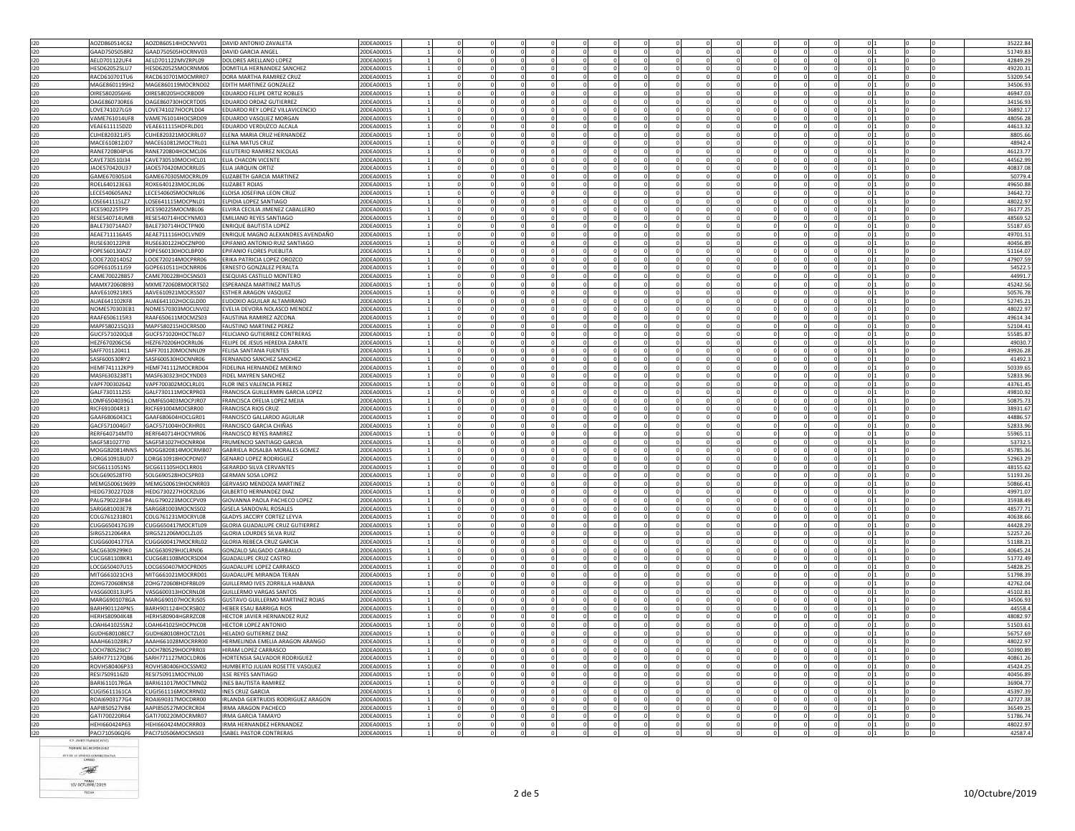| 120<br>GAAD7505058R2<br>GAAD750505HOCRNV03<br><b>DAVID GARCIA ANGEI</b><br>20DEA0001S<br>51749.83<br>$\circ$<br>42849.29<br>:0DEA0001S<br>120<br>AELD701122UF4<br>AELD701122MVZRPL09<br>DOLORES ARELLANO LOPEZ<br>$\mathbf{0}$<br>20DEA0001S<br> 0 <br>120<br>HESD620525LU7<br>HESD620525MOCRNM06<br>DOMITILA HERNANDEZ SANCHEZ<br>$\Omega$<br>$\mathbf 0$<br>$\overline{0}$<br>$\overline{0}$<br>49220.3<br>RACD610701MOCMRR07<br>53209.54<br>RACD610701TU6<br>DORA MARTHA RAMIREZ CRUZ<br>20DEA0001S<br>$\Omega$<br>0 <sub>11</sub><br>$\Omega$<br>$\Omega$<br>120<br>MAGE860119SH2<br>MAGE860119MOCRND02<br>EDITH MARTINEZ GONZALEZ<br>20DEA0001S<br>$\mathbf{0}$<br>34506.93<br>46947.03<br>OIRE5802056H6<br>OIRE580205HOCRBD09<br><b>EDUARDO FFLIPE ORTIZ ROBLES</b><br>0DEA0001S<br>$\circ$<br>120<br>OAGE860730RE6<br>OAGE860730HOCRTD05<br>EDUARDO ORDAZ GUTIERREZ<br>20DEA0001S<br>$\mathbf{0}$<br>34156.93<br>120<br>LOVE741027HOCPLD04<br>$\Omega$<br>$\Omega$<br>0 <sub>11</sub><br>36892.1<br>LOVE741027LG9<br>EDUARDO REY LOPEZ VILLAVICENCIO<br>20DEA0001S<br>$\Omega$<br>$\Omega$<br>$\Omega$<br>$\Omega$<br>$\Omega$<br>120<br>VAME761014UF8<br>VAME761014HOCSRD09<br>EDUARDO VASQUEZ MORGAN<br>20DEA0001S<br>$\mathbf 0$<br>0 <sub>11</sub><br>48056.28<br>$\mathbf{0}$<br>120<br>44613.32<br>VFAF611115D70<br>VFAF611115HDFRLD01<br><b>FDUARDO VERDUZCO ALCALA</b><br>20DEA0001S<br>$\Omega$<br>$^{\circ}$<br>$\Omega$<br>$\Omega$<br>$\Omega$<br>0 <sub>1</sub><br>$\Omega$<br>$^{\circ}$<br>$\Omega$<br>$\Omega$<br>120<br>CUHE820321JF5<br>CUHE820321MOCRRL07<br>ELENA MARIA CRUZ HERNANDEZ<br>20DEA0001S<br>$\mathbf 0$<br>8805.66<br> 0 <br>MACE610812JD7<br>MACE610812MOCTRL01<br>ELENA MATUS CRUZ<br>20DEA0001S<br>$\Omega$<br>$\Omega$<br>$\Omega$<br>$\Omega$<br>$\theta$<br>48942.4<br>$\Omega$<br>RANE720804PU6<br>RANE720804HOCMCL06<br>ELEUTERIO RAMIREZ NICOLAS<br>20DEA0001S<br>0 <sub>11</sub><br>46123.77<br>$\mathbf 0$<br>$\mathbf 0$<br>CAVE730510J34<br>CAVE730510MOCHCL01<br>ELIA CHACON VICENTE<br>20DEA0001S<br> 0 <br>44562.99<br>$^{\circ}$<br>$\Omega$<br>$\Omega$<br>40837.08<br>120<br>JAOE570420U37<br>20DEA0001S<br>JAOE570420MOCRRL05<br>ELIA JARQUIN ORTIZ<br>$^{\circ}$<br>$\overline{0}$<br>120<br>GAME670305JJ4<br>GAME670305MOCRRL09<br>ELIZABETH GARCIA MARTINEZ<br>20DEA0001S<br>$\Omega$<br>50779.4<br>ROXE640123MOCJXL06<br>$\theta$<br>49650.88<br>120<br>ROEL640123E63<br><b>ELIZABET ROJAS</b><br>20DEA0001S<br>LECE540605AN2<br>34642.72<br>120<br>LECE540605MOCNRL06<br>ELOISA JOSEFINA LEON CRUZ<br>20DEA0001S<br>$\mathbf 0$<br>0 1<br>120<br>48022.97<br>LOSE641115LZ7<br>LOSE641115MOCPNL01<br>20DEA0001S<br>ELPIDIA LOPEZ SANTIAGO<br> 0 <br>0<br>JICE590225TP9<br>JICE590225MOCMBL06<br>ELVIRA CECILIA JIMENEZ CABALLERO<br>20DEA0001S<br> 0 <br>36177.25<br>RESE540714HOCYNM03<br><b>RESES40714UM8</b><br><b>FMILIANO REYES SANTIAGO</b><br>20DEA0001S<br>$\Omega$<br>$\Omega$<br>48569.52<br>$\Omega$<br>55187.65<br>BALE730714AD7<br>BALE730714HOCTPN00<br>ENRIQUE BAUTISTA LOPEZ<br>20DEA0001S<br>$\Omega$<br> 0 <br>49701.53<br>AEAE711116A45<br>AEAE711116HOCLVN09<br>ENRIQUE MAGNO ALEXANDRES AVENDAÑO<br>20DEA0001S<br> 0 <br>0<br>120<br>RUSE630122PI8<br>RUSE630122HOCZNP00<br>EPIFANIO ANTONIO RUIZ SANTIAGO<br>20DEA0001S<br>$\mathbf{0}$<br>40456.89<br>120<br>FOPE560130A77<br>FOPE560130HOCLBP00<br><b>FPIFANIO FLORES PUFBLITA</b><br>20DEA0001S<br>$\Omega$<br>$\Omega$<br>$\Omega$<br>$\Omega$<br>$\Omega$<br>$\Omega$<br>$\Omega$<br>$\Omega$<br>0 <sup>11</sup><br>51164.0<br>120<br>LOOE720214DS2<br>LOOE720214MOCPRR06<br>ERIKA PATRICIA LOPEZ OROZCO<br>20DEA0001S<br>$\mathbf 0$<br>$\Omega$<br>0 <sub>11</sub><br>47907.59<br>GOPE610511J59<br>GOPE610511HOCNRR06<br>ERNESTO GONZALEZ PERALTA<br>20DEA0001S<br>54522.5<br>0<br> 0 <br>CAME700228B57<br>CAME700228HOCSNS03<br>20DEA0001S<br>44991.<br>ESEQUIAS CASTILLO MONTERO<br> 0 <br>MAMX720608I93<br>MXME720608MOCRTS02<br><b>ESPERANZA MARTINEZ MATUS</b><br>20DEA0001S<br>$\Omega$<br>$\Omega$<br>$\Omega$<br>$\Omega$<br>$\Omega$<br>0 <sup>11</sup><br>45242.5<br>$\Omega$<br>$\Omega$<br>$\Omega$<br>$\Omega$<br>AAVE610921RK5<br>o li<br>50576.78<br>AAVE610921MOCRSS07<br><b>ESTHER ARAGON VASQUEZ</b><br>20DEA0001S<br>120<br>AUAE641102KF8<br>AUAE641102HOCGLD00<br>EUDOXIO AGUILAR ALTAMIRANO<br>20DEA0001S<br>52745.21<br>$\Omega$<br>$\circ$<br>120<br>NOME570303EB1<br>NOME570303MOCLNV02<br>20DEA0001S<br>48022.9<br>EVELIA DEVORA NOLASCO MENDEZ<br>$\mathbf{0}$<br>49614.3<br>120<br>RAAF6506115R3<br>RAAF650611MOCMZS03<br>FAUSTINA RAMIREZ AZCONA<br>20DEA00019<br>$\circ$<br>MAPF580215HOCRRS00<br> 0 <br>52104.43<br>120<br>MAPF580215Q33<br><b>FAUSTINO MARTINEZ PEREZ</b><br>20DEA0001S<br>$\Omega$<br>GUCF571020QL8<br>GUCF571020HOCTNL07<br>FELICIANO GUTIERREZ CONTRERAS<br>55585.87<br>20DEA0001S<br>$^{\circ}$<br> 0 <br>49030.7<br>HEZF670206C56<br>HEZF670206HOCRRL06<br>FELIPE DE JESUS HEREDIA ZARATE<br>20DEA0001S<br>$\overline{0}$<br>SAFF701120411<br>SAFF701120MOCNNL09<br>FELISA SANTANA FUENTES<br>20DEA0001S<br>$\Omega$<br>$\circ$<br>49926.28<br>SASF600530HOCNNR06<br>0 <sub>11</sub><br>$\Omega$<br>41492.<br>SASF600530RY2<br>FERNANDO SANCHEZ SANCHEZ<br>20DEA0001S<br>$\Omega$<br>$\Omega$<br>$\Omega$<br>$\Omega$<br>HEMF741112KP9<br>HEMF741112MOCRRD04<br>FIDELINA HERNANDEZ MERINO<br>20DEA0001S<br>50339.65<br>120<br>$\circ$<br>120<br>MASE6303238T1<br>MASE630323HOCYND03<br>FIDEL MAYREN SANCHEZ<br>20DEA0001S<br> 0 <br>52833.96<br>$\Omega$<br>120<br>VAPF700302642<br>VAPF700302MOCLRL01<br>FLOR INES VALENCIA PEREZ<br>20DEA0001S<br>$\overline{0}$<br> 0 <br>43761.45<br>GALE730111MOCRPR03<br>FRANCISCA GUILLERMIN GARCIA LOPEZ<br>$\Omega$<br>$\Omega$<br>$\Omega$<br>0 <sup>11</sup><br>49810.92<br>GALF7301112S5<br>20DEA0001S<br>$\Omega$<br>$\Omega$<br>$\Omega$<br>$\Omega$<br>$\Omega$<br>LOMF6504039G1<br>LOMF650403MOCPJR07<br>0 <sub>1</sub><br>50875.73<br>FRANCISCA OFELIA LOPEZ MEJIA<br>20DEA0001S<br>$\mathbf 0$<br>$\mathbf 0$<br>$\mathbf 0$<br>RICE691004R13<br>RICE691004MOCSRR00<br><b>FRANCISCA RIOS CRUZ</b><br>20DEA0001S<br>$\overline{0}$<br>$^{\circ}$<br>$\Omega$<br>$\Omega$<br>$\Omega$<br>0 <sub>1</sub><br>38931.67<br>$\Omega$<br>$^{\circ}$<br>$\Omega$<br>$\Omega$<br>120<br>GAAF6806043C1<br>GAAF680604HOCLGR01<br>FRANCISCO GALLARDO AGUILAR<br>20DEA0001S<br>44886.57<br>$^{\circ}$<br>$\mathbf 0$<br> 0 <br>120<br>GACF571004GI7<br>GACF571004HOCRHR01<br><b>FRANCISCO GARCIA CHIÑAS</b><br>20DEA0001S<br>$\Omega$<br>$\Omega$<br>$\theta$<br>52833.9<br>$\Omega$<br>$\Omega$<br>120<br>RERF640714MT0<br>RERF640714HOCYMR06<br>FRANCISCO REYES RAMIREZ<br>20DEA0001S<br>o li<br>55965.1<br>$\Omega$<br>120<br>SAGF5810277I0<br>SAGF581027HOCNRR04<br>FRUMENCIO SANTIAGO GARCIA<br>20DEA0001S<br> 0 <br>53732.5<br>$^{\circ}$<br>$\Omega$<br>$\Omega$<br>120<br>45785.36<br>MOGG820814NN5<br>MOGG820814MOCRMB07<br>GABRIELA ROSALBA MORALES GOMEZ<br>0DEA0001S<br>$^{\circ}$<br>$\overline{0}$<br><b>GENARO LOPEZ RODRIGUEZ</b><br>20DEA0001S<br> 0 <br>52963.29<br>LORG610918UD7<br>LORG610918HOCPDN07<br>$\theta$<br>48155.62<br>20DEA0001S<br>SICG6111051N5<br>SICG611105HOCLRR01<br><b>GERARDO SILVA CERVANTES</b><br>SOLG690528TF0<br>SOLG690528HOCSPR03<br><b>GERMAN SOSA LOPEZ</b><br>20DEA0001S<br>$\mathbf 0$<br>0 1<br>51193.26<br>120<br><b>GERVASIO MENDOZA MARTINEZ</b><br>20DEA0001S<br>50866.43<br>MEMG500619699<br>MEMG500619HOCNRR03<br> 0 <br>$^{\circ}$<br>120<br>GILBERTO HERNANDEZ DIAZ<br>20DEA0001S<br>49971.07<br>HEDG730227D28<br>HEDG730227HOCRZL06<br>$\circ$<br>PALG790223MOCCPV09<br>20DEA0001S<br>$\Omega$<br>35938.49<br>120<br>PAI G790223FB4<br>GIOVANNA PAOLA PACHECO LOPEZ<br>$\Omega$<br>$\Omega$<br>$\Omega$<br>$\Omega$<br>$\Omega$<br>$\Omega$<br>120<br>SARG681003E78<br>SARG681003MOCNSS02<br><b>GISELA SANDOVAL ROSALES</b><br>20DEA0001S<br>$\mathbf 0$<br>$\Omega$<br>0 <sub>11</sub><br>48577.73<br>40638.66<br>COLG761231BD1<br>COLG761231MOCRYL08<br>GLADYS JACCIRY CORTEZ LEYVA<br>20DEA0001S<br>$\Omega$<br>$\Omega$<br>$\Omega$<br> 0 <br>- 0<br>CUGG650417G39<br>CUGG650417MOCRTL09<br>GLORIA GUADALUPE CRUZ GUTIERREZ<br>0DEA0001S<br>44428.29<br>$\circ$<br>SIRG5212064RA<br>SIRG521206MOCLZL05<br>GLORIA LOURDES SILVA RUIZ<br>20DEA0001S<br>$\Omega$<br>$\Omega$<br>$\Omega$<br>0 <sup>11</sup><br>52257.20<br>$\Omega$<br>$\Omega$<br>CUGG6004177EA<br>CUGG600417MOCRRL02<br>GLORIA REBECA CRUZ GARCIA<br>20DEA0001S<br>$\mathbf 0$<br>0 <sub>11</sub><br>51188.21<br>$\mathbf{0}$<br>120<br>GONZALO SALGADO CARBALLO<br>20DEA0001S<br>40645.24<br>SACG6309299K0<br>SACG630929HJCLRN06<br>$^{\circ}$<br>$^{\circ}$<br> 0 <br>51772.49<br>20DEA0001S<br>CUCG681108KR1<br>CUCG681108MOCRSD04<br><b>GUADALUPE CRUZ CASTRO</b><br>0 <sub>l</sub><br>LOCG650407U15<br>LOCG650407MOCPRD05<br>GUADALUPE LOPEZ CARRASCO<br>20DEA0001S<br>$\Omega$<br>$\Omega$<br>$\Omega$<br>$\Omega$<br>0 <sub>11</sub><br>54828.2<br>$\Omega$<br>$\sqrt{ }$<br>$\Omega$<br>51798.39<br>120<br>MITG661021CH3<br>MITG661021MOCRRD01<br><b>GUADALUPE MIRANDA TERAN</b><br>$\Omega$<br>20DEA0001S<br>$\Omega$<br>ZOHG720608NS8<br>ZOHG720608HDFRBL09<br>GUILLERMO IVES ZORRILLA HABANA<br>20DEA0001S<br>42762.04<br>120<br>$^{\circ}$<br> 0 <br>120<br>VASG600313HOCRNL08<br><b>GUILLERMO VARGAS SANTOS</b><br>20DEA0001S<br>45102.81<br>VASG600313UP5<br>$\Omega$<br>$\overline{0}$<br>34506.93<br>MARG6901078GA<br>MARG690107HOCRJS05<br>GUSTAVO GUILLERMO MARTINEZ ROJAS<br>20DEA0001S<br>$\mathbf 0$<br>BARH901124HOCRSB02<br>44558.4<br>BARH901124PN5<br>HEBER ESAU BARRIGA RIOS<br>20DEA0001S<br>$\Omega$<br>$\circ$<br>48082.97<br>HERH580904K48<br>HERH580904HGRRZC08<br>HECTOR JAVIER HERNANDEZ RUIZ<br>20DEA0001S<br>$^{\circ}$<br> 0 <br>51503.61<br>LOAH641025SN2<br>LOAH641025HOCPNC08<br><b>HECTOR LOPEZ ANTONIO</b><br>20DEA0001S<br> 0 <br>120<br>GUDH680108EC7<br>GUDH680108HOCTZL01<br><b>HELADIO GUTIERREZ DIAZ</b><br>20DEA0001S<br>$\mathbf{0}$<br>56757.69<br>0 <sup>11</sup><br>120<br>AAAH661028MOCRRR00<br>HERMELINDA EMELIA ARAGON ARANGO<br>$\Omega$<br>$\Omega$<br>48022.93<br>AAAH661028RL7<br>20DEA0001S<br>$\Omega$<br>$\Omega$<br>$\Omega$<br>LOCH780529JC7<br>LOCH780529HOCPRR03<br>HIRAM LOPEZ CARRASCO<br>20DEA0001S<br>50390.89<br>120<br>$\circ$<br>SARH771127OB6<br>SARH771127MOCLDR06<br>HORTENSIA SALVADOR RODRIGUEZ<br>20DEA0001S<br>0 <sub>1</sub><br>40861.26<br>$^{\circ}$<br>$\Omega$<br>ROVH580406P33<br>ROVH580406HOCSSM02<br>HUMBERTO JULIAN ROSETTE VASQUEZ<br>20DEA0001S<br>45424.25<br>$\mathbf 0$<br>$\mathbf 0$<br>$\circ$<br>RESI7509116Z0<br>RESI750911MOCYNL00<br><b>ILSE REYES SANTIAGO</b><br>20DEA0001S<br>$\Omega$<br>$\Omega$<br>$\wedge$<br>40456.89<br>BARI611017MOCTMN02<br>36904.77<br>BARI611017RGA<br><b>INES BAUTISTA RAMIREZ</b><br>20DEA0001S<br>$\mathbf 0$<br> 0 <br>$^{\circ}$<br>120<br>CUGI5611161CA<br>CUGI561116MOCRRN02<br><b>INES CRUZ GARCIA</b><br>20DEA0001S<br> 0 <br>45397.39<br>$^{\circ}$<br>$\Omega$<br>$^{\circ}$<br>$\Omega$<br>$\Omega$<br>$\Omega$<br>120<br>ROAI6903177G4<br>IRLANDA GERTRUDIS RODRIGUEZ ARAGON<br>20DEA0001S<br>42727.38<br>ROAI690317MOCDRR00<br> 0 <br>120<br>AAPI850527V84<br>AAPI850527MOCRCR04<br>IRMA ARAGON PACHECO<br>20DEA0001S<br> 0 <br>36549.2<br>$\Omega$<br>$\Omega$<br>$\Omega$<br>GATI700220MOCRMR07<br>IRMA GARCIA TAMAYO<br>o li<br>51786.74<br>120<br>GAT1700220R64<br>20DEA0001S<br>120<br>HEHI660424P63<br>HEHI660424MOCRRR03<br>IRMA HERNANDEZ HERNANDEZ<br>20DEA0001S<br>48022.97<br>0<br> 0 <br>PACI710506QF6<br><b>ISABEL PASTOR CONTRERAS</b><br>42587.4<br>PACI710506MOCSNS03<br>20DEA0001S<br> 0 |     | AOZD860514C62 | AOZD860514HOCNVV01 | DAVID ANTONIO ZAVALETA | 20DEA0001S |  |  |  |  |  | 35222.84 |
|-------------------------------------------------------------------------------------------------------------------------------------------------------------------------------------------------------------------------------------------------------------------------------------------------------------------------------------------------------------------------------------------------------------------------------------------------------------------------------------------------------------------------------------------------------------------------------------------------------------------------------------------------------------------------------------------------------------------------------------------------------------------------------------------------------------------------------------------------------------------------------------------------------------------------------------------------------------------------------------------------------------------------------------------------------------------------------------------------------------------------------------------------------------------------------------------------------------------------------------------------------------------------------------------------------------------------------------------------------------------------------------------------------------------------------------------------------------------------------------------------------------------------------------------------------------------------------------------------------------------------------------------------------------------------------------------------------------------------------------------------------------------------------------------------------------------------------------------------------------------------------------------------------------------------------------------------------------------------------------------------------------------------------------------------------------------------------------------------------------------------------------------------------------------------------------------------------------------------------------------------------------------------------------------------------------------------------------------------------------------------------------------------------------------------------------------------------------------------------------------------------------------------------------------------------------------------------------------------------------------------------------------------------------------------------------------------------------------------------------------------------------------------------------------------------------------------------------------------------------------------------------------------------------------------------------------------------------------------------------------------------------------------------------------------------------------------------------------------------------------------------------------------------------------------------------------------------------------------------------------------------------------------------------------------------------------------------------------------------------------------------------------------------------------------------------------------------------------------------------------------------------------------------------------------------------------------------------------------------------------------------------------------------------------------------------------------------------------------------------------------------------------------------------------------------------------------------------------------------------------------------------------------------------------------------------------------------------------------------------------------------------------------------------------------------------------------------------------------------------------------------------------------------------------------------------------------------------------------------------------------------------------------------------------------------------------------------------------------------------------------------------------------------------------------------------------------------------------------------------------------------------------------------------------------------------------------------------------------------------------------------------------------------------------------------------------------------------------------------------------------------------------------------------------------------------------------------------------------------------------------------------------------------------------------------------------------------------------------------------------------------------------------------------------------------------------------------------------------------------------------------------------------------------------------------------------------------------------------------------------------------------------------------------------------------------------------------------------------------------------------------------------------------------------------------------------------------------------------------------------------------------------------------------------------------------------------------------------------------------------------------------------------------------------------------------------------------------------------------------------------------------------------------------------------------------------------------------------------------------------------------------------------------------------------------------------------------------------------------------------------------------------------------------------------------------------------------------------------------------------------------------------------------------------------------------------------------------------------------------------------------------------------------------------------------------------------------------------------------------------------------------------------------------------------------------------------------------------------------------------------------------------------------------------------------------------------------------------------------------------------------------------------------------------------------------------------------------------------------------------------------------------------------------------------------------------------------------------------------------------------------------------------------------------------------------------------------------------------------------------------------------------------------------------------------------------------------------------------------------------------------------------------------------------------------------------------------------------------------------------------------------------------------------------------------------------------------------------------------------------------------------------------------------------------------------------------------------------------------------------------------------------------------------------------------------------------------------------------------------------------------------------------------------------------------------------------------------------------------------------------------------------------------------------------------------------------------------------------------------------------------------------------------------------------------------------------------------------------------------------------------------------------------------------------------------------------------------------------------------------------------------------------------------------------------------------------------------------------------------------------------------------------------------------------------------------------------------------------------------------------------------------------------------------------------------------------------------------------------------------------------------------------------------------------------------------------------------------------------------------------------------------------------------------------------------------------------------------------------------------------------------------------------------------------------------------------------------------------------------------------------------------------------------------------------------------------------------------------------------------------------------------------------------------------------------------------------------------------------------------------------------------------------------------------------------------------------------------------------------------------------------------------------------------------------------------------------------------------------------------------------------------------------------------------------------------------------------------------------------------------------------------------------------------------------------------------------------------------------------------------------------------------------------------------------------------------------------------------------------------------------------------------------------------------------------------------------------------------------------------------------------------------------------------------------------------------------------------------------------------------------------------------------------------------------------------------------------------------------------------------------------------------------------------------------------------------------------------------------------------------------------------------------------------------------------------------------------------------------------------------------------------------------------------------------------------------------------------------------------------------------------------------------------------------------------------------------------------------------------------------------------------------------------------------------------------------------------------------------------------------------------------------------------------------------------------------------------------------------------------------------------------------------------------------------------------------------------------------------------------------------------------------------------------------------------------------------------------------------------------------------------------------------------------------------------------------------------------------------------------------------------------------------------------------------------------------------------------------------------------------------------------------------------------------------------------------------------------------------------------------------------------------------------------------------------------------------------------------------------------------------------------------------------------------------------------------------------------------------|-----|---------------|--------------------|------------------------|------------|--|--|--|--|--|----------|
|                                                                                                                                                                                                                                                                                                                                                                                                                                                                                                                                                                                                                                                                                                                                                                                                                                                                                                                                                                                                                                                                                                                                                                                                                                                                                                                                                                                                                                                                                                                                                                                                                                                                                                                                                                                                                                                                                                                                                                                                                                                                                                                                                                                                                                                                                                                                                                                                                                                                                                                                                                                                                                                                                                                                                                                                                                                                                                                                                                                                                                                                                                                                                                                                                                                                                                                                                                                                                                                                                                                                                                                                                                                                                                                                                                                                                                                                                                                                                                                                                                                                                                                                                                                                                                                                                                                                                                                                                                                                                                                                                                                                                                                                                                                                                                                                                                                                                                                                                                                                                                                                                                                                                                                                                                                                                                                                                                                                                                                                                                                                                                                                                                                                                                                                                                                                                                                                                                                                                                                                                                                                                                                                                                                                                                                                                                                                                                                                                                                                                                                                                                                                                                                                                                                                                                                                                                                                                                                                                                                                                                                                                                                                                                                                                                                                                                                                                                                                                                                                                                                                                                                                                                                                                                                                                                                                                                                                                                                                                                                                                                                                                                                                                                                                                                                                                                                                                                                                                                                                                                                                                                                                                                                                                                                                                                                                                                                                                                                                                                                                                                                                                                                                                                                                                                                                                                                                                                                                                                                                                                                                                                                                                                                                                                                                                                                                                                                                                                                                                                                                                                                                                                                                                                                                                                                                                                                                                                                                                                                                                                                                                                                                                                                                                                                                                                                                                                                                                                                                                                                                                                                                                                                                                                                                                                                                                                                                                                                                                                                                                                                                                                                                                                                                                                                               |     |               |                    |                        |            |  |  |  |  |  |          |
|                                                                                                                                                                                                                                                                                                                                                                                                                                                                                                                                                                                                                                                                                                                                                                                                                                                                                                                                                                                                                                                                                                                                                                                                                                                                                                                                                                                                                                                                                                                                                                                                                                                                                                                                                                                                                                                                                                                                                                                                                                                                                                                                                                                                                                                                                                                                                                                                                                                                                                                                                                                                                                                                                                                                                                                                                                                                                                                                                                                                                                                                                                                                                                                                                                                                                                                                                                                                                                                                                                                                                                                                                                                                                                                                                                                                                                                                                                                                                                                                                                                                                                                                                                                                                                                                                                                                                                                                                                                                                                                                                                                                                                                                                                                                                                                                                                                                                                                                                                                                                                                                                                                                                                                                                                                                                                                                                                                                                                                                                                                                                                                                                                                                                                                                                                                                                                                                                                                                                                                                                                                                                                                                                                                                                                                                                                                                                                                                                                                                                                                                                                                                                                                                                                                                                                                                                                                                                                                                                                                                                                                                                                                                                                                                                                                                                                                                                                                                                                                                                                                                                                                                                                                                                                                                                                                                                                                                                                                                                                                                                                                                                                                                                                                                                                                                                                                                                                                                                                                                                                                                                                                                                                                                                                                                                                                                                                                                                                                                                                                                                                                                                                                                                                                                                                                                                                                                                                                                                                                                                                                                                                                                                                                                                                                                                                                                                                                                                                                                                                                                                                                                                                                                                                                                                                                                                                                                                                                                                                                                                                                                                                                                                                                                                                                                                                                                                                                                                                                                                                                                                                                                                                                                                                                                                                                                                                                                                                                                                                                                                                                                                                                                                                                                                                                               |     |               |                    |                        |            |  |  |  |  |  |          |
|                                                                                                                                                                                                                                                                                                                                                                                                                                                                                                                                                                                                                                                                                                                                                                                                                                                                                                                                                                                                                                                                                                                                                                                                                                                                                                                                                                                                                                                                                                                                                                                                                                                                                                                                                                                                                                                                                                                                                                                                                                                                                                                                                                                                                                                                                                                                                                                                                                                                                                                                                                                                                                                                                                                                                                                                                                                                                                                                                                                                                                                                                                                                                                                                                                                                                                                                                                                                                                                                                                                                                                                                                                                                                                                                                                                                                                                                                                                                                                                                                                                                                                                                                                                                                                                                                                                                                                                                                                                                                                                                                                                                                                                                                                                                                                                                                                                                                                                                                                                                                                                                                                                                                                                                                                                                                                                                                                                                                                                                                                                                                                                                                                                                                                                                                                                                                                                                                                                                                                                                                                                                                                                                                                                                                                                                                                                                                                                                                                                                                                                                                                                                                                                                                                                                                                                                                                                                                                                                                                                                                                                                                                                                                                                                                                                                                                                                                                                                                                                                                                                                                                                                                                                                                                                                                                                                                                                                                                                                                                                                                                                                                                                                                                                                                                                                                                                                                                                                                                                                                                                                                                                                                                                                                                                                                                                                                                                                                                                                                                                                                                                                                                                                                                                                                                                                                                                                                                                                                                                                                                                                                                                                                                                                                                                                                                                                                                                                                                                                                                                                                                                                                                                                                                                                                                                                                                                                                                                                                                                                                                                                                                                                                                                                                                                                                                                                                                                                                                                                                                                                                                                                                                                                                                                                                                                                                                                                                                                                                                                                                                                                                                                                                                                                                                                               |     |               |                    |                        |            |  |  |  |  |  |          |
|                                                                                                                                                                                                                                                                                                                                                                                                                                                                                                                                                                                                                                                                                                                                                                                                                                                                                                                                                                                                                                                                                                                                                                                                                                                                                                                                                                                                                                                                                                                                                                                                                                                                                                                                                                                                                                                                                                                                                                                                                                                                                                                                                                                                                                                                                                                                                                                                                                                                                                                                                                                                                                                                                                                                                                                                                                                                                                                                                                                                                                                                                                                                                                                                                                                                                                                                                                                                                                                                                                                                                                                                                                                                                                                                                                                                                                                                                                                                                                                                                                                                                                                                                                                                                                                                                                                                                                                                                                                                                                                                                                                                                                                                                                                                                                                                                                                                                                                                                                                                                                                                                                                                                                                                                                                                                                                                                                                                                                                                                                                                                                                                                                                                                                                                                                                                                                                                                                                                                                                                                                                                                                                                                                                                                                                                                                                                                                                                                                                                                                                                                                                                                                                                                                                                                                                                                                                                                                                                                                                                                                                                                                                                                                                                                                                                                                                                                                                                                                                                                                                                                                                                                                                                                                                                                                                                                                                                                                                                                                                                                                                                                                                                                                                                                                                                                                                                                                                                                                                                                                                                                                                                                                                                                                                                                                                                                                                                                                                                                                                                                                                                                                                                                                                                                                                                                                                                                                                                                                                                                                                                                                                                                                                                                                                                                                                                                                                                                                                                                                                                                                                                                                                                                                                                                                                                                                                                                                                                                                                                                                                                                                                                                                                                                                                                                                                                                                                                                                                                                                                                                                                                                                                                                                                                                                                                                                                                                                                                                                                                                                                                                                                                                                                                                                                               |     |               |                    |                        |            |  |  |  |  |  |          |
|                                                                                                                                                                                                                                                                                                                                                                                                                                                                                                                                                                                                                                                                                                                                                                                                                                                                                                                                                                                                                                                                                                                                                                                                                                                                                                                                                                                                                                                                                                                                                                                                                                                                                                                                                                                                                                                                                                                                                                                                                                                                                                                                                                                                                                                                                                                                                                                                                                                                                                                                                                                                                                                                                                                                                                                                                                                                                                                                                                                                                                                                                                                                                                                                                                                                                                                                                                                                                                                                                                                                                                                                                                                                                                                                                                                                                                                                                                                                                                                                                                                                                                                                                                                                                                                                                                                                                                                                                                                                                                                                                                                                                                                                                                                                                                                                                                                                                                                                                                                                                                                                                                                                                                                                                                                                                                                                                                                                                                                                                                                                                                                                                                                                                                                                                                                                                                                                                                                                                                                                                                                                                                                                                                                                                                                                                                                                                                                                                                                                                                                                                                                                                                                                                                                                                                                                                                                                                                                                                                                                                                                                                                                                                                                                                                                                                                                                                                                                                                                                                                                                                                                                                                                                                                                                                                                                                                                                                                                                                                                                                                                                                                                                                                                                                                                                                                                                                                                                                                                                                                                                                                                                                                                                                                                                                                                                                                                                                                                                                                                                                                                                                                                                                                                                                                                                                                                                                                                                                                                                                                                                                                                                                                                                                                                                                                                                                                                                                                                                                                                                                                                                                                                                                                                                                                                                                                                                                                                                                                                                                                                                                                                                                                                                                                                                                                                                                                                                                                                                                                                                                                                                                                                                                                                                                                                                                                                                                                                                                                                                                                                                                                                                                                                                                                                               | 120 |               |                    |                        |            |  |  |  |  |  |          |
|                                                                                                                                                                                                                                                                                                                                                                                                                                                                                                                                                                                                                                                                                                                                                                                                                                                                                                                                                                                                                                                                                                                                                                                                                                                                                                                                                                                                                                                                                                                                                                                                                                                                                                                                                                                                                                                                                                                                                                                                                                                                                                                                                                                                                                                                                                                                                                                                                                                                                                                                                                                                                                                                                                                                                                                                                                                                                                                                                                                                                                                                                                                                                                                                                                                                                                                                                                                                                                                                                                                                                                                                                                                                                                                                                                                                                                                                                                                                                                                                                                                                                                                                                                                                                                                                                                                                                                                                                                                                                                                                                                                                                                                                                                                                                                                                                                                                                                                                                                                                                                                                                                                                                                                                                                                                                                                                                                                                                                                                                                                                                                                                                                                                                                                                                                                                                                                                                                                                                                                                                                                                                                                                                                                                                                                                                                                                                                                                                                                                                                                                                                                                                                                                                                                                                                                                                                                                                                                                                                                                                                                                                                                                                                                                                                                                                                                                                                                                                                                                                                                                                                                                                                                                                                                                                                                                                                                                                                                                                                                                                                                                                                                                                                                                                                                                                                                                                                                                                                                                                                                                                                                                                                                                                                                                                                                                                                                                                                                                                                                                                                                                                                                                                                                                                                                                                                                                                                                                                                                                                                                                                                                                                                                                                                                                                                                                                                                                                                                                                                                                                                                                                                                                                                                                                                                                                                                                                                                                                                                                                                                                                                                                                                                                                                                                                                                                                                                                                                                                                                                                                                                                                                                                                                                                                                                                                                                                                                                                                                                                                                                                                                                                                                                                                                                               |     |               |                    |                        |            |  |  |  |  |  |          |
|                                                                                                                                                                                                                                                                                                                                                                                                                                                                                                                                                                                                                                                                                                                                                                                                                                                                                                                                                                                                                                                                                                                                                                                                                                                                                                                                                                                                                                                                                                                                                                                                                                                                                                                                                                                                                                                                                                                                                                                                                                                                                                                                                                                                                                                                                                                                                                                                                                                                                                                                                                                                                                                                                                                                                                                                                                                                                                                                                                                                                                                                                                                                                                                                                                                                                                                                                                                                                                                                                                                                                                                                                                                                                                                                                                                                                                                                                                                                                                                                                                                                                                                                                                                                                                                                                                                                                                                                                                                                                                                                                                                                                                                                                                                                                                                                                                                                                                                                                                                                                                                                                                                                                                                                                                                                                                                                                                                                                                                                                                                                                                                                                                                                                                                                                                                                                                                                                                                                                                                                                                                                                                                                                                                                                                                                                                                                                                                                                                                                                                                                                                                                                                                                                                                                                                                                                                                                                                                                                                                                                                                                                                                                                                                                                                                                                                                                                                                                                                                                                                                                                                                                                                                                                                                                                                                                                                                                                                                                                                                                                                                                                                                                                                                                                                                                                                                                                                                                                                                                                                                                                                                                                                                                                                                                                                                                                                                                                                                                                                                                                                                                                                                                                                                                                                                                                                                                                                                                                                                                                                                                                                                                                                                                                                                                                                                                                                                                                                                                                                                                                                                                                                                                                                                                                                                                                                                                                                                                                                                                                                                                                                                                                                                                                                                                                                                                                                                                                                                                                                                                                                                                                                                                                                                                                                                                                                                                                                                                                                                                                                                                                                                                                                                                                                                               | 120 |               |                    |                        |            |  |  |  |  |  |          |
|                                                                                                                                                                                                                                                                                                                                                                                                                                                                                                                                                                                                                                                                                                                                                                                                                                                                                                                                                                                                                                                                                                                                                                                                                                                                                                                                                                                                                                                                                                                                                                                                                                                                                                                                                                                                                                                                                                                                                                                                                                                                                                                                                                                                                                                                                                                                                                                                                                                                                                                                                                                                                                                                                                                                                                                                                                                                                                                                                                                                                                                                                                                                                                                                                                                                                                                                                                                                                                                                                                                                                                                                                                                                                                                                                                                                                                                                                                                                                                                                                                                                                                                                                                                                                                                                                                                                                                                                                                                                                                                                                                                                                                                                                                                                                                                                                                                                                                                                                                                                                                                                                                                                                                                                                                                                                                                                                                                                                                                                                                                                                                                                                                                                                                                                                                                                                                                                                                                                                                                                                                                                                                                                                                                                                                                                                                                                                                                                                                                                                                                                                                                                                                                                                                                                                                                                                                                                                                                                                                                                                                                                                                                                                                                                                                                                                                                                                                                                                                                                                                                                                                                                                                                                                                                                                                                                                                                                                                                                                                                                                                                                                                                                                                                                                                                                                                                                                                                                                                                                                                                                                                                                                                                                                                                                                                                                                                                                                                                                                                                                                                                                                                                                                                                                                                                                                                                                                                                                                                                                                                                                                                                                                                                                                                                                                                                                                                                                                                                                                                                                                                                                                                                                                                                                                                                                                                                                                                                                                                                                                                                                                                                                                                                                                                                                                                                                                                                                                                                                                                                                                                                                                                                                                                                                                                                                                                                                                                                                                                                                                                                                                                                                                                                                                                                               |     |               |                    |                        |            |  |  |  |  |  |          |
|                                                                                                                                                                                                                                                                                                                                                                                                                                                                                                                                                                                                                                                                                                                                                                                                                                                                                                                                                                                                                                                                                                                                                                                                                                                                                                                                                                                                                                                                                                                                                                                                                                                                                                                                                                                                                                                                                                                                                                                                                                                                                                                                                                                                                                                                                                                                                                                                                                                                                                                                                                                                                                                                                                                                                                                                                                                                                                                                                                                                                                                                                                                                                                                                                                                                                                                                                                                                                                                                                                                                                                                                                                                                                                                                                                                                                                                                                                                                                                                                                                                                                                                                                                                                                                                                                                                                                                                                                                                                                                                                                                                                                                                                                                                                                                                                                                                                                                                                                                                                                                                                                                                                                                                                                                                                                                                                                                                                                                                                                                                                                                                                                                                                                                                                                                                                                                                                                                                                                                                                                                                                                                                                                                                                                                                                                                                                                                                                                                                                                                                                                                                                                                                                                                                                                                                                                                                                                                                                                                                                                                                                                                                                                                                                                                                                                                                                                                                                                                                                                                                                                                                                                                                                                                                                                                                                                                                                                                                                                                                                                                                                                                                                                                                                                                                                                                                                                                                                                                                                                                                                                                                                                                                                                                                                                                                                                                                                                                                                                                                                                                                                                                                                                                                                                                                                                                                                                                                                                                                                                                                                                                                                                                                                                                                                                                                                                                                                                                                                                                                                                                                                                                                                                                                                                                                                                                                                                                                                                                                                                                                                                                                                                                                                                                                                                                                                                                                                                                                                                                                                                                                                                                                                                                                                                                                                                                                                                                                                                                                                                                                                                                                                                                                                                                                               |     |               |                    |                        |            |  |  |  |  |  |          |
|                                                                                                                                                                                                                                                                                                                                                                                                                                                                                                                                                                                                                                                                                                                                                                                                                                                                                                                                                                                                                                                                                                                                                                                                                                                                                                                                                                                                                                                                                                                                                                                                                                                                                                                                                                                                                                                                                                                                                                                                                                                                                                                                                                                                                                                                                                                                                                                                                                                                                                                                                                                                                                                                                                                                                                                                                                                                                                                                                                                                                                                                                                                                                                                                                                                                                                                                                                                                                                                                                                                                                                                                                                                                                                                                                                                                                                                                                                                                                                                                                                                                                                                                                                                                                                                                                                                                                                                                                                                                                                                                                                                                                                                                                                                                                                                                                                                                                                                                                                                                                                                                                                                                                                                                                                                                                                                                                                                                                                                                                                                                                                                                                                                                                                                                                                                                                                                                                                                                                                                                                                                                                                                                                                                                                                                                                                                                                                                                                                                                                                                                                                                                                                                                                                                                                                                                                                                                                                                                                                                                                                                                                                                                                                                                                                                                                                                                                                                                                                                                                                                                                                                                                                                                                                                                                                                                                                                                                                                                                                                                                                                                                                                                                                                                                                                                                                                                                                                                                                                                                                                                                                                                                                                                                                                                                                                                                                                                                                                                                                                                                                                                                                                                                                                                                                                                                                                                                                                                                                                                                                                                                                                                                                                                                                                                                                                                                                                                                                                                                                                                                                                                                                                                                                                                                                                                                                                                                                                                                                                                                                                                                                                                                                                                                                                                                                                                                                                                                                                                                                                                                                                                                                                                                                                                                                                                                                                                                                                                                                                                                                                                                                                                                                                                                                                               |     |               |                    |                        |            |  |  |  |  |  |          |
|                                                                                                                                                                                                                                                                                                                                                                                                                                                                                                                                                                                                                                                                                                                                                                                                                                                                                                                                                                                                                                                                                                                                                                                                                                                                                                                                                                                                                                                                                                                                                                                                                                                                                                                                                                                                                                                                                                                                                                                                                                                                                                                                                                                                                                                                                                                                                                                                                                                                                                                                                                                                                                                                                                                                                                                                                                                                                                                                                                                                                                                                                                                                                                                                                                                                                                                                                                                                                                                                                                                                                                                                                                                                                                                                                                                                                                                                                                                                                                                                                                                                                                                                                                                                                                                                                                                                                                                                                                                                                                                                                                                                                                                                                                                                                                                                                                                                                                                                                                                                                                                                                                                                                                                                                                                                                                                                                                                                                                                                                                                                                                                                                                                                                                                                                                                                                                                                                                                                                                                                                                                                                                                                                                                                                                                                                                                                                                                                                                                                                                                                                                                                                                                                                                                                                                                                                                                                                                                                                                                                                                                                                                                                                                                                                                                                                                                                                                                                                                                                                                                                                                                                                                                                                                                                                                                                                                                                                                                                                                                                                                                                                                                                                                                                                                                                                                                                                                                                                                                                                                                                                                                                                                                                                                                                                                                                                                                                                                                                                                                                                                                                                                                                                                                                                                                                                                                                                                                                                                                                                                                                                                                                                                                                                                                                                                                                                                                                                                                                                                                                                                                                                                                                                                                                                                                                                                                                                                                                                                                                                                                                                                                                                                                                                                                                                                                                                                                                                                                                                                                                                                                                                                                                                                                                                                                                                                                                                                                                                                                                                                                                                                                                                                                                                                                               |     |               |                    |                        |            |  |  |  |  |  |          |
|                                                                                                                                                                                                                                                                                                                                                                                                                                                                                                                                                                                                                                                                                                                                                                                                                                                                                                                                                                                                                                                                                                                                                                                                                                                                                                                                                                                                                                                                                                                                                                                                                                                                                                                                                                                                                                                                                                                                                                                                                                                                                                                                                                                                                                                                                                                                                                                                                                                                                                                                                                                                                                                                                                                                                                                                                                                                                                                                                                                                                                                                                                                                                                                                                                                                                                                                                                                                                                                                                                                                                                                                                                                                                                                                                                                                                                                                                                                                                                                                                                                                                                                                                                                                                                                                                                                                                                                                                                                                                                                                                                                                                                                                                                                                                                                                                                                                                                                                                                                                                                                                                                                                                                                                                                                                                                                                                                                                                                                                                                                                                                                                                                                                                                                                                                                                                                                                                                                                                                                                                                                                                                                                                                                                                                                                                                                                                                                                                                                                                                                                                                                                                                                                                                                                                                                                                                                                                                                                                                                                                                                                                                                                                                                                                                                                                                                                                                                                                                                                                                                                                                                                                                                                                                                                                                                                                                                                                                                                                                                                                                                                                                                                                                                                                                                                                                                                                                                                                                                                                                                                                                                                                                                                                                                                                                                                                                                                                                                                                                                                                                                                                                                                                                                                                                                                                                                                                                                                                                                                                                                                                                                                                                                                                                                                                                                                                                                                                                                                                                                                                                                                                                                                                                                                                                                                                                                                                                                                                                                                                                                                                                                                                                                                                                                                                                                                                                                                                                                                                                                                                                                                                                                                                                                                                                                                                                                                                                                                                                                                                                                                                                                                                                                                                                                               |     |               |                    |                        |            |  |  |  |  |  |          |
|                                                                                                                                                                                                                                                                                                                                                                                                                                                                                                                                                                                                                                                                                                                                                                                                                                                                                                                                                                                                                                                                                                                                                                                                                                                                                                                                                                                                                                                                                                                                                                                                                                                                                                                                                                                                                                                                                                                                                                                                                                                                                                                                                                                                                                                                                                                                                                                                                                                                                                                                                                                                                                                                                                                                                                                                                                                                                                                                                                                                                                                                                                                                                                                                                                                                                                                                                                                                                                                                                                                                                                                                                                                                                                                                                                                                                                                                                                                                                                                                                                                                                                                                                                                                                                                                                                                                                                                                                                                                                                                                                                                                                                                                                                                                                                                                                                                                                                                                                                                                                                                                                                                                                                                                                                                                                                                                                                                                                                                                                                                                                                                                                                                                                                                                                                                                                                                                                                                                                                                                                                                                                                                                                                                                                                                                                                                                                                                                                                                                                                                                                                                                                                                                                                                                                                                                                                                                                                                                                                                                                                                                                                                                                                                                                                                                                                                                                                                                                                                                                                                                                                                                                                                                                                                                                                                                                                                                                                                                                                                                                                                                                                                                                                                                                                                                                                                                                                                                                                                                                                                                                                                                                                                                                                                                                                                                                                                                                                                                                                                                                                                                                                                                                                                                                                                                                                                                                                                                                                                                                                                                                                                                                                                                                                                                                                                                                                                                                                                                                                                                                                                                                                                                                                                                                                                                                                                                                                                                                                                                                                                                                                                                                                                                                                                                                                                                                                                                                                                                                                                                                                                                                                                                                                                                                                                                                                                                                                                                                                                                                                                                                                                                                                                                                                                               |     |               |                    |                        |            |  |  |  |  |  |          |
|                                                                                                                                                                                                                                                                                                                                                                                                                                                                                                                                                                                                                                                                                                                                                                                                                                                                                                                                                                                                                                                                                                                                                                                                                                                                                                                                                                                                                                                                                                                                                                                                                                                                                                                                                                                                                                                                                                                                                                                                                                                                                                                                                                                                                                                                                                                                                                                                                                                                                                                                                                                                                                                                                                                                                                                                                                                                                                                                                                                                                                                                                                                                                                                                                                                                                                                                                                                                                                                                                                                                                                                                                                                                                                                                                                                                                                                                                                                                                                                                                                                                                                                                                                                                                                                                                                                                                                                                                                                                                                                                                                                                                                                                                                                                                                                                                                                                                                                                                                                                                                                                                                                                                                                                                                                                                                                                                                                                                                                                                                                                                                                                                                                                                                                                                                                                                                                                                                                                                                                                                                                                                                                                                                                                                                                                                                                                                                                                                                                                                                                                                                                                                                                                                                                                                                                                                                                                                                                                                                                                                                                                                                                                                                                                                                                                                                                                                                                                                                                                                                                                                                                                                                                                                                                                                                                                                                                                                                                                                                                                                                                                                                                                                                                                                                                                                                                                                                                                                                                                                                                                                                                                                                                                                                                                                                                                                                                                                                                                                                                                                                                                                                                                                                                                                                                                                                                                                                                                                                                                                                                                                                                                                                                                                                                                                                                                                                                                                                                                                                                                                                                                                                                                                                                                                                                                                                                                                                                                                                                                                                                                                                                                                                                                                                                                                                                                                                                                                                                                                                                                                                                                                                                                                                                                                                                                                                                                                                                                                                                                                                                                                                                                                                                                                                                               | 120 |               |                    |                        |            |  |  |  |  |  |          |
|                                                                                                                                                                                                                                                                                                                                                                                                                                                                                                                                                                                                                                                                                                                                                                                                                                                                                                                                                                                                                                                                                                                                                                                                                                                                                                                                                                                                                                                                                                                                                                                                                                                                                                                                                                                                                                                                                                                                                                                                                                                                                                                                                                                                                                                                                                                                                                                                                                                                                                                                                                                                                                                                                                                                                                                                                                                                                                                                                                                                                                                                                                                                                                                                                                                                                                                                                                                                                                                                                                                                                                                                                                                                                                                                                                                                                                                                                                                                                                                                                                                                                                                                                                                                                                                                                                                                                                                                                                                                                                                                                                                                                                                                                                                                                                                                                                                                                                                                                                                                                                                                                                                                                                                                                                                                                                                                                                                                                                                                                                                                                                                                                                                                                                                                                                                                                                                                                                                                                                                                                                                                                                                                                                                                                                                                                                                                                                                                                                                                                                                                                                                                                                                                                                                                                                                                                                                                                                                                                                                                                                                                                                                                                                                                                                                                                                                                                                                                                                                                                                                                                                                                                                                                                                                                                                                                                                                                                                                                                                                                                                                                                                                                                                                                                                                                                                                                                                                                                                                                                                                                                                                                                                                                                                                                                                                                                                                                                                                                                                                                                                                                                                                                                                                                                                                                                                                                                                                                                                                                                                                                                                                                                                                                                                                                                                                                                                                                                                                                                                                                                                                                                                                                                                                                                                                                                                                                                                                                                                                                                                                                                                                                                                                                                                                                                                                                                                                                                                                                                                                                                                                                                                                                                                                                                                                                                                                                                                                                                                                                                                                                                                                                                                                                                                                               | 120 |               |                    |                        |            |  |  |  |  |  |          |
|                                                                                                                                                                                                                                                                                                                                                                                                                                                                                                                                                                                                                                                                                                                                                                                                                                                                                                                                                                                                                                                                                                                                                                                                                                                                                                                                                                                                                                                                                                                                                                                                                                                                                                                                                                                                                                                                                                                                                                                                                                                                                                                                                                                                                                                                                                                                                                                                                                                                                                                                                                                                                                                                                                                                                                                                                                                                                                                                                                                                                                                                                                                                                                                                                                                                                                                                                                                                                                                                                                                                                                                                                                                                                                                                                                                                                                                                                                                                                                                                                                                                                                                                                                                                                                                                                                                                                                                                                                                                                                                                                                                                                                                                                                                                                                                                                                                                                                                                                                                                                                                                                                                                                                                                                                                                                                                                                                                                                                                                                                                                                                                                                                                                                                                                                                                                                                                                                                                                                                                                                                                                                                                                                                                                                                                                                                                                                                                                                                                                                                                                                                                                                                                                                                                                                                                                                                                                                                                                                                                                                                                                                                                                                                                                                                                                                                                                                                                                                                                                                                                                                                                                                                                                                                                                                                                                                                                                                                                                                                                                                                                                                                                                                                                                                                                                                                                                                                                                                                                                                                                                                                                                                                                                                                                                                                                                                                                                                                                                                                                                                                                                                                                                                                                                                                                                                                                                                                                                                                                                                                                                                                                                                                                                                                                                                                                                                                                                                                                                                                                                                                                                                                                                                                                                                                                                                                                                                                                                                                                                                                                                                                                                                                                                                                                                                                                                                                                                                                                                                                                                                                                                                                                                                                                                                                                                                                                                                                                                                                                                                                                                                                                                                                                                                                                               | 120 |               |                    |                        |            |  |  |  |  |  |          |
|                                                                                                                                                                                                                                                                                                                                                                                                                                                                                                                                                                                                                                                                                                                                                                                                                                                                                                                                                                                                                                                                                                                                                                                                                                                                                                                                                                                                                                                                                                                                                                                                                                                                                                                                                                                                                                                                                                                                                                                                                                                                                                                                                                                                                                                                                                                                                                                                                                                                                                                                                                                                                                                                                                                                                                                                                                                                                                                                                                                                                                                                                                                                                                                                                                                                                                                                                                                                                                                                                                                                                                                                                                                                                                                                                                                                                                                                                                                                                                                                                                                                                                                                                                                                                                                                                                                                                                                                                                                                                                                                                                                                                                                                                                                                                                                                                                                                                                                                                                                                                                                                                                                                                                                                                                                                                                                                                                                                                                                                                                                                                                                                                                                                                                                                                                                                                                                                                                                                                                                                                                                                                                                                                                                                                                                                                                                                                                                                                                                                                                                                                                                                                                                                                                                                                                                                                                                                                                                                                                                                                                                                                                                                                                                                                                                                                                                                                                                                                                                                                                                                                                                                                                                                                                                                                                                                                                                                                                                                                                                                                                                                                                                                                                                                                                                                                                                                                                                                                                                                                                                                                                                                                                                                                                                                                                                                                                                                                                                                                                                                                                                                                                                                                                                                                                                                                                                                                                                                                                                                                                                                                                                                                                                                                                                                                                                                                                                                                                                                                                                                                                                                                                                                                                                                                                                                                                                                                                                                                                                                                                                                                                                                                                                                                                                                                                                                                                                                                                                                                                                                                                                                                                                                                                                                                                                                                                                                                                                                                                                                                                                                                                                                                                                                                                                               |     |               |                    |                        |            |  |  |  |  |  |          |
|                                                                                                                                                                                                                                                                                                                                                                                                                                                                                                                                                                                                                                                                                                                                                                                                                                                                                                                                                                                                                                                                                                                                                                                                                                                                                                                                                                                                                                                                                                                                                                                                                                                                                                                                                                                                                                                                                                                                                                                                                                                                                                                                                                                                                                                                                                                                                                                                                                                                                                                                                                                                                                                                                                                                                                                                                                                                                                                                                                                                                                                                                                                                                                                                                                                                                                                                                                                                                                                                                                                                                                                                                                                                                                                                                                                                                                                                                                                                                                                                                                                                                                                                                                                                                                                                                                                                                                                                                                                                                                                                                                                                                                                                                                                                                                                                                                                                                                                                                                                                                                                                                                                                                                                                                                                                                                                                                                                                                                                                                                                                                                                                                                                                                                                                                                                                                                                                                                                                                                                                                                                                                                                                                                                                                                                                                                                                                                                                                                                                                                                                                                                                                                                                                                                                                                                                                                                                                                                                                                                                                                                                                                                                                                                                                                                                                                                                                                                                                                                                                                                                                                                                                                                                                                                                                                                                                                                                                                                                                                                                                                                                                                                                                                                                                                                                                                                                                                                                                                                                                                                                                                                                                                                                                                                                                                                                                                                                                                                                                                                                                                                                                                                                                                                                                                                                                                                                                                                                                                                                                                                                                                                                                                                                                                                                                                                                                                                                                                                                                                                                                                                                                                                                                                                                                                                                                                                                                                                                                                                                                                                                                                                                                                                                                                                                                                                                                                                                                                                                                                                                                                                                                                                                                                                                                                                                                                                                                                                                                                                                                                                                                                                                                                                                                                                               |     |               |                    |                        |            |  |  |  |  |  |          |
|                                                                                                                                                                                                                                                                                                                                                                                                                                                                                                                                                                                                                                                                                                                                                                                                                                                                                                                                                                                                                                                                                                                                                                                                                                                                                                                                                                                                                                                                                                                                                                                                                                                                                                                                                                                                                                                                                                                                                                                                                                                                                                                                                                                                                                                                                                                                                                                                                                                                                                                                                                                                                                                                                                                                                                                                                                                                                                                                                                                                                                                                                                                                                                                                                                                                                                                                                                                                                                                                                                                                                                                                                                                                                                                                                                                                                                                                                                                                                                                                                                                                                                                                                                                                                                                                                                                                                                                                                                                                                                                                                                                                                                                                                                                                                                                                                                                                                                                                                                                                                                                                                                                                                                                                                                                                                                                                                                                                                                                                                                                                                                                                                                                                                                                                                                                                                                                                                                                                                                                                                                                                                                                                                                                                                                                                                                                                                                                                                                                                                                                                                                                                                                                                                                                                                                                                                                                                                                                                                                                                                                                                                                                                                                                                                                                                                                                                                                                                                                                                                                                                                                                                                                                                                                                                                                                                                                                                                                                                                                                                                                                                                                                                                                                                                                                                                                                                                                                                                                                                                                                                                                                                                                                                                                                                                                                                                                                                                                                                                                                                                                                                                                                                                                                                                                                                                                                                                                                                                                                                                                                                                                                                                                                                                                                                                                                                                                                                                                                                                                                                                                                                                                                                                                                                                                                                                                                                                                                                                                                                                                                                                                                                                                                                                                                                                                                                                                                                                                                                                                                                                                                                                                                                                                                                                                                                                                                                                                                                                                                                                                                                                                                                                                                                                                                               |     |               |                    |                        |            |  |  |  |  |  |          |
|                                                                                                                                                                                                                                                                                                                                                                                                                                                                                                                                                                                                                                                                                                                                                                                                                                                                                                                                                                                                                                                                                                                                                                                                                                                                                                                                                                                                                                                                                                                                                                                                                                                                                                                                                                                                                                                                                                                                                                                                                                                                                                                                                                                                                                                                                                                                                                                                                                                                                                                                                                                                                                                                                                                                                                                                                                                                                                                                                                                                                                                                                                                                                                                                                                                                                                                                                                                                                                                                                                                                                                                                                                                                                                                                                                                                                                                                                                                                                                                                                                                                                                                                                                                                                                                                                                                                                                                                                                                                                                                                                                                                                                                                                                                                                                                                                                                                                                                                                                                                                                                                                                                                                                                                                                                                                                                                                                                                                                                                                                                                                                                                                                                                                                                                                                                                                                                                                                                                                                                                                                                                                                                                                                                                                                                                                                                                                                                                                                                                                                                                                                                                                                                                                                                                                                                                                                                                                                                                                                                                                                                                                                                                                                                                                                                                                                                                                                                                                                                                                                                                                                                                                                                                                                                                                                                                                                                                                                                                                                                                                                                                                                                                                                                                                                                                                                                                                                                                                                                                                                                                                                                                                                                                                                                                                                                                                                                                                                                                                                                                                                                                                                                                                                                                                                                                                                                                                                                                                                                                                                                                                                                                                                                                                                                                                                                                                                                                                                                                                                                                                                                                                                                                                                                                                                                                                                                                                                                                                                                                                                                                                                                                                                                                                                                                                                                                                                                                                                                                                                                                                                                                                                                                                                                                                                                                                                                                                                                                                                                                                                                                                                                                                                                                                                                               |     |               |                    |                        |            |  |  |  |  |  |          |
|                                                                                                                                                                                                                                                                                                                                                                                                                                                                                                                                                                                                                                                                                                                                                                                                                                                                                                                                                                                                                                                                                                                                                                                                                                                                                                                                                                                                                                                                                                                                                                                                                                                                                                                                                                                                                                                                                                                                                                                                                                                                                                                                                                                                                                                                                                                                                                                                                                                                                                                                                                                                                                                                                                                                                                                                                                                                                                                                                                                                                                                                                                                                                                                                                                                                                                                                                                                                                                                                                                                                                                                                                                                                                                                                                                                                                                                                                                                                                                                                                                                                                                                                                                                                                                                                                                                                                                                                                                                                                                                                                                                                                                                                                                                                                                                                                                                                                                                                                                                                                                                                                                                                                                                                                                                                                                                                                                                                                                                                                                                                                                                                                                                                                                                                                                                                                                                                                                                                                                                                                                                                                                                                                                                                                                                                                                                                                                                                                                                                                                                                                                                                                                                                                                                                                                                                                                                                                                                                                                                                                                                                                                                                                                                                                                                                                                                                                                                                                                                                                                                                                                                                                                                                                                                                                                                                                                                                                                                                                                                                                                                                                                                                                                                                                                                                                                                                                                                                                                                                                                                                                                                                                                                                                                                                                                                                                                                                                                                                                                                                                                                                                                                                                                                                                                                                                                                                                                                                                                                                                                                                                                                                                                                                                                                                                                                                                                                                                                                                                                                                                                                                                                                                                                                                                                                                                                                                                                                                                                                                                                                                                                                                                                                                                                                                                                                                                                                                                                                                                                                                                                                                                                                                                                                                                                                                                                                                                                                                                                                                                                                                                                                                                                                                                                                               |     |               |                    |                        |            |  |  |  |  |  |          |
|                                                                                                                                                                                                                                                                                                                                                                                                                                                                                                                                                                                                                                                                                                                                                                                                                                                                                                                                                                                                                                                                                                                                                                                                                                                                                                                                                                                                                                                                                                                                                                                                                                                                                                                                                                                                                                                                                                                                                                                                                                                                                                                                                                                                                                                                                                                                                                                                                                                                                                                                                                                                                                                                                                                                                                                                                                                                                                                                                                                                                                                                                                                                                                                                                                                                                                                                                                                                                                                                                                                                                                                                                                                                                                                                                                                                                                                                                                                                                                                                                                                                                                                                                                                                                                                                                                                                                                                                                                                                                                                                                                                                                                                                                                                                                                                                                                                                                                                                                                                                                                                                                                                                                                                                                                                                                                                                                                                                                                                                                                                                                                                                                                                                                                                                                                                                                                                                                                                                                                                                                                                                                                                                                                                                                                                                                                                                                                                                                                                                                                                                                                                                                                                                                                                                                                                                                                                                                                                                                                                                                                                                                                                                                                                                                                                                                                                                                                                                                                                                                                                                                                                                                                                                                                                                                                                                                                                                                                                                                                                                                                                                                                                                                                                                                                                                                                                                                                                                                                                                                                                                                                                                                                                                                                                                                                                                                                                                                                                                                                                                                                                                                                                                                                                                                                                                                                                                                                                                                                                                                                                                                                                                                                                                                                                                                                                                                                                                                                                                                                                                                                                                                                                                                                                                                                                                                                                                                                                                                                                                                                                                                                                                                                                                                                                                                                                                                                                                                                                                                                                                                                                                                                                                                                                                                                                                                                                                                                                                                                                                                                                                                                                                                                                                                                                               |     |               |                    |                        |            |  |  |  |  |  |          |
|                                                                                                                                                                                                                                                                                                                                                                                                                                                                                                                                                                                                                                                                                                                                                                                                                                                                                                                                                                                                                                                                                                                                                                                                                                                                                                                                                                                                                                                                                                                                                                                                                                                                                                                                                                                                                                                                                                                                                                                                                                                                                                                                                                                                                                                                                                                                                                                                                                                                                                                                                                                                                                                                                                                                                                                                                                                                                                                                                                                                                                                                                                                                                                                                                                                                                                                                                                                                                                                                                                                                                                                                                                                                                                                                                                                                                                                                                                                                                                                                                                                                                                                                                                                                                                                                                                                                                                                                                                                                                                                                                                                                                                                                                                                                                                                                                                                                                                                                                                                                                                                                                                                                                                                                                                                                                                                                                                                                                                                                                                                                                                                                                                                                                                                                                                                                                                                                                                                                                                                                                                                                                                                                                                                                                                                                                                                                                                                                                                                                                                                                                                                                                                                                                                                                                                                                                                                                                                                                                                                                                                                                                                                                                                                                                                                                                                                                                                                                                                                                                                                                                                                                                                                                                                                                                                                                                                                                                                                                                                                                                                                                                                                                                                                                                                                                                                                                                                                                                                                                                                                                                                                                                                                                                                                                                                                                                                                                                                                                                                                                                                                                                                                                                                                                                                                                                                                                                                                                                                                                                                                                                                                                                                                                                                                                                                                                                                                                                                                                                                                                                                                                                                                                                                                                                                                                                                                                                                                                                                                                                                                                                                                                                                                                                                                                                                                                                                                                                                                                                                                                                                                                                                                                                                                                                                                                                                                                                                                                                                                                                                                                                                                                                                                                                                                               | 120 |               |                    |                        |            |  |  |  |  |  |          |
|                                                                                                                                                                                                                                                                                                                                                                                                                                                                                                                                                                                                                                                                                                                                                                                                                                                                                                                                                                                                                                                                                                                                                                                                                                                                                                                                                                                                                                                                                                                                                                                                                                                                                                                                                                                                                                                                                                                                                                                                                                                                                                                                                                                                                                                                                                                                                                                                                                                                                                                                                                                                                                                                                                                                                                                                                                                                                                                                                                                                                                                                                                                                                                                                                                                                                                                                                                                                                                                                                                                                                                                                                                                                                                                                                                                                                                                                                                                                                                                                                                                                                                                                                                                                                                                                                                                                                                                                                                                                                                                                                                                                                                                                                                                                                                                                                                                                                                                                                                                                                                                                                                                                                                                                                                                                                                                                                                                                                                                                                                                                                                                                                                                                                                                                                                                                                                                                                                                                                                                                                                                                                                                                                                                                                                                                                                                                                                                                                                                                                                                                                                                                                                                                                                                                                                                                                                                                                                                                                                                                                                                                                                                                                                                                                                                                                                                                                                                                                                                                                                                                                                                                                                                                                                                                                                                                                                                                                                                                                                                                                                                                                                                                                                                                                                                                                                                                                                                                                                                                                                                                                                                                                                                                                                                                                                                                                                                                                                                                                                                                                                                                                                                                                                                                                                                                                                                                                                                                                                                                                                                                                                                                                                                                                                                                                                                                                                                                                                                                                                                                                                                                                                                                                                                                                                                                                                                                                                                                                                                                                                                                                                                                                                                                                                                                                                                                                                                                                                                                                                                                                                                                                                                                                                                                                                                                                                                                                                                                                                                                                                                                                                                                                                                                                                                               | 120 |               |                    |                        |            |  |  |  |  |  |          |
|                                                                                                                                                                                                                                                                                                                                                                                                                                                                                                                                                                                                                                                                                                                                                                                                                                                                                                                                                                                                                                                                                                                                                                                                                                                                                                                                                                                                                                                                                                                                                                                                                                                                                                                                                                                                                                                                                                                                                                                                                                                                                                                                                                                                                                                                                                                                                                                                                                                                                                                                                                                                                                                                                                                                                                                                                                                                                                                                                                                                                                                                                                                                                                                                                                                                                                                                                                                                                                                                                                                                                                                                                                                                                                                                                                                                                                                                                                                                                                                                                                                                                                                                                                                                                                                                                                                                                                                                                                                                                                                                                                                                                                                                                                                                                                                                                                                                                                                                                                                                                                                                                                                                                                                                                                                                                                                                                                                                                                                                                                                                                                                                                                                                                                                                                                                                                                                                                                                                                                                                                                                                                                                                                                                                                                                                                                                                                                                                                                                                                                                                                                                                                                                                                                                                                                                                                                                                                                                                                                                                                                                                                                                                                                                                                                                                                                                                                                                                                                                                                                                                                                                                                                                                                                                                                                                                                                                                                                                                                                                                                                                                                                                                                                                                                                                                                                                                                                                                                                                                                                                                                                                                                                                                                                                                                                                                                                                                                                                                                                                                                                                                                                                                                                                                                                                                                                                                                                                                                                                                                                                                                                                                                                                                                                                                                                                                                                                                                                                                                                                                                                                                                                                                                                                                                                                                                                                                                                                                                                                                                                                                                                                                                                                                                                                                                                                                                                                                                                                                                                                                                                                                                                                                                                                                                                                                                                                                                                                                                                                                                                                                                                                                                                                                                                                               | 120 |               |                    |                        |            |  |  |  |  |  |          |
|                                                                                                                                                                                                                                                                                                                                                                                                                                                                                                                                                                                                                                                                                                                                                                                                                                                                                                                                                                                                                                                                                                                                                                                                                                                                                                                                                                                                                                                                                                                                                                                                                                                                                                                                                                                                                                                                                                                                                                                                                                                                                                                                                                                                                                                                                                                                                                                                                                                                                                                                                                                                                                                                                                                                                                                                                                                                                                                                                                                                                                                                                                                                                                                                                                                                                                                                                                                                                                                                                                                                                                                                                                                                                                                                                                                                                                                                                                                                                                                                                                                                                                                                                                                                                                                                                                                                                                                                                                                                                                                                                                                                                                                                                                                                                                                                                                                                                                                                                                                                                                                                                                                                                                                                                                                                                                                                                                                                                                                                                                                                                                                                                                                                                                                                                                                                                                                                                                                                                                                                                                                                                                                                                                                                                                                                                                                                                                                                                                                                                                                                                                                                                                                                                                                                                                                                                                                                                                                                                                                                                                                                                                                                                                                                                                                                                                                                                                                                                                                                                                                                                                                                                                                                                                                                                                                                                                                                                                                                                                                                                                                                                                                                                                                                                                                                                                                                                                                                                                                                                                                                                                                                                                                                                                                                                                                                                                                                                                                                                                                                                                                                                                                                                                                                                                                                                                                                                                                                                                                                                                                                                                                                                                                                                                                                                                                                                                                                                                                                                                                                                                                                                                                                                                                                                                                                                                                                                                                                                                                                                                                                                                                                                                                                                                                                                                                                                                                                                                                                                                                                                                                                                                                                                                                                                                                                                                                                                                                                                                                                                                                                                                                                                                                                                                                               | 120 |               |                    |                        |            |  |  |  |  |  |          |
|                                                                                                                                                                                                                                                                                                                                                                                                                                                                                                                                                                                                                                                                                                                                                                                                                                                                                                                                                                                                                                                                                                                                                                                                                                                                                                                                                                                                                                                                                                                                                                                                                                                                                                                                                                                                                                                                                                                                                                                                                                                                                                                                                                                                                                                                                                                                                                                                                                                                                                                                                                                                                                                                                                                                                                                                                                                                                                                                                                                                                                                                                                                                                                                                                                                                                                                                                                                                                                                                                                                                                                                                                                                                                                                                                                                                                                                                                                                                                                                                                                                                                                                                                                                                                                                                                                                                                                                                                                                                                                                                                                                                                                                                                                                                                                                                                                                                                                                                                                                                                                                                                                                                                                                                                                                                                                                                                                                                                                                                                                                                                                                                                                                                                                                                                                                                                                                                                                                                                                                                                                                                                                                                                                                                                                                                                                                                                                                                                                                                                                                                                                                                                                                                                                                                                                                                                                                                                                                                                                                                                                                                                                                                                                                                                                                                                                                                                                                                                                                                                                                                                                                                                                                                                                                                                                                                                                                                                                                                                                                                                                                                                                                                                                                                                                                                                                                                                                                                                                                                                                                                                                                                                                                                                                                                                                                                                                                                                                                                                                                                                                                                                                                                                                                                                                                                                                                                                                                                                                                                                                                                                                                                                                                                                                                                                                                                                                                                                                                                                                                                                                                                                                                                                                                                                                                                                                                                                                                                                                                                                                                                                                                                                                                                                                                                                                                                                                                                                                                                                                                                                                                                                                                                                                                                                                                                                                                                                                                                                                                                                                                                                                                                                                                                                                                               |     |               |                    |                        |            |  |  |  |  |  |          |
|                                                                                                                                                                                                                                                                                                                                                                                                                                                                                                                                                                                                                                                                                                                                                                                                                                                                                                                                                                                                                                                                                                                                                                                                                                                                                                                                                                                                                                                                                                                                                                                                                                                                                                                                                                                                                                                                                                                                                                                                                                                                                                                                                                                                                                                                                                                                                                                                                                                                                                                                                                                                                                                                                                                                                                                                                                                                                                                                                                                                                                                                                                                                                                                                                                                                                                                                                                                                                                                                                                                                                                                                                                                                                                                                                                                                                                                                                                                                                                                                                                                                                                                                                                                                                                                                                                                                                                                                                                                                                                                                                                                                                                                                                                                                                                                                                                                                                                                                                                                                                                                                                                                                                                                                                                                                                                                                                                                                                                                                                                                                                                                                                                                                                                                                                                                                                                                                                                                                                                                                                                                                                                                                                                                                                                                                                                                                                                                                                                                                                                                                                                                                                                                                                                                                                                                                                                                                                                                                                                                                                                                                                                                                                                                                                                                                                                                                                                                                                                                                                                                                                                                                                                                                                                                                                                                                                                                                                                                                                                                                                                                                                                                                                                                                                                                                                                                                                                                                                                                                                                                                                                                                                                                                                                                                                                                                                                                                                                                                                                                                                                                                                                                                                                                                                                                                                                                                                                                                                                                                                                                                                                                                                                                                                                                                                                                                                                                                                                                                                                                                                                                                                                                                                                                                                                                                                                                                                                                                                                                                                                                                                                                                                                                                                                                                                                                                                                                                                                                                                                                                                                                                                                                                                                                                                                                                                                                                                                                                                                                                                                                                                                                                                                                                                                                               |     |               |                    |                        |            |  |  |  |  |  |          |
|                                                                                                                                                                                                                                                                                                                                                                                                                                                                                                                                                                                                                                                                                                                                                                                                                                                                                                                                                                                                                                                                                                                                                                                                                                                                                                                                                                                                                                                                                                                                                                                                                                                                                                                                                                                                                                                                                                                                                                                                                                                                                                                                                                                                                                                                                                                                                                                                                                                                                                                                                                                                                                                                                                                                                                                                                                                                                                                                                                                                                                                                                                                                                                                                                                                                                                                                                                                                                                                                                                                                                                                                                                                                                                                                                                                                                                                                                                                                                                                                                                                                                                                                                                                                                                                                                                                                                                                                                                                                                                                                                                                                                                                                                                                                                                                                                                                                                                                                                                                                                                                                                                                                                                                                                                                                                                                                                                                                                                                                                                                                                                                                                                                                                                                                                                                                                                                                                                                                                                                                                                                                                                                                                                                                                                                                                                                                                                                                                                                                                                                                                                                                                                                                                                                                                                                                                                                                                                                                                                                                                                                                                                                                                                                                                                                                                                                                                                                                                                                                                                                                                                                                                                                                                                                                                                                                                                                                                                                                                                                                                                                                                                                                                                                                                                                                                                                                                                                                                                                                                                                                                                                                                                                                                                                                                                                                                                                                                                                                                                                                                                                                                                                                                                                                                                                                                                                                                                                                                                                                                                                                                                                                                                                                                                                                                                                                                                                                                                                                                                                                                                                                                                                                                                                                                                                                                                                                                                                                                                                                                                                                                                                                                                                                                                                                                                                                                                                                                                                                                                                                                                                                                                                                                                                                                                                                                                                                                                                                                                                                                                                                                                                                                                                                                                                               |     |               |                    |                        |            |  |  |  |  |  |          |
|                                                                                                                                                                                                                                                                                                                                                                                                                                                                                                                                                                                                                                                                                                                                                                                                                                                                                                                                                                                                                                                                                                                                                                                                                                                                                                                                                                                                                                                                                                                                                                                                                                                                                                                                                                                                                                                                                                                                                                                                                                                                                                                                                                                                                                                                                                                                                                                                                                                                                                                                                                                                                                                                                                                                                                                                                                                                                                                                                                                                                                                                                                                                                                                                                                                                                                                                                                                                                                                                                                                                                                                                                                                                                                                                                                                                                                                                                                                                                                                                                                                                                                                                                                                                                                                                                                                                                                                                                                                                                                                                                                                                                                                                                                                                                                                                                                                                                                                                                                                                                                                                                                                                                                                                                                                                                                                                                                                                                                                                                                                                                                                                                                                                                                                                                                                                                                                                                                                                                                                                                                                                                                                                                                                                                                                                                                                                                                                                                                                                                                                                                                                                                                                                                                                                                                                                                                                                                                                                                                                                                                                                                                                                                                                                                                                                                                                                                                                                                                                                                                                                                                                                                                                                                                                                                                                                                                                                                                                                                                                                                                                                                                                                                                                                                                                                                                                                                                                                                                                                                                                                                                                                                                                                                                                                                                                                                                                                                                                                                                                                                                                                                                                                                                                                                                                                                                                                                                                                                                                                                                                                                                                                                                                                                                                                                                                                                                                                                                                                                                                                                                                                                                                                                                                                                                                                                                                                                                                                                                                                                                                                                                                                                                                                                                                                                                                                                                                                                                                                                                                                                                                                                                                                                                                                                                                                                                                                                                                                                                                                                                                                                                                                                                                                                                                               |     |               |                    |                        |            |  |  |  |  |  |          |
|                                                                                                                                                                                                                                                                                                                                                                                                                                                                                                                                                                                                                                                                                                                                                                                                                                                                                                                                                                                                                                                                                                                                                                                                                                                                                                                                                                                                                                                                                                                                                                                                                                                                                                                                                                                                                                                                                                                                                                                                                                                                                                                                                                                                                                                                                                                                                                                                                                                                                                                                                                                                                                                                                                                                                                                                                                                                                                                                                                                                                                                                                                                                                                                                                                                                                                                                                                                                                                                                                                                                                                                                                                                                                                                                                                                                                                                                                                                                                                                                                                                                                                                                                                                                                                                                                                                                                                                                                                                                                                                                                                                                                                                                                                                                                                                                                                                                                                                                                                                                                                                                                                                                                                                                                                                                                                                                                                                                                                                                                                                                                                                                                                                                                                                                                                                                                                                                                                                                                                                                                                                                                                                                                                                                                                                                                                                                                                                                                                                                                                                                                                                                                                                                                                                                                                                                                                                                                                                                                                                                                                                                                                                                                                                                                                                                                                                                                                                                                                                                                                                                                                                                                                                                                                                                                                                                                                                                                                                                                                                                                                                                                                                                                                                                                                                                                                                                                                                                                                                                                                                                                                                                                                                                                                                                                                                                                                                                                                                                                                                                                                                                                                                                                                                                                                                                                                                                                                                                                                                                                                                                                                                                                                                                                                                                                                                                                                                                                                                                                                                                                                                                                                                                                                                                                                                                                                                                                                                                                                                                                                                                                                                                                                                                                                                                                                                                                                                                                                                                                                                                                                                                                                                                                                                                                                                                                                                                                                                                                                                                                                                                                                                                                                                                                                                               | 120 |               |                    |                        |            |  |  |  |  |  |          |
|                                                                                                                                                                                                                                                                                                                                                                                                                                                                                                                                                                                                                                                                                                                                                                                                                                                                                                                                                                                                                                                                                                                                                                                                                                                                                                                                                                                                                                                                                                                                                                                                                                                                                                                                                                                                                                                                                                                                                                                                                                                                                                                                                                                                                                                                                                                                                                                                                                                                                                                                                                                                                                                                                                                                                                                                                                                                                                                                                                                                                                                                                                                                                                                                                                                                                                                                                                                                                                                                                                                                                                                                                                                                                                                                                                                                                                                                                                                                                                                                                                                                                                                                                                                                                                                                                                                                                                                                                                                                                                                                                                                                                                                                                                                                                                                                                                                                                                                                                                                                                                                                                                                                                                                                                                                                                                                                                                                                                                                                                                                                                                                                                                                                                                                                                                                                                                                                                                                                                                                                                                                                                                                                                                                                                                                                                                                                                                                                                                                                                                                                                                                                                                                                                                                                                                                                                                                                                                                                                                                                                                                                                                                                                                                                                                                                                                                                                                                                                                                                                                                                                                                                                                                                                                                                                                                                                                                                                                                                                                                                                                                                                                                                                                                                                                                                                                                                                                                                                                                                                                                                                                                                                                                                                                                                                                                                                                                                                                                                                                                                                                                                                                                                                                                                                                                                                                                                                                                                                                                                                                                                                                                                                                                                                                                                                                                                                                                                                                                                                                                                                                                                                                                                                                                                                                                                                                                                                                                                                                                                                                                                                                                                                                                                                                                                                                                                                                                                                                                                                                                                                                                                                                                                                                                                                                                                                                                                                                                                                                                                                                                                                                                                                                                                                                                               | 120 |               |                    |                        |            |  |  |  |  |  |          |
|                                                                                                                                                                                                                                                                                                                                                                                                                                                                                                                                                                                                                                                                                                                                                                                                                                                                                                                                                                                                                                                                                                                                                                                                                                                                                                                                                                                                                                                                                                                                                                                                                                                                                                                                                                                                                                                                                                                                                                                                                                                                                                                                                                                                                                                                                                                                                                                                                                                                                                                                                                                                                                                                                                                                                                                                                                                                                                                                                                                                                                                                                                                                                                                                                                                                                                                                                                                                                                                                                                                                                                                                                                                                                                                                                                                                                                                                                                                                                                                                                                                                                                                                                                                                                                                                                                                                                                                                                                                                                                                                                                                                                                                                                                                                                                                                                                                                                                                                                                                                                                                                                                                                                                                                                                                                                                                                                                                                                                                                                                                                                                                                                                                                                                                                                                                                                                                                                                                                                                                                                                                                                                                                                                                                                                                                                                                                                                                                                                                                                                                                                                                                                                                                                                                                                                                                                                                                                                                                                                                                                                                                                                                                                                                                                                                                                                                                                                                                                                                                                                                                                                                                                                                                                                                                                                                                                                                                                                                                                                                                                                                                                                                                                                                                                                                                                                                                                                                                                                                                                                                                                                                                                                                                                                                                                                                                                                                                                                                                                                                                                                                                                                                                                                                                                                                                                                                                                                                                                                                                                                                                                                                                                                                                                                                                                                                                                                                                                                                                                                                                                                                                                                                                                                                                                                                                                                                                                                                                                                                                                                                                                                                                                                                                                                                                                                                                                                                                                                                                                                                                                                                                                                                                                                                                                                                                                                                                                                                                                                                                                                                                                                                                                                                                                                                               | 120 |               |                    |                        |            |  |  |  |  |  |          |
|                                                                                                                                                                                                                                                                                                                                                                                                                                                                                                                                                                                                                                                                                                                                                                                                                                                                                                                                                                                                                                                                                                                                                                                                                                                                                                                                                                                                                                                                                                                                                                                                                                                                                                                                                                                                                                                                                                                                                                                                                                                                                                                                                                                                                                                                                                                                                                                                                                                                                                                                                                                                                                                                                                                                                                                                                                                                                                                                                                                                                                                                                                                                                                                                                                                                                                                                                                                                                                                                                                                                                                                                                                                                                                                                                                                                                                                                                                                                                                                                                                                                                                                                                                                                                                                                                                                                                                                                                                                                                                                                                                                                                                                                                                                                                                                                                                                                                                                                                                                                                                                                                                                                                                                                                                                                                                                                                                                                                                                                                                                                                                                                                                                                                                                                                                                                                                                                                                                                                                                                                                                                                                                                                                                                                                                                                                                                                                                                                                                                                                                                                                                                                                                                                                                                                                                                                                                                                                                                                                                                                                                                                                                                                                                                                                                                                                                                                                                                                                                                                                                                                                                                                                                                                                                                                                                                                                                                                                                                                                                                                                                                                                                                                                                                                                                                                                                                                                                                                                                                                                                                                                                                                                                                                                                                                                                                                                                                                                                                                                                                                                                                                                                                                                                                                                                                                                                                                                                                                                                                                                                                                                                                                                                                                                                                                                                                                                                                                                                                                                                                                                                                                                                                                                                                                                                                                                                                                                                                                                                                                                                                                                                                                                                                                                                                                                                                                                                                                                                                                                                                                                                                                                                                                                                                                                                                                                                                                                                                                                                                                                                                                                                                                                                                                                                               | 120 |               |                    |                        |            |  |  |  |  |  |          |
|                                                                                                                                                                                                                                                                                                                                                                                                                                                                                                                                                                                                                                                                                                                                                                                                                                                                                                                                                                                                                                                                                                                                                                                                                                                                                                                                                                                                                                                                                                                                                                                                                                                                                                                                                                                                                                                                                                                                                                                                                                                                                                                                                                                                                                                                                                                                                                                                                                                                                                                                                                                                                                                                                                                                                                                                                                                                                                                                                                                                                                                                                                                                                                                                                                                                                                                                                                                                                                                                                                                                                                                                                                                                                                                                                                                                                                                                                                                                                                                                                                                                                                                                                                                                                                                                                                                                                                                                                                                                                                                                                                                                                                                                                                                                                                                                                                                                                                                                                                                                                                                                                                                                                                                                                                                                                                                                                                                                                                                                                                                                                                                                                                                                                                                                                                                                                                                                                                                                                                                                                                                                                                                                                                                                                                                                                                                                                                                                                                                                                                                                                                                                                                                                                                                                                                                                                                                                                                                                                                                                                                                                                                                                                                                                                                                                                                                                                                                                                                                                                                                                                                                                                                                                                                                                                                                                                                                                                                                                                                                                                                                                                                                                                                                                                                                                                                                                                                                                                                                                                                                                                                                                                                                                                                                                                                                                                                                                                                                                                                                                                                                                                                                                                                                                                                                                                                                                                                                                                                                                                                                                                                                                                                                                                                                                                                                                                                                                                                                                                                                                                                                                                                                                                                                                                                                                                                                                                                                                                                                                                                                                                                                                                                                                                                                                                                                                                                                                                                                                                                                                                                                                                                                                                                                                                                                                                                                                                                                                                                                                                                                                                                                                                                                                                                                               |     |               |                    |                        |            |  |  |  |  |  |          |
|                                                                                                                                                                                                                                                                                                                                                                                                                                                                                                                                                                                                                                                                                                                                                                                                                                                                                                                                                                                                                                                                                                                                                                                                                                                                                                                                                                                                                                                                                                                                                                                                                                                                                                                                                                                                                                                                                                                                                                                                                                                                                                                                                                                                                                                                                                                                                                                                                                                                                                                                                                                                                                                                                                                                                                                                                                                                                                                                                                                                                                                                                                                                                                                                                                                                                                                                                                                                                                                                                                                                                                                                                                                                                                                                                                                                                                                                                                                                                                                                                                                                                                                                                                                                                                                                                                                                                                                                                                                                                                                                                                                                                                                                                                                                                                                                                                                                                                                                                                                                                                                                                                                                                                                                                                                                                                                                                                                                                                                                                                                                                                                                                                                                                                                                                                                                                                                                                                                                                                                                                                                                                                                                                                                                                                                                                                                                                                                                                                                                                                                                                                                                                                                                                                                                                                                                                                                                                                                                                                                                                                                                                                                                                                                                                                                                                                                                                                                                                                                                                                                                                                                                                                                                                                                                                                                                                                                                                                                                                                                                                                                                                                                                                                                                                                                                                                                                                                                                                                                                                                                                                                                                                                                                                                                                                                                                                                                                                                                                                                                                                                                                                                                                                                                                                                                                                                                                                                                                                                                                                                                                                                                                                                                                                                                                                                                                                                                                                                                                                                                                                                                                                                                                                                                                                                                                                                                                                                                                                                                                                                                                                                                                                                                                                                                                                                                                                                                                                                                                                                                                                                                                                                                                                                                                                                                                                                                                                                                                                                                                                                                                                                                                                                                                                                                               |     |               |                    |                        |            |  |  |  |  |  |          |
|                                                                                                                                                                                                                                                                                                                                                                                                                                                                                                                                                                                                                                                                                                                                                                                                                                                                                                                                                                                                                                                                                                                                                                                                                                                                                                                                                                                                                                                                                                                                                                                                                                                                                                                                                                                                                                                                                                                                                                                                                                                                                                                                                                                                                                                                                                                                                                                                                                                                                                                                                                                                                                                                                                                                                                                                                                                                                                                                                                                                                                                                                                                                                                                                                                                                                                                                                                                                                                                                                                                                                                                                                                                                                                                                                                                                                                                                                                                                                                                                                                                                                                                                                                                                                                                                                                                                                                                                                                                                                                                                                                                                                                                                                                                                                                                                                                                                                                                                                                                                                                                                                                                                                                                                                                                                                                                                                                                                                                                                                                                                                                                                                                                                                                                                                                                                                                                                                                                                                                                                                                                                                                                                                                                                                                                                                                                                                                                                                                                                                                                                                                                                                                                                                                                                                                                                                                                                                                                                                                                                                                                                                                                                                                                                                                                                                                                                                                                                                                                                                                                                                                                                                                                                                                                                                                                                                                                                                                                                                                                                                                                                                                                                                                                                                                                                                                                                                                                                                                                                                                                                                                                                                                                                                                                                                                                                                                                                                                                                                                                                                                                                                                                                                                                                                                                                                                                                                                                                                                                                                                                                                                                                                                                                                                                                                                                                                                                                                                                                                                                                                                                                                                                                                                                                                                                                                                                                                                                                                                                                                                                                                                                                                                                                                                                                                                                                                                                                                                                                                                                                                                                                                                                                                                                                                                                                                                                                                                                                                                                                                                                                                                                                                                                                                                                               |     |               |                    |                        |            |  |  |  |  |  |          |
|                                                                                                                                                                                                                                                                                                                                                                                                                                                                                                                                                                                                                                                                                                                                                                                                                                                                                                                                                                                                                                                                                                                                                                                                                                                                                                                                                                                                                                                                                                                                                                                                                                                                                                                                                                                                                                                                                                                                                                                                                                                                                                                                                                                                                                                                                                                                                                                                                                                                                                                                                                                                                                                                                                                                                                                                                                                                                                                                                                                                                                                                                                                                                                                                                                                                                                                                                                                                                                                                                                                                                                                                                                                                                                                                                                                                                                                                                                                                                                                                                                                                                                                                                                                                                                                                                                                                                                                                                                                                                                                                                                                                                                                                                                                                                                                                                                                                                                                                                                                                                                                                                                                                                                                                                                                                                                                                                                                                                                                                                                                                                                                                                                                                                                                                                                                                                                                                                                                                                                                                                                                                                                                                                                                                                                                                                                                                                                                                                                                                                                                                                                                                                                                                                                                                                                                                                                                                                                                                                                                                                                                                                                                                                                                                                                                                                                                                                                                                                                                                                                                                                                                                                                                                                                                                                                                                                                                                                                                                                                                                                                                                                                                                                                                                                                                                                                                                                                                                                                                                                                                                                                                                                                                                                                                                                                                                                                                                                                                                                                                                                                                                                                                                                                                                                                                                                                                                                                                                                                                                                                                                                                                                                                                                                                                                                                                                                                                                                                                                                                                                                                                                                                                                                                                                                                                                                                                                                                                                                                                                                                                                                                                                                                                                                                                                                                                                                                                                                                                                                                                                                                                                                                                                                                                                                                                                                                                                                                                                                                                                                                                                                                                                                                                                                                                               |     |               |                    |                        |            |  |  |  |  |  |          |
|                                                                                                                                                                                                                                                                                                                                                                                                                                                                                                                                                                                                                                                                                                                                                                                                                                                                                                                                                                                                                                                                                                                                                                                                                                                                                                                                                                                                                                                                                                                                                                                                                                                                                                                                                                                                                                                                                                                                                                                                                                                                                                                                                                                                                                                                                                                                                                                                                                                                                                                                                                                                                                                                                                                                                                                                                                                                                                                                                                                                                                                                                                                                                                                                                                                                                                                                                                                                                                                                                                                                                                                                                                                                                                                                                                                                                                                                                                                                                                                                                                                                                                                                                                                                                                                                                                                                                                                                                                                                                                                                                                                                                                                                                                                                                                                                                                                                                                                                                                                                                                                                                                                                                                                                                                                                                                                                                                                                                                                                                                                                                                                                                                                                                                                                                                                                                                                                                                                                                                                                                                                                                                                                                                                                                                                                                                                                                                                                                                                                                                                                                                                                                                                                                                                                                                                                                                                                                                                                                                                                                                                                                                                                                                                                                                                                                                                                                                                                                                                                                                                                                                                                                                                                                                                                                                                                                                                                                                                                                                                                                                                                                                                                                                                                                                                                                                                                                                                                                                                                                                                                                                                                                                                                                                                                                                                                                                                                                                                                                                                                                                                                                                                                                                                                                                                                                                                                                                                                                                                                                                                                                                                                                                                                                                                                                                                                                                                                                                                                                                                                                                                                                                                                                                                                                                                                                                                                                                                                                                                                                                                                                                                                                                                                                                                                                                                                                                                                                                                                                                                                                                                                                                                                                                                                                                                                                                                                                                                                                                                                                                                                                                                                                                                                                                                               |     |               |                    |                        |            |  |  |  |  |  |          |
|                                                                                                                                                                                                                                                                                                                                                                                                                                                                                                                                                                                                                                                                                                                                                                                                                                                                                                                                                                                                                                                                                                                                                                                                                                                                                                                                                                                                                                                                                                                                                                                                                                                                                                                                                                                                                                                                                                                                                                                                                                                                                                                                                                                                                                                                                                                                                                                                                                                                                                                                                                                                                                                                                                                                                                                                                                                                                                                                                                                                                                                                                                                                                                                                                                                                                                                                                                                                                                                                                                                                                                                                                                                                                                                                                                                                                                                                                                                                                                                                                                                                                                                                                                                                                                                                                                                                                                                                                                                                                                                                                                                                                                                                                                                                                                                                                                                                                                                                                                                                                                                                                                                                                                                                                                                                                                                                                                                                                                                                                                                                                                                                                                                                                                                                                                                                                                                                                                                                                                                                                                                                                                                                                                                                                                                                                                                                                                                                                                                                                                                                                                                                                                                                                                                                                                                                                                                                                                                                                                                                                                                                                                                                                                                                                                                                                                                                                                                                                                                                                                                                                                                                                                                                                                                                                                                                                                                                                                                                                                                                                                                                                                                                                                                                                                                                                                                                                                                                                                                                                                                                                                                                                                                                                                                                                                                                                                                                                                                                                                                                                                                                                                                                                                                                                                                                                                                                                                                                                                                                                                                                                                                                                                                                                                                                                                                                                                                                                                                                                                                                                                                                                                                                                                                                                                                                                                                                                                                                                                                                                                                                                                                                                                                                                                                                                                                                                                                                                                                                                                                                                                                                                                                                                                                                                                                                                                                                                                                                                                                                                                                                                                                                                                                                                                                               | 120 |               |                    |                        |            |  |  |  |  |  |          |
|                                                                                                                                                                                                                                                                                                                                                                                                                                                                                                                                                                                                                                                                                                                                                                                                                                                                                                                                                                                                                                                                                                                                                                                                                                                                                                                                                                                                                                                                                                                                                                                                                                                                                                                                                                                                                                                                                                                                                                                                                                                                                                                                                                                                                                                                                                                                                                                                                                                                                                                                                                                                                                                                                                                                                                                                                                                                                                                                                                                                                                                                                                                                                                                                                                                                                                                                                                                                                                                                                                                                                                                                                                                                                                                                                                                                                                                                                                                                                                                                                                                                                                                                                                                                                                                                                                                                                                                                                                                                                                                                                                                                                                                                                                                                                                                                                                                                                                                                                                                                                                                                                                                                                                                                                                                                                                                                                                                                                                                                                                                                                                                                                                                                                                                                                                                                                                                                                                                                                                                                                                                                                                                                                                                                                                                                                                                                                                                                                                                                                                                                                                                                                                                                                                                                                                                                                                                                                                                                                                                                                                                                                                                                                                                                                                                                                                                                                                                                                                                                                                                                                                                                                                                                                                                                                                                                                                                                                                                                                                                                                                                                                                                                                                                                                                                                                                                                                                                                                                                                                                                                                                                                                                                                                                                                                                                                                                                                                                                                                                                                                                                                                                                                                                                                                                                                                                                                                                                                                                                                                                                                                                                                                                                                                                                                                                                                                                                                                                                                                                                                                                                                                                                                                                                                                                                                                                                                                                                                                                                                                                                                                                                                                                                                                                                                                                                                                                                                                                                                                                                                                                                                                                                                                                                                                                                                                                                                                                                                                                                                                                                                                                                                                                                                                                                               | 120 |               |                    |                        |            |  |  |  |  |  |          |
|                                                                                                                                                                                                                                                                                                                                                                                                                                                                                                                                                                                                                                                                                                                                                                                                                                                                                                                                                                                                                                                                                                                                                                                                                                                                                                                                                                                                                                                                                                                                                                                                                                                                                                                                                                                                                                                                                                                                                                                                                                                                                                                                                                                                                                                                                                                                                                                                                                                                                                                                                                                                                                                                                                                                                                                                                                                                                                                                                                                                                                                                                                                                                                                                                                                                                                                                                                                                                                                                                                                                                                                                                                                                                                                                                                                                                                                                                                                                                                                                                                                                                                                                                                                                                                                                                                                                                                                                                                                                                                                                                                                                                                                                                                                                                                                                                                                                                                                                                                                                                                                                                                                                                                                                                                                                                                                                                                                                                                                                                                                                                                                                                                                                                                                                                                                                                                                                                                                                                                                                                                                                                                                                                                                                                                                                                                                                                                                                                                                                                                                                                                                                                                                                                                                                                                                                                                                                                                                                                                                                                                                                                                                                                                                                                                                                                                                                                                                                                                                                                                                                                                                                                                                                                                                                                                                                                                                                                                                                                                                                                                                                                                                                                                                                                                                                                                                                                                                                                                                                                                                                                                                                                                                                                                                                                                                                                                                                                                                                                                                                                                                                                                                                                                                                                                                                                                                                                                                                                                                                                                                                                                                                                                                                                                                                                                                                                                                                                                                                                                                                                                                                                                                                                                                                                                                                                                                                                                                                                                                                                                                                                                                                                                                                                                                                                                                                                                                                                                                                                                                                                                                                                                                                                                                                                                                                                                                                                                                                                                                                                                                                                                                                                                                                                                                               | 120 |               |                    |                        |            |  |  |  |  |  |          |
|                                                                                                                                                                                                                                                                                                                                                                                                                                                                                                                                                                                                                                                                                                                                                                                                                                                                                                                                                                                                                                                                                                                                                                                                                                                                                                                                                                                                                                                                                                                                                                                                                                                                                                                                                                                                                                                                                                                                                                                                                                                                                                                                                                                                                                                                                                                                                                                                                                                                                                                                                                                                                                                                                                                                                                                                                                                                                                                                                                                                                                                                                                                                                                                                                                                                                                                                                                                                                                                                                                                                                                                                                                                                                                                                                                                                                                                                                                                                                                                                                                                                                                                                                                                                                                                                                                                                                                                                                                                                                                                                                                                                                                                                                                                                                                                                                                                                                                                                                                                                                                                                                                                                                                                                                                                                                                                                                                                                                                                                                                                                                                                                                                                                                                                                                                                                                                                                                                                                                                                                                                                                                                                                                                                                                                                                                                                                                                                                                                                                                                                                                                                                                                                                                                                                                                                                                                                                                                                                                                                                                                                                                                                                                                                                                                                                                                                                                                                                                                                                                                                                                                                                                                                                                                                                                                                                                                                                                                                                                                                                                                                                                                                                                                                                                                                                                                                                                                                                                                                                                                                                                                                                                                                                                                                                                                                                                                                                                                                                                                                                                                                                                                                                                                                                                                                                                                                                                                                                                                                                                                                                                                                                                                                                                                                                                                                                                                                                                                                                                                                                                                                                                                                                                                                                                                                                                                                                                                                                                                                                                                                                                                                                                                                                                                                                                                                                                                                                                                                                                                                                                                                                                                                                                                                                                                                                                                                                                                                                                                                                                                                                                                                                                                                                                                                               | 120 |               |                    |                        |            |  |  |  |  |  |          |
|                                                                                                                                                                                                                                                                                                                                                                                                                                                                                                                                                                                                                                                                                                                                                                                                                                                                                                                                                                                                                                                                                                                                                                                                                                                                                                                                                                                                                                                                                                                                                                                                                                                                                                                                                                                                                                                                                                                                                                                                                                                                                                                                                                                                                                                                                                                                                                                                                                                                                                                                                                                                                                                                                                                                                                                                                                                                                                                                                                                                                                                                                                                                                                                                                                                                                                                                                                                                                                                                                                                                                                                                                                                                                                                                                                                                                                                                                                                                                                                                                                                                                                                                                                                                                                                                                                                                                                                                                                                                                                                                                                                                                                                                                                                                                                                                                                                                                                                                                                                                                                                                                                                                                                                                                                                                                                                                                                                                                                                                                                                                                                                                                                                                                                                                                                                                                                                                                                                                                                                                                                                                                                                                                                                                                                                                                                                                                                                                                                                                                                                                                                                                                                                                                                                                                                                                                                                                                                                                                                                                                                                                                                                                                                                                                                                                                                                                                                                                                                                                                                                                                                                                                                                                                                                                                                                                                                                                                                                                                                                                                                                                                                                                                                                                                                                                                                                                                                                                                                                                                                                                                                                                                                                                                                                                                                                                                                                                                                                                                                                                                                                                                                                                                                                                                                                                                                                                                                                                                                                                                                                                                                                                                                                                                                                                                                                                                                                                                                                                                                                                                                                                                                                                                                                                                                                                                                                                                                                                                                                                                                                                                                                                                                                                                                                                                                                                                                                                                                                                                                                                                                                                                                                                                                                                                                                                                                                                                                                                                                                                                                                                                                                                                                                                                                                               |     |               |                    |                        |            |  |  |  |  |  |          |
|                                                                                                                                                                                                                                                                                                                                                                                                                                                                                                                                                                                                                                                                                                                                                                                                                                                                                                                                                                                                                                                                                                                                                                                                                                                                                                                                                                                                                                                                                                                                                                                                                                                                                                                                                                                                                                                                                                                                                                                                                                                                                                                                                                                                                                                                                                                                                                                                                                                                                                                                                                                                                                                                                                                                                                                                                                                                                                                                                                                                                                                                                                                                                                                                                                                                                                                                                                                                                                                                                                                                                                                                                                                                                                                                                                                                                                                                                                                                                                                                                                                                                                                                                                                                                                                                                                                                                                                                                                                                                                                                                                                                                                                                                                                                                                                                                                                                                                                                                                                                                                                                                                                                                                                                                                                                                                                                                                                                                                                                                                                                                                                                                                                                                                                                                                                                                                                                                                                                                                                                                                                                                                                                                                                                                                                                                                                                                                                                                                                                                                                                                                                                                                                                                                                                                                                                                                                                                                                                                                                                                                                                                                                                                                                                                                                                                                                                                                                                                                                                                                                                                                                                                                                                                                                                                                                                                                                                                                                                                                                                                                                                                                                                                                                                                                                                                                                                                                                                                                                                                                                                                                                                                                                                                                                                                                                                                                                                                                                                                                                                                                                                                                                                                                                                                                                                                                                                                                                                                                                                                                                                                                                                                                                                                                                                                                                                                                                                                                                                                                                                                                                                                                                                                                                                                                                                                                                                                                                                                                                                                                                                                                                                                                                                                                                                                                                                                                                                                                                                                                                                                                                                                                                                                                                                                                                                                                                                                                                                                                                                                                                                                                                                                                                                                                                               |     |               |                    |                        |            |  |  |  |  |  |          |
|                                                                                                                                                                                                                                                                                                                                                                                                                                                                                                                                                                                                                                                                                                                                                                                                                                                                                                                                                                                                                                                                                                                                                                                                                                                                                                                                                                                                                                                                                                                                                                                                                                                                                                                                                                                                                                                                                                                                                                                                                                                                                                                                                                                                                                                                                                                                                                                                                                                                                                                                                                                                                                                                                                                                                                                                                                                                                                                                                                                                                                                                                                                                                                                                                                                                                                                                                                                                                                                                                                                                                                                                                                                                                                                                                                                                                                                                                                                                                                                                                                                                                                                                                                                                                                                                                                                                                                                                                                                                                                                                                                                                                                                                                                                                                                                                                                                                                                                                                                                                                                                                                                                                                                                                                                                                                                                                                                                                                                                                                                                                                                                                                                                                                                                                                                                                                                                                                                                                                                                                                                                                                                                                                                                                                                                                                                                                                                                                                                                                                                                                                                                                                                                                                                                                                                                                                                                                                                                                                                                                                                                                                                                                                                                                                                                                                                                                                                                                                                                                                                                                                                                                                                                                                                                                                                                                                                                                                                                                                                                                                                                                                                                                                                                                                                                                                                                                                                                                                                                                                                                                                                                                                                                                                                                                                                                                                                                                                                                                                                                                                                                                                                                                                                                                                                                                                                                                                                                                                                                                                                                                                                                                                                                                                                                                                                                                                                                                                                                                                                                                                                                                                                                                                                                                                                                                                                                                                                                                                                                                                                                                                                                                                                                                                                                                                                                                                                                                                                                                                                                                                                                                                                                                                                                                                                                                                                                                                                                                                                                                                                                                                                                                                                                                                                                               |     |               |                    |                        |            |  |  |  |  |  |          |
|                                                                                                                                                                                                                                                                                                                                                                                                                                                                                                                                                                                                                                                                                                                                                                                                                                                                                                                                                                                                                                                                                                                                                                                                                                                                                                                                                                                                                                                                                                                                                                                                                                                                                                                                                                                                                                                                                                                                                                                                                                                                                                                                                                                                                                                                                                                                                                                                                                                                                                                                                                                                                                                                                                                                                                                                                                                                                                                                                                                                                                                                                                                                                                                                                                                                                                                                                                                                                                                                                                                                                                                                                                                                                                                                                                                                                                                                                                                                                                                                                                                                                                                                                                                                                                                                                                                                                                                                                                                                                                                                                                                                                                                                                                                                                                                                                                                                                                                                                                                                                                                                                                                                                                                                                                                                                                                                                                                                                                                                                                                                                                                                                                                                                                                                                                                                                                                                                                                                                                                                                                                                                                                                                                                                                                                                                                                                                                                                                                                                                                                                                                                                                                                                                                                                                                                                                                                                                                                                                                                                                                                                                                                                                                                                                                                                                                                                                                                                                                                                                                                                                                                                                                                                                                                                                                                                                                                                                                                                                                                                                                                                                                                                                                                                                                                                                                                                                                                                                                                                                                                                                                                                                                                                                                                                                                                                                                                                                                                                                                                                                                                                                                                                                                                                                                                                                                                                                                                                                                                                                                                                                                                                                                                                                                                                                                                                                                                                                                                                                                                                                                                                                                                                                                                                                                                                                                                                                                                                                                                                                                                                                                                                                                                                                                                                                                                                                                                                                                                                                                                                                                                                                                                                                                                                                                                                                                                                                                                                                                                                                                                                                                                                                                                                                                                               |     |               |                    |                        |            |  |  |  |  |  |          |
|                                                                                                                                                                                                                                                                                                                                                                                                                                                                                                                                                                                                                                                                                                                                                                                                                                                                                                                                                                                                                                                                                                                                                                                                                                                                                                                                                                                                                                                                                                                                                                                                                                                                                                                                                                                                                                                                                                                                                                                                                                                                                                                                                                                                                                                                                                                                                                                                                                                                                                                                                                                                                                                                                                                                                                                                                                                                                                                                                                                                                                                                                                                                                                                                                                                                                                                                                                                                                                                                                                                                                                                                                                                                                                                                                                                                                                                                                                                                                                                                                                                                                                                                                                                                                                                                                                                                                                                                                                                                                                                                                                                                                                                                                                                                                                                                                                                                                                                                                                                                                                                                                                                                                                                                                                                                                                                                                                                                                                                                                                                                                                                                                                                                                                                                                                                                                                                                                                                                                                                                                                                                                                                                                                                                                                                                                                                                                                                                                                                                                                                                                                                                                                                                                                                                                                                                                                                                                                                                                                                                                                                                                                                                                                                                                                                                                                                                                                                                                                                                                                                                                                                                                                                                                                                                                                                                                                                                                                                                                                                                                                                                                                                                                                                                                                                                                                                                                                                                                                                                                                                                                                                                                                                                                                                                                                                                                                                                                                                                                                                                                                                                                                                                                                                                                                                                                                                                                                                                                                                                                                                                                                                                                                                                                                                                                                                                                                                                                                                                                                                                                                                                                                                                                                                                                                                                                                                                                                                                                                                                                                                                                                                                                                                                                                                                                                                                                                                                                                                                                                                                                                                                                                                                                                                                                                                                                                                                                                                                                                                                                                                                                                                                                                                                                                                               | 120 |               |                    |                        |            |  |  |  |  |  |          |
|                                                                                                                                                                                                                                                                                                                                                                                                                                                                                                                                                                                                                                                                                                                                                                                                                                                                                                                                                                                                                                                                                                                                                                                                                                                                                                                                                                                                                                                                                                                                                                                                                                                                                                                                                                                                                                                                                                                                                                                                                                                                                                                                                                                                                                                                                                                                                                                                                                                                                                                                                                                                                                                                                                                                                                                                                                                                                                                                                                                                                                                                                                                                                                                                                                                                                                                                                                                                                                                                                                                                                                                                                                                                                                                                                                                                                                                                                                                                                                                                                                                                                                                                                                                                                                                                                                                                                                                                                                                                                                                                                                                                                                                                                                                                                                                                                                                                                                                                                                                                                                                                                                                                                                                                                                                                                                                                                                                                                                                                                                                                                                                                                                                                                                                                                                                                                                                                                                                                                                                                                                                                                                                                                                                                                                                                                                                                                                                                                                                                                                                                                                                                                                                                                                                                                                                                                                                                                                                                                                                                                                                                                                                                                                                                                                                                                                                                                                                                                                                                                                                                                                                                                                                                                                                                                                                                                                                                                                                                                                                                                                                                                                                                                                                                                                                                                                                                                                                                                                                                                                                                                                                                                                                                                                                                                                                                                                                                                                                                                                                                                                                                                                                                                                                                                                                                                                                                                                                                                                                                                                                                                                                                                                                                                                                                                                                                                                                                                                                                                                                                                                                                                                                                                                                                                                                                                                                                                                                                                                                                                                                                                                                                                                                                                                                                                                                                                                                                                                                                                                                                                                                                                                                                                                                                                                                                                                                                                                                                                                                                                                                                                                                                                                                                                                                               | 120 |               |                    |                        |            |  |  |  |  |  |          |
|                                                                                                                                                                                                                                                                                                                                                                                                                                                                                                                                                                                                                                                                                                                                                                                                                                                                                                                                                                                                                                                                                                                                                                                                                                                                                                                                                                                                                                                                                                                                                                                                                                                                                                                                                                                                                                                                                                                                                                                                                                                                                                                                                                                                                                                                                                                                                                                                                                                                                                                                                                                                                                                                                                                                                                                                                                                                                                                                                                                                                                                                                                                                                                                                                                                                                                                                                                                                                                                                                                                                                                                                                                                                                                                                                                                                                                                                                                                                                                                                                                                                                                                                                                                                                                                                                                                                                                                                                                                                                                                                                                                                                                                                                                                                                                                                                                                                                                                                                                                                                                                                                                                                                                                                                                                                                                                                                                                                                                                                                                                                                                                                                                                                                                                                                                                                                                                                                                                                                                                                                                                                                                                                                                                                                                                                                                                                                                                                                                                                                                                                                                                                                                                                                                                                                                                                                                                                                                                                                                                                                                                                                                                                                                                                                                                                                                                                                                                                                                                                                                                                                                                                                                                                                                                                                                                                                                                                                                                                                                                                                                                                                                                                                                                                                                                                                                                                                                                                                                                                                                                                                                                                                                                                                                                                                                                                                                                                                                                                                                                                                                                                                                                                                                                                                                                                                                                                                                                                                                                                                                                                                                                                                                                                                                                                                                                                                                                                                                                                                                                                                                                                                                                                                                                                                                                                                                                                                                                                                                                                                                                                                                                                                                                                                                                                                                                                                                                                                                                                                                                                                                                                                                                                                                                                                                                                                                                                                                                                                                                                                                                                                                                                                                                                                                                               | 120 |               |                    |                        |            |  |  |  |  |  |          |
|                                                                                                                                                                                                                                                                                                                                                                                                                                                                                                                                                                                                                                                                                                                                                                                                                                                                                                                                                                                                                                                                                                                                                                                                                                                                                                                                                                                                                                                                                                                                                                                                                                                                                                                                                                                                                                                                                                                                                                                                                                                                                                                                                                                                                                                                                                                                                                                                                                                                                                                                                                                                                                                                                                                                                                                                                                                                                                                                                                                                                                                                                                                                                                                                                                                                                                                                                                                                                                                                                                                                                                                                                                                                                                                                                                                                                                                                                                                                                                                                                                                                                                                                                                                                                                                                                                                                                                                                                                                                                                                                                                                                                                                                                                                                                                                                                                                                                                                                                                                                                                                                                                                                                                                                                                                                                                                                                                                                                                                                                                                                                                                                                                                                                                                                                                                                                                                                                                                                                                                                                                                                                                                                                                                                                                                                                                                                                                                                                                                                                                                                                                                                                                                                                                                                                                                                                                                                                                                                                                                                                                                                                                                                                                                                                                                                                                                                                                                                                                                                                                                                                                                                                                                                                                                                                                                                                                                                                                                                                                                                                                                                                                                                                                                                                                                                                                                                                                                                                                                                                                                                                                                                                                                                                                                                                                                                                                                                                                                                                                                                                                                                                                                                                                                                                                                                                                                                                                                                                                                                                                                                                                                                                                                                                                                                                                                                                                                                                                                                                                                                                                                                                                                                                                                                                                                                                                                                                                                                                                                                                                                                                                                                                                                                                                                                                                                                                                                                                                                                                                                                                                                                                                                                                                                                                                                                                                                                                                                                                                                                                                                                                                                                                                                                                                                               |     |               |                    |                        |            |  |  |  |  |  |          |
|                                                                                                                                                                                                                                                                                                                                                                                                                                                                                                                                                                                                                                                                                                                                                                                                                                                                                                                                                                                                                                                                                                                                                                                                                                                                                                                                                                                                                                                                                                                                                                                                                                                                                                                                                                                                                                                                                                                                                                                                                                                                                                                                                                                                                                                                                                                                                                                                                                                                                                                                                                                                                                                                                                                                                                                                                                                                                                                                                                                                                                                                                                                                                                                                                                                                                                                                                                                                                                                                                                                                                                                                                                                                                                                                                                                                                                                                                                                                                                                                                                                                                                                                                                                                                                                                                                                                                                                                                                                                                                                                                                                                                                                                                                                                                                                                                                                                                                                                                                                                                                                                                                                                                                                                                                                                                                                                                                                                                                                                                                                                                                                                                                                                                                                                                                                                                                                                                                                                                                                                                                                                                                                                                                                                                                                                                                                                                                                                                                                                                                                                                                                                                                                                                                                                                                                                                                                                                                                                                                                                                                                                                                                                                                                                                                                                                                                                                                                                                                                                                                                                                                                                                                                                                                                                                                                                                                                                                                                                                                                                                                                                                                                                                                                                                                                                                                                                                                                                                                                                                                                                                                                                                                                                                                                                                                                                                                                                                                                                                                                                                                                                                                                                                                                                                                                                                                                                                                                                                                                                                                                                                                                                                                                                                                                                                                                                                                                                                                                                                                                                                                                                                                                                                                                                                                                                                                                                                                                                                                                                                                                                                                                                                                                                                                                                                                                                                                                                                                                                                                                                                                                                                                                                                                                                                                                                                                                                                                                                                                                                                                                                                                                                                                                                                                                               |     |               |                    |                        |            |  |  |  |  |  |          |
|                                                                                                                                                                                                                                                                                                                                                                                                                                                                                                                                                                                                                                                                                                                                                                                                                                                                                                                                                                                                                                                                                                                                                                                                                                                                                                                                                                                                                                                                                                                                                                                                                                                                                                                                                                                                                                                                                                                                                                                                                                                                                                                                                                                                                                                                                                                                                                                                                                                                                                                                                                                                                                                                                                                                                                                                                                                                                                                                                                                                                                                                                                                                                                                                                                                                                                                                                                                                                                                                                                                                                                                                                                                                                                                                                                                                                                                                                                                                                                                                                                                                                                                                                                                                                                                                                                                                                                                                                                                                                                                                                                                                                                                                                                                                                                                                                                                                                                                                                                                                                                                                                                                                                                                                                                                                                                                                                                                                                                                                                                                                                                                                                                                                                                                                                                                                                                                                                                                                                                                                                                                                                                                                                                                                                                                                                                                                                                                                                                                                                                                                                                                                                                                                                                                                                                                                                                                                                                                                                                                                                                                                                                                                                                                                                                                                                                                                                                                                                                                                                                                                                                                                                                                                                                                                                                                                                                                                                                                                                                                                                                                                                                                                                                                                                                                                                                                                                                                                                                                                                                                                                                                                                                                                                                                                                                                                                                                                                                                                                                                                                                                                                                                                                                                                                                                                                                                                                                                                                                                                                                                                                                                                                                                                                                                                                                                                                                                                                                                                                                                                                                                                                                                                                                                                                                                                                                                                                                                                                                                                                                                                                                                                                                                                                                                                                                                                                                                                                                                                                                                                                                                                                                                                                                                                                                                                                                                                                                                                                                                                                                                                                                                                                                                                                                                               |     |               |                    |                        |            |  |  |  |  |  |          |
|                                                                                                                                                                                                                                                                                                                                                                                                                                                                                                                                                                                                                                                                                                                                                                                                                                                                                                                                                                                                                                                                                                                                                                                                                                                                                                                                                                                                                                                                                                                                                                                                                                                                                                                                                                                                                                                                                                                                                                                                                                                                                                                                                                                                                                                                                                                                                                                                                                                                                                                                                                                                                                                                                                                                                                                                                                                                                                                                                                                                                                                                                                                                                                                                                                                                                                                                                                                                                                                                                                                                                                                                                                                                                                                                                                                                                                                                                                                                                                                                                                                                                                                                                                                                                                                                                                                                                                                                                                                                                                                                                                                                                                                                                                                                                                                                                                                                                                                                                                                                                                                                                                                                                                                                                                                                                                                                                                                                                                                                                                                                                                                                                                                                                                                                                                                                                                                                                                                                                                                                                                                                                                                                                                                                                                                                                                                                                                                                                                                                                                                                                                                                                                                                                                                                                                                                                                                                                                                                                                                                                                                                                                                                                                                                                                                                                                                                                                                                                                                                                                                                                                                                                                                                                                                                                                                                                                                                                                                                                                                                                                                                                                                                                                                                                                                                                                                                                                                                                                                                                                                                                                                                                                                                                                                                                                                                                                                                                                                                                                                                                                                                                                                                                                                                                                                                                                                                                                                                                                                                                                                                                                                                                                                                                                                                                                                                                                                                                                                                                                                                                                                                                                                                                                                                                                                                                                                                                                                                                                                                                                                                                                                                                                                                                                                                                                                                                                                                                                                                                                                                                                                                                                                                                                                                                                                                                                                                                                                                                                                                                                                                                                                                                                                                                                                               |     |               |                    |                        |            |  |  |  |  |  |          |
|                                                                                                                                                                                                                                                                                                                                                                                                                                                                                                                                                                                                                                                                                                                                                                                                                                                                                                                                                                                                                                                                                                                                                                                                                                                                                                                                                                                                                                                                                                                                                                                                                                                                                                                                                                                                                                                                                                                                                                                                                                                                                                                                                                                                                                                                                                                                                                                                                                                                                                                                                                                                                                                                                                                                                                                                                                                                                                                                                                                                                                                                                                                                                                                                                                                                                                                                                                                                                                                                                                                                                                                                                                                                                                                                                                                                                                                                                                                                                                                                                                                                                                                                                                                                                                                                                                                                                                                                                                                                                                                                                                                                                                                                                                                                                                                                                                                                                                                                                                                                                                                                                                                                                                                                                                                                                                                                                                                                                                                                                                                                                                                                                                                                                                                                                                                                                                                                                                                                                                                                                                                                                                                                                                                                                                                                                                                                                                                                                                                                                                                                                                                                                                                                                                                                                                                                                                                                                                                                                                                                                                                                                                                                                                                                                                                                                                                                                                                                                                                                                                                                                                                                                                                                                                                                                                                                                                                                                                                                                                                                                                                                                                                                                                                                                                                                                                                                                                                                                                                                                                                                                                                                                                                                                                                                                                                                                                                                                                                                                                                                                                                                                                                                                                                                                                                                                                                                                                                                                                                                                                                                                                                                                                                                                                                                                                                                                                                                                                                                                                                                                                                                                                                                                                                                                                                                                                                                                                                                                                                                                                                                                                                                                                                                                                                                                                                                                                                                                                                                                                                                                                                                                                                                                                                                                                                                                                                                                                                                                                                                                                                                                                                                                                                                                                                               |     |               |                    |                        |            |  |  |  |  |  |          |
|                                                                                                                                                                                                                                                                                                                                                                                                                                                                                                                                                                                                                                                                                                                                                                                                                                                                                                                                                                                                                                                                                                                                                                                                                                                                                                                                                                                                                                                                                                                                                                                                                                                                                                                                                                                                                                                                                                                                                                                                                                                                                                                                                                                                                                                                                                                                                                                                                                                                                                                                                                                                                                                                                                                                                                                                                                                                                                                                                                                                                                                                                                                                                                                                                                                                                                                                                                                                                                                                                                                                                                                                                                                                                                                                                                                                                                                                                                                                                                                                                                                                                                                                                                                                                                                                                                                                                                                                                                                                                                                                                                                                                                                                                                                                                                                                                                                                                                                                                                                                                                                                                                                                                                                                                                                                                                                                                                                                                                                                                                                                                                                                                                                                                                                                                                                                                                                                                                                                                                                                                                                                                                                                                                                                                                                                                                                                                                                                                                                                                                                                                                                                                                                                                                                                                                                                                                                                                                                                                                                                                                                                                                                                                                                                                                                                                                                                                                                                                                                                                                                                                                                                                                                                                                                                                                                                                                                                                                                                                                                                                                                                                                                                                                                                                                                                                                                                                                                                                                                                                                                                                                                                                                                                                                                                                                                                                                                                                                                                                                                                                                                                                                                                                                                                                                                                                                                                                                                                                                                                                                                                                                                                                                                                                                                                                                                                                                                                                                                                                                                                                                                                                                                                                                                                                                                                                                                                                                                                                                                                                                                                                                                                                                                                                                                                                                                                                                                                                                                                                                                                                                                                                                                                                                                                                                                                                                                                                                                                                                                                                                                                                                                                                                                                                                                               |     |               |                    |                        |            |  |  |  |  |  |          |
|                                                                                                                                                                                                                                                                                                                                                                                                                                                                                                                                                                                                                                                                                                                                                                                                                                                                                                                                                                                                                                                                                                                                                                                                                                                                                                                                                                                                                                                                                                                                                                                                                                                                                                                                                                                                                                                                                                                                                                                                                                                                                                                                                                                                                                                                                                                                                                                                                                                                                                                                                                                                                                                                                                                                                                                                                                                                                                                                                                                                                                                                                                                                                                                                                                                                                                                                                                                                                                                                                                                                                                                                                                                                                                                                                                                                                                                                                                                                                                                                                                                                                                                                                                                                                                                                                                                                                                                                                                                                                                                                                                                                                                                                                                                                                                                                                                                                                                                                                                                                                                                                                                                                                                                                                                                                                                                                                                                                                                                                                                                                                                                                                                                                                                                                                                                                                                                                                                                                                                                                                                                                                                                                                                                                                                                                                                                                                                                                                                                                                                                                                                                                                                                                                                                                                                                                                                                                                                                                                                                                                                                                                                                                                                                                                                                                                                                                                                                                                                                                                                                                                                                                                                                                                                                                                                                                                                                                                                                                                                                                                                                                                                                                                                                                                                                                                                                                                                                                                                                                                                                                                                                                                                                                                                                                                                                                                                                                                                                                                                                                                                                                                                                                                                                                                                                                                                                                                                                                                                                                                                                                                                                                                                                                                                                                                                                                                                                                                                                                                                                                                                                                                                                                                                                                                                                                                                                                                                                                                                                                                                                                                                                                                                                                                                                                                                                                                                                                                                                                                                                                                                                                                                                                                                                                                                                                                                                                                                                                                                                                                                                                                                                                                                                                                                                               | 120 |               |                    |                        |            |  |  |  |  |  |          |
|                                                                                                                                                                                                                                                                                                                                                                                                                                                                                                                                                                                                                                                                                                                                                                                                                                                                                                                                                                                                                                                                                                                                                                                                                                                                                                                                                                                                                                                                                                                                                                                                                                                                                                                                                                                                                                                                                                                                                                                                                                                                                                                                                                                                                                                                                                                                                                                                                                                                                                                                                                                                                                                                                                                                                                                                                                                                                                                                                                                                                                                                                                                                                                                                                                                                                                                                                                                                                                                                                                                                                                                                                                                                                                                                                                                                                                                                                                                                                                                                                                                                                                                                                                                                                                                                                                                                                                                                                                                                                                                                                                                                                                                                                                                                                                                                                                                                                                                                                                                                                                                                                                                                                                                                                                                                                                                                                                                                                                                                                                                                                                                                                                                                                                                                                                                                                                                                                                                                                                                                                                                                                                                                                                                                                                                                                                                                                                                                                                                                                                                                                                                                                                                                                                                                                                                                                                                                                                                                                                                                                                                                                                                                                                                                                                                                                                                                                                                                                                                                                                                                                                                                                                                                                                                                                                                                                                                                                                                                                                                                                                                                                                                                                                                                                                                                                                                                                                                                                                                                                                                                                                                                                                                                                                                                                                                                                                                                                                                                                                                                                                                                                                                                                                                                                                                                                                                                                                                                                                                                                                                                                                                                                                                                                                                                                                                                                                                                                                                                                                                                                                                                                                                                                                                                                                                                                                                                                                                                                                                                                                                                                                                                                                                                                                                                                                                                                                                                                                                                                                                                                                                                                                                                                                                                                                                                                                                                                                                                                                                                                                                                                                                                                                                                                                                               | 120 |               |                    |                        |            |  |  |  |  |  |          |
|                                                                                                                                                                                                                                                                                                                                                                                                                                                                                                                                                                                                                                                                                                                                                                                                                                                                                                                                                                                                                                                                                                                                                                                                                                                                                                                                                                                                                                                                                                                                                                                                                                                                                                                                                                                                                                                                                                                                                                                                                                                                                                                                                                                                                                                                                                                                                                                                                                                                                                                                                                                                                                                                                                                                                                                                                                                                                                                                                                                                                                                                                                                                                                                                                                                                                                                                                                                                                                                                                                                                                                                                                                                                                                                                                                                                                                                                                                                                                                                                                                                                                                                                                                                                                                                                                                                                                                                                                                                                                                                                                                                                                                                                                                                                                                                                                                                                                                                                                                                                                                                                                                                                                                                                                                                                                                                                                                                                                                                                                                                                                                                                                                                                                                                                                                                                                                                                                                                                                                                                                                                                                                                                                                                                                                                                                                                                                                                                                                                                                                                                                                                                                                                                                                                                                                                                                                                                                                                                                                                                                                                                                                                                                                                                                                                                                                                                                                                                                                                                                                                                                                                                                                                                                                                                                                                                                                                                                                                                                                                                                                                                                                                                                                                                                                                                                                                                                                                                                                                                                                                                                                                                                                                                                                                                                                                                                                                                                                                                                                                                                                                                                                                                                                                                                                                                                                                                                                                                                                                                                                                                                                                                                                                                                                                                                                                                                                                                                                                                                                                                                                                                                                                                                                                                                                                                                                                                                                                                                                                                                                                                                                                                                                                                                                                                                                                                                                                                                                                                                                                                                                                                                                                                                                                                                                                                                                                                                                                                                                                                                                                                                                                                                                                                                                                               | 120 |               |                    |                        |            |  |  |  |  |  |          |
|                                                                                                                                                                                                                                                                                                                                                                                                                                                                                                                                                                                                                                                                                                                                                                                                                                                                                                                                                                                                                                                                                                                                                                                                                                                                                                                                                                                                                                                                                                                                                                                                                                                                                                                                                                                                                                                                                                                                                                                                                                                                                                                                                                                                                                                                                                                                                                                                                                                                                                                                                                                                                                                                                                                                                                                                                                                                                                                                                                                                                                                                                                                                                                                                                                                                                                                                                                                                                                                                                                                                                                                                                                                                                                                                                                                                                                                                                                                                                                                                                                                                                                                                                                                                                                                                                                                                                                                                                                                                                                                                                                                                                                                                                                                                                                                                                                                                                                                                                                                                                                                                                                                                                                                                                                                                                                                                                                                                                                                                                                                                                                                                                                                                                                                                                                                                                                                                                                                                                                                                                                                                                                                                                                                                                                                                                                                                                                                                                                                                                                                                                                                                                                                                                                                                                                                                                                                                                                                                                                                                                                                                                                                                                                                                                                                                                                                                                                                                                                                                                                                                                                                                                                                                                                                                                                                                                                                                                                                                                                                                                                                                                                                                                                                                                                                                                                                                                                                                                                                                                                                                                                                                                                                                                                                                                                                                                                                                                                                                                                                                                                                                                                                                                                                                                                                                                                                                                                                                                                                                                                                                                                                                                                                                                                                                                                                                                                                                                                                                                                                                                                                                                                                                                                                                                                                                                                                                                                                                                                                                                                                                                                                                                                                                                                                                                                                                                                                                                                                                                                                                                                                                                                                                                                                                                                                                                                                                                                                                                                                                                                                                                                                                                                                                                                                               |     |               |                    |                        |            |  |  |  |  |  |          |
|                                                                                                                                                                                                                                                                                                                                                                                                                                                                                                                                                                                                                                                                                                                                                                                                                                                                                                                                                                                                                                                                                                                                                                                                                                                                                                                                                                                                                                                                                                                                                                                                                                                                                                                                                                                                                                                                                                                                                                                                                                                                                                                                                                                                                                                                                                                                                                                                                                                                                                                                                                                                                                                                                                                                                                                                                                                                                                                                                                                                                                                                                                                                                                                                                                                                                                                                                                                                                                                                                                                                                                                                                                                                                                                                                                                                                                                                                                                                                                                                                                                                                                                                                                                                                                                                                                                                                                                                                                                                                                                                                                                                                                                                                                                                                                                                                                                                                                                                                                                                                                                                                                                                                                                                                                                                                                                                                                                                                                                                                                                                                                                                                                                                                                                                                                                                                                                                                                                                                                                                                                                                                                                                                                                                                                                                                                                                                                                                                                                                                                                                                                                                                                                                                                                                                                                                                                                                                                                                                                                                                                                                                                                                                                                                                                                                                                                                                                                                                                                                                                                                                                                                                                                                                                                                                                                                                                                                                                                                                                                                                                                                                                                                                                                                                                                                                                                                                                                                                                                                                                                                                                                                                                                                                                                                                                                                                                                                                                                                                                                                                                                                                                                                                                                                                                                                                                                                                                                                                                                                                                                                                                                                                                                                                                                                                                                                                                                                                                                                                                                                                                                                                                                                                                                                                                                                                                                                                                                                                                                                                                                                                                                                                                                                                                                                                                                                                                                                                                                                                                                                                                                                                                                                                                                                                                                                                                                                                                                                                                                                                                                                                                                                                                                                                                                               |     |               |                    |                        |            |  |  |  |  |  |          |
|                                                                                                                                                                                                                                                                                                                                                                                                                                                                                                                                                                                                                                                                                                                                                                                                                                                                                                                                                                                                                                                                                                                                                                                                                                                                                                                                                                                                                                                                                                                                                                                                                                                                                                                                                                                                                                                                                                                                                                                                                                                                                                                                                                                                                                                                                                                                                                                                                                                                                                                                                                                                                                                                                                                                                                                                                                                                                                                                                                                                                                                                                                                                                                                                                                                                                                                                                                                                                                                                                                                                                                                                                                                                                                                                                                                                                                                                                                                                                                                                                                                                                                                                                                                                                                                                                                                                                                                                                                                                                                                                                                                                                                                                                                                                                                                                                                                                                                                                                                                                                                                                                                                                                                                                                                                                                                                                                                                                                                                                                                                                                                                                                                                                                                                                                                                                                                                                                                                                                                                                                                                                                                                                                                                                                                                                                                                                                                                                                                                                                                                                                                                                                                                                                                                                                                                                                                                                                                                                                                                                                                                                                                                                                                                                                                                                                                                                                                                                                                                                                                                                                                                                                                                                                                                                                                                                                                                                                                                                                                                                                                                                                                                                                                                                                                                                                                                                                                                                                                                                                                                                                                                                                                                                                                                                                                                                                                                                                                                                                                                                                                                                                                                                                                                                                                                                                                                                                                                                                                                                                                                                                                                                                                                                                                                                                                                                                                                                                                                                                                                                                                                                                                                                                                                                                                                                                                                                                                                                                                                                                                                                                                                                                                                                                                                                                                                                                                                                                                                                                                                                                                                                                                                                                                                                                                                                                                                                                                                                                                                                                                                                                                                                                                                                                                                               |     |               |                    |                        |            |  |  |  |  |  |          |
|                                                                                                                                                                                                                                                                                                                                                                                                                                                                                                                                                                                                                                                                                                                                                                                                                                                                                                                                                                                                                                                                                                                                                                                                                                                                                                                                                                                                                                                                                                                                                                                                                                                                                                                                                                                                                                                                                                                                                                                                                                                                                                                                                                                                                                                                                                                                                                                                                                                                                                                                                                                                                                                                                                                                                                                                                                                                                                                                                                                                                                                                                                                                                                                                                                                                                                                                                                                                                                                                                                                                                                                                                                                                                                                                                                                                                                                                                                                                                                                                                                                                                                                                                                                                                                                                                                                                                                                                                                                                                                                                                                                                                                                                                                                                                                                                                                                                                                                                                                                                                                                                                                                                                                                                                                                                                                                                                                                                                                                                                                                                                                                                                                                                                                                                                                                                                                                                                                                                                                                                                                                                                                                                                                                                                                                                                                                                                                                                                                                                                                                                                                                                                                                                                                                                                                                                                                                                                                                                                                                                                                                                                                                                                                                                                                                                                                                                                                                                                                                                                                                                                                                                                                                                                                                                                                                                                                                                                                                                                                                                                                                                                                                                                                                                                                                                                                                                                                                                                                                                                                                                                                                                                                                                                                                                                                                                                                                                                                                                                                                                                                                                                                                                                                                                                                                                                                                                                                                                                                                                                                                                                                                                                                                                                                                                                                                                                                                                                                                                                                                                                                                                                                                                                                                                                                                                                                                                                                                                                                                                                                                                                                                                                                                                                                                                                                                                                                                                                                                                                                                                                                                                                                                                                                                                                                                                                                                                                                                                                                                                                                                                                                                                                                                                                                                               |     |               |                    |                        |            |  |  |  |  |  |          |
|                                                                                                                                                                                                                                                                                                                                                                                                                                                                                                                                                                                                                                                                                                                                                                                                                                                                                                                                                                                                                                                                                                                                                                                                                                                                                                                                                                                                                                                                                                                                                                                                                                                                                                                                                                                                                                                                                                                                                                                                                                                                                                                                                                                                                                                                                                                                                                                                                                                                                                                                                                                                                                                                                                                                                                                                                                                                                                                                                                                                                                                                                                                                                                                                                                                                                                                                                                                                                                                                                                                                                                                                                                                                                                                                                                                                                                                                                                                                                                                                                                                                                                                                                                                                                                                                                                                                                                                                                                                                                                                                                                                                                                                                                                                                                                                                                                                                                                                                                                                                                                                                                                                                                                                                                                                                                                                                                                                                                                                                                                                                                                                                                                                                                                                                                                                                                                                                                                                                                                                                                                                                                                                                                                                                                                                                                                                                                                                                                                                                                                                                                                                                                                                                                                                                                                                                                                                                                                                                                                                                                                                                                                                                                                                                                                                                                                                                                                                                                                                                                                                                                                                                                                                                                                                                                                                                                                                                                                                                                                                                                                                                                                                                                                                                                                                                                                                                                                                                                                                                                                                                                                                                                                                                                                                                                                                                                                                                                                                                                                                                                                                                                                                                                                                                                                                                                                                                                                                                                                                                                                                                                                                                                                                                                                                                                                                                                                                                                                                                                                                                                                                                                                                                                                                                                                                                                                                                                                                                                                                                                                                                                                                                                                                                                                                                                                                                                                                                                                                                                                                                                                                                                                                                                                                                                                                                                                                                                                                                                                                                                                                                                                                                                                                                                                                               |     |               |                    |                        |            |  |  |  |  |  |          |
|                                                                                                                                                                                                                                                                                                                                                                                                                                                                                                                                                                                                                                                                                                                                                                                                                                                                                                                                                                                                                                                                                                                                                                                                                                                                                                                                                                                                                                                                                                                                                                                                                                                                                                                                                                                                                                                                                                                                                                                                                                                                                                                                                                                                                                                                                                                                                                                                                                                                                                                                                                                                                                                                                                                                                                                                                                                                                                                                                                                                                                                                                                                                                                                                                                                                                                                                                                                                                                                                                                                                                                                                                                                                                                                                                                                                                                                                                                                                                                                                                                                                                                                                                                                                                                                                                                                                                                                                                                                                                                                                                                                                                                                                                                                                                                                                                                                                                                                                                                                                                                                                                                                                                                                                                                                                                                                                                                                                                                                                                                                                                                                                                                                                                                                                                                                                                                                                                                                                                                                                                                                                                                                                                                                                                                                                                                                                                                                                                                                                                                                                                                                                                                                                                                                                                                                                                                                                                                                                                                                                                                                                                                                                                                                                                                                                                                                                                                                                                                                                                                                                                                                                                                                                                                                                                                                                                                                                                                                                                                                                                                                                                                                                                                                                                                                                                                                                                                                                                                                                                                                                                                                                                                                                                                                                                                                                                                                                                                                                                                                                                                                                                                                                                                                                                                                                                                                                                                                                                                                                                                                                                                                                                                                                                                                                                                                                                                                                                                                                                                                                                                                                                                                                                                                                                                                                                                                                                                                                                                                                                                                                                                                                                                                                                                                                                                                                                                                                                                                                                                                                                                                                                                                                                                                                                                                                                                                                                                                                                                                                                                                                                                                                                                                                                                                               | 120 |               |                    |                        |            |  |  |  |  |  |          |
|                                                                                                                                                                                                                                                                                                                                                                                                                                                                                                                                                                                                                                                                                                                                                                                                                                                                                                                                                                                                                                                                                                                                                                                                                                                                                                                                                                                                                                                                                                                                                                                                                                                                                                                                                                                                                                                                                                                                                                                                                                                                                                                                                                                                                                                                                                                                                                                                                                                                                                                                                                                                                                                                                                                                                                                                                                                                                                                                                                                                                                                                                                                                                                                                                                                                                                                                                                                                                                                                                                                                                                                                                                                                                                                                                                                                                                                                                                                                                                                                                                                                                                                                                                                                                                                                                                                                                                                                                                                                                                                                                                                                                                                                                                                                                                                                                                                                                                                                                                                                                                                                                                                                                                                                                                                                                                                                                                                                                                                                                                                                                                                                                                                                                                                                                                                                                                                                                                                                                                                                                                                                                                                                                                                                                                                                                                                                                                                                                                                                                                                                                                                                                                                                                                                                                                                                                                                                                                                                                                                                                                                                                                                                                                                                                                                                                                                                                                                                                                                                                                                                                                                                                                                                                                                                                                                                                                                                                                                                                                                                                                                                                                                                                                                                                                                                                                                                                                                                                                                                                                                                                                                                                                                                                                                                                                                                                                                                                                                                                                                                                                                                                                                                                                                                                                                                                                                                                                                                                                                                                                                                                                                                                                                                                                                                                                                                                                                                                                                                                                                                                                                                                                                                                                                                                                                                                                                                                                                                                                                                                                                                                                                                                                                                                                                                                                                                                                                                                                                                                                                                                                                                                                                                                                                                                                                                                                                                                                                                                                                                                                                                                                                                                                                                                                                               | 120 |               |                    |                        |            |  |  |  |  |  |          |
|                                                                                                                                                                                                                                                                                                                                                                                                                                                                                                                                                                                                                                                                                                                                                                                                                                                                                                                                                                                                                                                                                                                                                                                                                                                                                                                                                                                                                                                                                                                                                                                                                                                                                                                                                                                                                                                                                                                                                                                                                                                                                                                                                                                                                                                                                                                                                                                                                                                                                                                                                                                                                                                                                                                                                                                                                                                                                                                                                                                                                                                                                                                                                                                                                                                                                                                                                                                                                                                                                                                                                                                                                                                                                                                                                                                                                                                                                                                                                                                                                                                                                                                                                                                                                                                                                                                                                                                                                                                                                                                                                                                                                                                                                                                                                                                                                                                                                                                                                                                                                                                                                                                                                                                                                                                                                                                                                                                                                                                                                                                                                                                                                                                                                                                                                                                                                                                                                                                                                                                                                                                                                                                                                                                                                                                                                                                                                                                                                                                                                                                                                                                                                                                                                                                                                                                                                                                                                                                                                                                                                                                                                                                                                                                                                                                                                                                                                                                                                                                                                                                                                                                                                                                                                                                                                                                                                                                                                                                                                                                                                                                                                                                                                                                                                                                                                                                                                                                                                                                                                                                                                                                                                                                                                                                                                                                                                                                                                                                                                                                                                                                                                                                                                                                                                                                                                                                                                                                                                                                                                                                                                                                                                                                                                                                                                                                                                                                                                                                                                                                                                                                                                                                                                                                                                                                                                                                                                                                                                                                                                                                                                                                                                                                                                                                                                                                                                                                                                                                                                                                                                                                                                                                                                                                                                                                                                                                                                                                                                                                                                                                                                                                                                                                                                                                               | 120 |               |                    |                        |            |  |  |  |  |  |          |
|                                                                                                                                                                                                                                                                                                                                                                                                                                                                                                                                                                                                                                                                                                                                                                                                                                                                                                                                                                                                                                                                                                                                                                                                                                                                                                                                                                                                                                                                                                                                                                                                                                                                                                                                                                                                                                                                                                                                                                                                                                                                                                                                                                                                                                                                                                                                                                                                                                                                                                                                                                                                                                                                                                                                                                                                                                                                                                                                                                                                                                                                                                                                                                                                                                                                                                                                                                                                                                                                                                                                                                                                                                                                                                                                                                                                                                                                                                                                                                                                                                                                                                                                                                                                                                                                                                                                                                                                                                                                                                                                                                                                                                                                                                                                                                                                                                                                                                                                                                                                                                                                                                                                                                                                                                                                                                                                                                                                                                                                                                                                                                                                                                                                                                                                                                                                                                                                                                                                                                                                                                                                                                                                                                                                                                                                                                                                                                                                                                                                                                                                                                                                                                                                                                                                                                                                                                                                                                                                                                                                                                                                                                                                                                                                                                                                                                                                                                                                                                                                                                                                                                                                                                                                                                                                                                                                                                                                                                                                                                                                                                                                                                                                                                                                                                                                                                                                                                                                                                                                                                                                                                                                                                                                                                                                                                                                                                                                                                                                                                                                                                                                                                                                                                                                                                                                                                                                                                                                                                                                                                                                                                                                                                                                                                                                                                                                                                                                                                                                                                                                                                                                                                                                                                                                                                                                                                                                                                                                                                                                                                                                                                                                                                                                                                                                                                                                                                                                                                                                                                                                                                                                                                                                                                                                                                                                                                                                                                                                                                                                                                                                                                                                                                                                                                                               | 120 |               |                    |                        |            |  |  |  |  |  |          |
|                                                                                                                                                                                                                                                                                                                                                                                                                                                                                                                                                                                                                                                                                                                                                                                                                                                                                                                                                                                                                                                                                                                                                                                                                                                                                                                                                                                                                                                                                                                                                                                                                                                                                                                                                                                                                                                                                                                                                                                                                                                                                                                                                                                                                                                                                                                                                                                                                                                                                                                                                                                                                                                                                                                                                                                                                                                                                                                                                                                                                                                                                                                                                                                                                                                                                                                                                                                                                                                                                                                                                                                                                                                                                                                                                                                                                                                                                                                                                                                                                                                                                                                                                                                                                                                                                                                                                                                                                                                                                                                                                                                                                                                                                                                                                                                                                                                                                                                                                                                                                                                                                                                                                                                                                                                                                                                                                                                                                                                                                                                                                                                                                                                                                                                                                                                                                                                                                                                                                                                                                                                                                                                                                                                                                                                                                                                                                                                                                                                                                                                                                                                                                                                                                                                                                                                                                                                                                                                                                                                                                                                                                                                                                                                                                                                                                                                                                                                                                                                                                                                                                                                                                                                                                                                                                                                                                                                                                                                                                                                                                                                                                                                                                                                                                                                                                                                                                                                                                                                                                                                                                                                                                                                                                                                                                                                                                                                                                                                                                                                                                                                                                                                                                                                                                                                                                                                                                                                                                                                                                                                                                                                                                                                                                                                                                                                                                                                                                                                                                                                                                                                                                                                                                                                                                                                                                                                                                                                                                                                                                                                                                                                                                                                                                                                                                                                                                                                                                                                                                                                                                                                                                                                                                                                                                                                                                                                                                                                                                                                                                                                                                                                                                                                                                                                               |     |               |                    |                        |            |  |  |  |  |  |          |
|                                                                                                                                                                                                                                                                                                                                                                                                                                                                                                                                                                                                                                                                                                                                                                                                                                                                                                                                                                                                                                                                                                                                                                                                                                                                                                                                                                                                                                                                                                                                                                                                                                                                                                                                                                                                                                                                                                                                                                                                                                                                                                                                                                                                                                                                                                                                                                                                                                                                                                                                                                                                                                                                                                                                                                                                                                                                                                                                                                                                                                                                                                                                                                                                                                                                                                                                                                                                                                                                                                                                                                                                                                                                                                                                                                                                                                                                                                                                                                                                                                                                                                                                                                                                                                                                                                                                                                                                                                                                                                                                                                                                                                                                                                                                                                                                                                                                                                                                                                                                                                                                                                                                                                                                                                                                                                                                                                                                                                                                                                                                                                                                                                                                                                                                                                                                                                                                                                                                                                                                                                                                                                                                                                                                                                                                                                                                                                                                                                                                                                                                                                                                                                                                                                                                                                                                                                                                                                                                                                                                                                                                                                                                                                                                                                                                                                                                                                                                                                                                                                                                                                                                                                                                                                                                                                                                                                                                                                                                                                                                                                                                                                                                                                                                                                                                                                                                                                                                                                                                                                                                                                                                                                                                                                                                                                                                                                                                                                                                                                                                                                                                                                                                                                                                                                                                                                                                                                                                                                                                                                                                                                                                                                                                                                                                                                                                                                                                                                                                                                                                                                                                                                                                                                                                                                                                                                                                                                                                                                                                                                                                                                                                                                                                                                                                                                                                                                                                                                                                                                                                                                                                                                                                                                                                                                                                                                                                                                                                                                                                                                                                                                                                                                                                                                                               | 120 |               |                    |                        |            |  |  |  |  |  |          |
|                                                                                                                                                                                                                                                                                                                                                                                                                                                                                                                                                                                                                                                                                                                                                                                                                                                                                                                                                                                                                                                                                                                                                                                                                                                                                                                                                                                                                                                                                                                                                                                                                                                                                                                                                                                                                                                                                                                                                                                                                                                                                                                                                                                                                                                                                                                                                                                                                                                                                                                                                                                                                                                                                                                                                                                                                                                                                                                                                                                                                                                                                                                                                                                                                                                                                                                                                                                                                                                                                                                                                                                                                                                                                                                                                                                                                                                                                                                                                                                                                                                                                                                                                                                                                                                                                                                                                                                                                                                                                                                                                                                                                                                                                                                                                                                                                                                                                                                                                                                                                                                                                                                                                                                                                                                                                                                                                                                                                                                                                                                                                                                                                                                                                                                                                                                                                                                                                                                                                                                                                                                                                                                                                                                                                                                                                                                                                                                                                                                                                                                                                                                                                                                                                                                                                                                                                                                                                                                                                                                                                                                                                                                                                                                                                                                                                                                                                                                                                                                                                                                                                                                                                                                                                                                                                                                                                                                                                                                                                                                                                                                                                                                                                                                                                                                                                                                                                                                                                                                                                                                                                                                                                                                                                                                                                                                                                                                                                                                                                                                                                                                                                                                                                                                                                                                                                                                                                                                                                                                                                                                                                                                                                                                                                                                                                                                                                                                                                                                                                                                                                                                                                                                                                                                                                                                                                                                                                                                                                                                                                                                                                                                                                                                                                                                                                                                                                                                                                                                                                                                                                                                                                                                                                                                                                                                                                                                                                                                                                                                                                                                                                                                                                                                                                                                               | 120 |               |                    |                        |            |  |  |  |  |  |          |
|                                                                                                                                                                                                                                                                                                                                                                                                                                                                                                                                                                                                                                                                                                                                                                                                                                                                                                                                                                                                                                                                                                                                                                                                                                                                                                                                                                                                                                                                                                                                                                                                                                                                                                                                                                                                                                                                                                                                                                                                                                                                                                                                                                                                                                                                                                                                                                                                                                                                                                                                                                                                                                                                                                                                                                                                                                                                                                                                                                                                                                                                                                                                                                                                                                                                                                                                                                                                                                                                                                                                                                                                                                                                                                                                                                                                                                                                                                                                                                                                                                                                                                                                                                                                                                                                                                                                                                                                                                                                                                                                                                                                                                                                                                                                                                                                                                                                                                                                                                                                                                                                                                                                                                                                                                                                                                                                                                                                                                                                                                                                                                                                                                                                                                                                                                                                                                                                                                                                                                                                                                                                                                                                                                                                                                                                                                                                                                                                                                                                                                                                                                                                                                                                                                                                                                                                                                                                                                                                                                                                                                                                                                                                                                                                                                                                                                                                                                                                                                                                                                                                                                                                                                                                                                                                                                                                                                                                                                                                                                                                                                                                                                                                                                                                                                                                                                                                                                                                                                                                                                                                                                                                                                                                                                                                                                                                                                                                                                                                                                                                                                                                                                                                                                                                                                                                                                                                                                                                                                                                                                                                                                                                                                                                                                                                                                                                                                                                                                                                                                                                                                                                                                                                                                                                                                                                                                                                                                                                                                                                                                                                                                                                                                                                                                                                                                                                                                                                                                                                                                                                                                                                                                                                                                                                                                                                                                                                                                                                                                                                                                                                                                                                                                                                                                                               |     |               |                    |                        |            |  |  |  |  |  |          |
|                                                                                                                                                                                                                                                                                                                                                                                                                                                                                                                                                                                                                                                                                                                                                                                                                                                                                                                                                                                                                                                                                                                                                                                                                                                                                                                                                                                                                                                                                                                                                                                                                                                                                                                                                                                                                                                                                                                                                                                                                                                                                                                                                                                                                                                                                                                                                                                                                                                                                                                                                                                                                                                                                                                                                                                                                                                                                                                                                                                                                                                                                                                                                                                                                                                                                                                                                                                                                                                                                                                                                                                                                                                                                                                                                                                                                                                                                                                                                                                                                                                                                                                                                                                                                                                                                                                                                                                                                                                                                                                                                                                                                                                                                                                                                                                                                                                                                                                                                                                                                                                                                                                                                                                                                                                                                                                                                                                                                                                                                                                                                                                                                                                                                                                                                                                                                                                                                                                                                                                                                                                                                                                                                                                                                                                                                                                                                                                                                                                                                                                                                                                                                                                                                                                                                                                                                                                                                                                                                                                                                                                                                                                                                                                                                                                                                                                                                                                                                                                                                                                                                                                                                                                                                                                                                                                                                                                                                                                                                                                                                                                                                                                                                                                                                                                                                                                                                                                                                                                                                                                                                                                                                                                                                                                                                                                                                                                                                                                                                                                                                                                                                                                                                                                                                                                                                                                                                                                                                                                                                                                                                                                                                                                                                                                                                                                                                                                                                                                                                                                                                                                                                                                                                                                                                                                                                                                                                                                                                                                                                                                                                                                                                                                                                                                                                                                                                                                                                                                                                                                                                                                                                                                                                                                                                                                                                                                                                                                                                                                                                                                                                                                                                                                                                                                               |     |               |                    |                        |            |  |  |  |  |  |          |
|                                                                                                                                                                                                                                                                                                                                                                                                                                                                                                                                                                                                                                                                                                                                                                                                                                                                                                                                                                                                                                                                                                                                                                                                                                                                                                                                                                                                                                                                                                                                                                                                                                                                                                                                                                                                                                                                                                                                                                                                                                                                                                                                                                                                                                                                                                                                                                                                                                                                                                                                                                                                                                                                                                                                                                                                                                                                                                                                                                                                                                                                                                                                                                                                                                                                                                                                                                                                                                                                                                                                                                                                                                                                                                                                                                                                                                                                                                                                                                                                                                                                                                                                                                                                                                                                                                                                                                                                                                                                                                                                                                                                                                                                                                                                                                                                                                                                                                                                                                                                                                                                                                                                                                                                                                                                                                                                                                                                                                                                                                                                                                                                                                                                                                                                                                                                                                                                                                                                                                                                                                                                                                                                                                                                                                                                                                                                                                                                                                                                                                                                                                                                                                                                                                                                                                                                                                                                                                                                                                                                                                                                                                                                                                                                                                                                                                                                                                                                                                                                                                                                                                                                                                                                                                                                                                                                                                                                                                                                                                                                                                                                                                                                                                                                                                                                                                                                                                                                                                                                                                                                                                                                                                                                                                                                                                                                                                                                                                                                                                                                                                                                                                                                                                                                                                                                                                                                                                                                                                                                                                                                                                                                                                                                                                                                                                                                                                                                                                                                                                                                                                                                                                                                                                                                                                                                                                                                                                                                                                                                                                                                                                                                                                                                                                                                                                                                                                                                                                                                                                                                                                                                                                                                                                                                                                                                                                                                                                                                                                                                                                                                                                                                                                                                                                                               |     |               |                    |                        |            |  |  |  |  |  |          |
|                                                                                                                                                                                                                                                                                                                                                                                                                                                                                                                                                                                                                                                                                                                                                                                                                                                                                                                                                                                                                                                                                                                                                                                                                                                                                                                                                                                                                                                                                                                                                                                                                                                                                                                                                                                                                                                                                                                                                                                                                                                                                                                                                                                                                                                                                                                                                                                                                                                                                                                                                                                                                                                                                                                                                                                                                                                                                                                                                                                                                                                                                                                                                                                                                                                                                                                                                                                                                                                                                                                                                                                                                                                                                                                                                                                                                                                                                                                                                                                                                                                                                                                                                                                                                                                                                                                                                                                                                                                                                                                                                                                                                                                                                                                                                                                                                                                                                                                                                                                                                                                                                                                                                                                                                                                                                                                                                                                                                                                                                                                                                                                                                                                                                                                                                                                                                                                                                                                                                                                                                                                                                                                                                                                                                                                                                                                                                                                                                                                                                                                                                                                                                                                                                                                                                                                                                                                                                                                                                                                                                                                                                                                                                                                                                                                                                                                                                                                                                                                                                                                                                                                                                                                                                                                                                                                                                                                                                                                                                                                                                                                                                                                                                                                                                                                                                                                                                                                                                                                                                                                                                                                                                                                                                                                                                                                                                                                                                                                                                                                                                                                                                                                                                                                                                                                                                                                                                                                                                                                                                                                                                                                                                                                                                                                                                                                                                                                                                                                                                                                                                                                                                                                                                                                                                                                                                                                                                                                                                                                                                                                                                                                                                                                                                                                                                                                                                                                                                                                                                                                                                                                                                                                                                                                                                                                                                                                                                                                                                                                                                                                                                                                                                                                                                                                               |     |               |                    |                        |            |  |  |  |  |  |          |
|                                                                                                                                                                                                                                                                                                                                                                                                                                                                                                                                                                                                                                                                                                                                                                                                                                                                                                                                                                                                                                                                                                                                                                                                                                                                                                                                                                                                                                                                                                                                                                                                                                                                                                                                                                                                                                                                                                                                                                                                                                                                                                                                                                                                                                                                                                                                                                                                                                                                                                                                                                                                                                                                                                                                                                                                                                                                                                                                                                                                                                                                                                                                                                                                                                                                                                                                                                                                                                                                                                                                                                                                                                                                                                                                                                                                                                                                                                                                                                                                                                                                                                                                                                                                                                                                                                                                                                                                                                                                                                                                                                                                                                                                                                                                                                                                                                                                                                                                                                                                                                                                                                                                                                                                                                                                                                                                                                                                                                                                                                                                                                                                                                                                                                                                                                                                                                                                                                                                                                                                                                                                                                                                                                                                                                                                                                                                                                                                                                                                                                                                                                                                                                                                                                                                                                                                                                                                                                                                                                                                                                                                                                                                                                                                                                                                                                                                                                                                                                                                                                                                                                                                                                                                                                                                                                                                                                                                                                                                                                                                                                                                                                                                                                                                                                                                                                                                                                                                                                                                                                                                                                                                                                                                                                                                                                                                                                                                                                                                                                                                                                                                                                                                                                                                                                                                                                                                                                                                                                                                                                                                                                                                                                                                                                                                                                                                                                                                                                                                                                                                                                                                                                                                                                                                                                                                                                                                                                                                                                                                                                                                                                                                                                                                                                                                                                                                                                                                                                                                                                                                                                                                                                                                                                                                                                                                                                                                                                                                                                                                                                                                                                                                                                                                                                                               | 120 |               |                    |                        |            |  |  |  |  |  |          |
|                                                                                                                                                                                                                                                                                                                                                                                                                                                                                                                                                                                                                                                                                                                                                                                                                                                                                                                                                                                                                                                                                                                                                                                                                                                                                                                                                                                                                                                                                                                                                                                                                                                                                                                                                                                                                                                                                                                                                                                                                                                                                                                                                                                                                                                                                                                                                                                                                                                                                                                                                                                                                                                                                                                                                                                                                                                                                                                                                                                                                                                                                                                                                                                                                                                                                                                                                                                                                                                                                                                                                                                                                                                                                                                                                                                                                                                                                                                                                                                                                                                                                                                                                                                                                                                                                                                                                                                                                                                                                                                                                                                                                                                                                                                                                                                                                                                                                                                                                                                                                                                                                                                                                                                                                                                                                                                                                                                                                                                                                                                                                                                                                                                                                                                                                                                                                                                                                                                                                                                                                                                                                                                                                                                                                                                                                                                                                                                                                                                                                                                                                                                                                                                                                                                                                                                                                                                                                                                                                                                                                                                                                                                                                                                                                                                                                                                                                                                                                                                                                                                                                                                                                                                                                                                                                                                                                                                                                                                                                                                                                                                                                                                                                                                                                                                                                                                                                                                                                                                                                                                                                                                                                                                                                                                                                                                                                                                                                                                                                                                                                                                                                                                                                                                                                                                                                                                                                                                                                                                                                                                                                                                                                                                                                                                                                                                                                                                                                                                                                                                                                                                                                                                                                                                                                                                                                                                                                                                                                                                                                                                                                                                                                                                                                                                                                                                                                                                                                                                                                                                                                                                                                                                                                                                                                                                                                                                                                                                                                                                                                                                                                                                                                                                                                                                               | 120 |               |                    |                        |            |  |  |  |  |  |          |
|                                                                                                                                                                                                                                                                                                                                                                                                                                                                                                                                                                                                                                                                                                                                                                                                                                                                                                                                                                                                                                                                                                                                                                                                                                                                                                                                                                                                                                                                                                                                                                                                                                                                                                                                                                                                                                                                                                                                                                                                                                                                                                                                                                                                                                                                                                                                                                                                                                                                                                                                                                                                                                                                                                                                                                                                                                                                                                                                                                                                                                                                                                                                                                                                                                                                                                                                                                                                                                                                                                                                                                                                                                                                                                                                                                                                                                                                                                                                                                                                                                                                                                                                                                                                                                                                                                                                                                                                                                                                                                                                                                                                                                                                                                                                                                                                                                                                                                                                                                                                                                                                                                                                                                                                                                                                                                                                                                                                                                                                                                                                                                                                                                                                                                                                                                                                                                                                                                                                                                                                                                                                                                                                                                                                                                                                                                                                                                                                                                                                                                                                                                                                                                                                                                                                                                                                                                                                                                                                                                                                                                                                                                                                                                                                                                                                                                                                                                                                                                                                                                                                                                                                                                                                                                                                                                                                                                                                                                                                                                                                                                                                                                                                                                                                                                                                                                                                                                                                                                                                                                                                                                                                                                                                                                                                                                                                                                                                                                                                                                                                                                                                                                                                                                                                                                                                                                                                                                                                                                                                                                                                                                                                                                                                                                                                                                                                                                                                                                                                                                                                                                                                                                                                                                                                                                                                                                                                                                                                                                                                                                                                                                                                                                                                                                                                                                                                                                                                                                                                                                                                                                                                                                                                                                                                                                                                                                                                                                                                                                                                                                                                                                                                                                                                                                                               | 120 |               |                    |                        |            |  |  |  |  |  |          |
|                                                                                                                                                                                                                                                                                                                                                                                                                                                                                                                                                                                                                                                                                                                                                                                                                                                                                                                                                                                                                                                                                                                                                                                                                                                                                                                                                                                                                                                                                                                                                                                                                                                                                                                                                                                                                                                                                                                                                                                                                                                                                                                                                                                                                                                                                                                                                                                                                                                                                                                                                                                                                                                                                                                                                                                                                                                                                                                                                                                                                                                                                                                                                                                                                                                                                                                                                                                                                                                                                                                                                                                                                                                                                                                                                                                                                                                                                                                                                                                                                                                                                                                                                                                                                                                                                                                                                                                                                                                                                                                                                                                                                                                                                                                                                                                                                                                                                                                                                                                                                                                                                                                                                                                                                                                                                                                                                                                                                                                                                                                                                                                                                                                                                                                                                                                                                                                                                                                                                                                                                                                                                                                                                                                                                                                                                                                                                                                                                                                                                                                                                                                                                                                                                                                                                                                                                                                                                                                                                                                                                                                                                                                                                                                                                                                                                                                                                                                                                                                                                                                                                                                                                                                                                                                                                                                                                                                                                                                                                                                                                                                                                                                                                                                                                                                                                                                                                                                                                                                                                                                                                                                                                                                                                                                                                                                                                                                                                                                                                                                                                                                                                                                                                                                                                                                                                                                                                                                                                                                                                                                                                                                                                                                                                                                                                                                                                                                                                                                                                                                                                                                                                                                                                                                                                                                                                                                                                                                                                                                                                                                                                                                                                                                                                                                                                                                                                                                                                                                                                                                                                                                                                                                                                                                                                                                                                                                                                                                                                                                                                                                                                                                                                                                                                                                               | 120 |               |                    |                        |            |  |  |  |  |  |          |
|                                                                                                                                                                                                                                                                                                                                                                                                                                                                                                                                                                                                                                                                                                                                                                                                                                                                                                                                                                                                                                                                                                                                                                                                                                                                                                                                                                                                                                                                                                                                                                                                                                                                                                                                                                                                                                                                                                                                                                                                                                                                                                                                                                                                                                                                                                                                                                                                                                                                                                                                                                                                                                                                                                                                                                                                                                                                                                                                                                                                                                                                                                                                                                                                                                                                                                                                                                                                                                                                                                                                                                                                                                                                                                                                                                                                                                                                                                                                                                                                                                                                                                                                                                                                                                                                                                                                                                                                                                                                                                                                                                                                                                                                                                                                                                                                                                                                                                                                                                                                                                                                                                                                                                                                                                                                                                                                                                                                                                                                                                                                                                                                                                                                                                                                                                                                                                                                                                                                                                                                                                                                                                                                                                                                                                                                                                                                                                                                                                                                                                                                                                                                                                                                                                                                                                                                                                                                                                                                                                                                                                                                                                                                                                                                                                                                                                                                                                                                                                                                                                                                                                                                                                                                                                                                                                                                                                                                                                                                                                                                                                                                                                                                                                                                                                                                                                                                                                                                                                                                                                                                                                                                                                                                                                                                                                                                                                                                                                                                                                                                                                                                                                                                                                                                                                                                                                                                                                                                                                                                                                                                                                                                                                                                                                                                                                                                                                                                                                                                                                                                                                                                                                                                                                                                                                                                                                                                                                                                                                                                                                                                                                                                                                                                                                                                                                                                                                                                                                                                                                                                                                                                                                                                                                                                                                                                                                                                                                                                                                                                                                                                                                                                                                                                                                                               |     |               |                    |                        |            |  |  |  |  |  |          |
|                                                                                                                                                                                                                                                                                                                                                                                                                                                                                                                                                                                                                                                                                                                                                                                                                                                                                                                                                                                                                                                                                                                                                                                                                                                                                                                                                                                                                                                                                                                                                                                                                                                                                                                                                                                                                                                                                                                                                                                                                                                                                                                                                                                                                                                                                                                                                                                                                                                                                                                                                                                                                                                                                                                                                                                                                                                                                                                                                                                                                                                                                                                                                                                                                                                                                                                                                                                                                                                                                                                                                                                                                                                                                                                                                                                                                                                                                                                                                                                                                                                                                                                                                                                                                                                                                                                                                                                                                                                                                                                                                                                                                                                                                                                                                                                                                                                                                                                                                                                                                                                                                                                                                                                                                                                                                                                                                                                                                                                                                                                                                                                                                                                                                                                                                                                                                                                                                                                                                                                                                                                                                                                                                                                                                                                                                                                                                                                                                                                                                                                                                                                                                                                                                                                                                                                                                                                                                                                                                                                                                                                                                                                                                                                                                                                                                                                                                                                                                                                                                                                                                                                                                                                                                                                                                                                                                                                                                                                                                                                                                                                                                                                                                                                                                                                                                                                                                                                                                                                                                                                                                                                                                                                                                                                                                                                                                                                                                                                                                                                                                                                                                                                                                                                                                                                                                                                                                                                                                                                                                                                                                                                                                                                                                                                                                                                                                                                                                                                                                                                                                                                                                                                                                                                                                                                                                                                                                                                                                                                                                                                                                                                                                                                                                                                                                                                                                                                                                                                                                                                                                                                                                                                                                                                                                                                                                                                                                                                                                                                                                                                                                                                                                                                                                                                               |     |               |                    |                        |            |  |  |  |  |  |          |
|                                                                                                                                                                                                                                                                                                                                                                                                                                                                                                                                                                                                                                                                                                                                                                                                                                                                                                                                                                                                                                                                                                                                                                                                                                                                                                                                                                                                                                                                                                                                                                                                                                                                                                                                                                                                                                                                                                                                                                                                                                                                                                                                                                                                                                                                                                                                                                                                                                                                                                                                                                                                                                                                                                                                                                                                                                                                                                                                                                                                                                                                                                                                                                                                                                                                                                                                                                                                                                                                                                                                                                                                                                                                                                                                                                                                                                                                                                                                                                                                                                                                                                                                                                                                                                                                                                                                                                                                                                                                                                                                                                                                                                                                                                                                                                                                                                                                                                                                                                                                                                                                                                                                                                                                                                                                                                                                                                                                                                                                                                                                                                                                                                                                                                                                                                                                                                                                                                                                                                                                                                                                                                                                                                                                                                                                                                                                                                                                                                                                                                                                                                                                                                                                                                                                                                                                                                                                                                                                                                                                                                                                                                                                                                                                                                                                                                                                                                                                                                                                                                                                                                                                                                                                                                                                                                                                                                                                                                                                                                                                                                                                                                                                                                                                                                                                                                                                                                                                                                                                                                                                                                                                                                                                                                                                                                                                                                                                                                                                                                                                                                                                                                                                                                                                                                                                                                                                                                                                                                                                                                                                                                                                                                                                                                                                                                                                                                                                                                                                                                                                                                                                                                                                                                                                                                                                                                                                                                                                                                                                                                                                                                                                                                                                                                                                                                                                                                                                                                                                                                                                                                                                                                                                                                                                                                                                                                                                                                                                                                                                                                                                                                                                                                                                                                                               |     |               |                    |                        |            |  |  |  |  |  |          |
|                                                                                                                                                                                                                                                                                                                                                                                                                                                                                                                                                                                                                                                                                                                                                                                                                                                                                                                                                                                                                                                                                                                                                                                                                                                                                                                                                                                                                                                                                                                                                                                                                                                                                                                                                                                                                                                                                                                                                                                                                                                                                                                                                                                                                                                                                                                                                                                                                                                                                                                                                                                                                                                                                                                                                                                                                                                                                                                                                                                                                                                                                                                                                                                                                                                                                                                                                                                                                                                                                                                                                                                                                                                                                                                                                                                                                                                                                                                                                                                                                                                                                                                                                                                                                                                                                                                                                                                                                                                                                                                                                                                                                                                                                                                                                                                                                                                                                                                                                                                                                                                                                                                                                                                                                                                                                                                                                                                                                                                                                                                                                                                                                                                                                                                                                                                                                                                                                                                                                                                                                                                                                                                                                                                                                                                                                                                                                                                                                                                                                                                                                                                                                                                                                                                                                                                                                                                                                                                                                                                                                                                                                                                                                                                                                                                                                                                                                                                                                                                                                                                                                                                                                                                                                                                                                                                                                                                                                                                                                                                                                                                                                                                                                                                                                                                                                                                                                                                                                                                                                                                                                                                                                                                                                                                                                                                                                                                                                                                                                                                                                                                                                                                                                                                                                                                                                                                                                                                                                                                                                                                                                                                                                                                                                                                                                                                                                                                                                                                                                                                                                                                                                                                                                                                                                                                                                                                                                                                                                                                                                                                                                                                                                                                                                                                                                                                                                                                                                                                                                                                                                                                                                                                                                                                                                                                                                                                                                                                                                                                                                                                                                                                                                                                                                                                               |     |               |                    |                        |            |  |  |  |  |  |          |
|                                                                                                                                                                                                                                                                                                                                                                                                                                                                                                                                                                                                                                                                                                                                                                                                                                                                                                                                                                                                                                                                                                                                                                                                                                                                                                                                                                                                                                                                                                                                                                                                                                                                                                                                                                                                                                                                                                                                                                                                                                                                                                                                                                                                                                                                                                                                                                                                                                                                                                                                                                                                                                                                                                                                                                                                                                                                                                                                                                                                                                                                                                                                                                                                                                                                                                                                                                                                                                                                                                                                                                                                                                                                                                                                                                                                                                                                                                                                                                                                                                                                                                                                                                                                                                                                                                                                                                                                                                                                                                                                                                                                                                                                                                                                                                                                                                                                                                                                                                                                                                                                                                                                                                                                                                                                                                                                                                                                                                                                                                                                                                                                                                                                                                                                                                                                                                                                                                                                                                                                                                                                                                                                                                                                                                                                                                                                                                                                                                                                                                                                                                                                                                                                                                                                                                                                                                                                                                                                                                                                                                                                                                                                                                                                                                                                                                                                                                                                                                                                                                                                                                                                                                                                                                                                                                                                                                                                                                                                                                                                                                                                                                                                                                                                                                                                                                                                                                                                                                                                                                                                                                                                                                                                                                                                                                                                                                                                                                                                                                                                                                                                                                                                                                                                                                                                                                                                                                                                                                                                                                                                                                                                                                                                                                                                                                                                                                                                                                                                                                                                                                                                                                                                                                                                                                                                                                                                                                                                                                                                                                                                                                                                                                                                                                                                                                                                                                                                                                                                                                                                                                                                                                                                                                                                                                                                                                                                                                                                                                                                                                                                                                                                                                                                                                                               | 120 |               |                    |                        |            |  |  |  |  |  |          |
|                                                                                                                                                                                                                                                                                                                                                                                                                                                                                                                                                                                                                                                                                                                                                                                                                                                                                                                                                                                                                                                                                                                                                                                                                                                                                                                                                                                                                                                                                                                                                                                                                                                                                                                                                                                                                                                                                                                                                                                                                                                                                                                                                                                                                                                                                                                                                                                                                                                                                                                                                                                                                                                                                                                                                                                                                                                                                                                                                                                                                                                                                                                                                                                                                                                                                                                                                                                                                                                                                                                                                                                                                                                                                                                                                                                                                                                                                                                                                                                                                                                                                                                                                                                                                                                                                                                                                                                                                                                                                                                                                                                                                                                                                                                                                                                                                                                                                                                                                                                                                                                                                                                                                                                                                                                                                                                                                                                                                                                                                                                                                                                                                                                                                                                                                                                                                                                                                                                                                                                                                                                                                                                                                                                                                                                                                                                                                                                                                                                                                                                                                                                                                                                                                                                                                                                                                                                                                                                                                                                                                                                                                                                                                                                                                                                                                                                                                                                                                                                                                                                                                                                                                                                                                                                                                                                                                                                                                                                                                                                                                                                                                                                                                                                                                                                                                                                                                                                                                                                                                                                                                                                                                                                                                                                                                                                                                                                                                                                                                                                                                                                                                                                                                                                                                                                                                                                                                                                                                                                                                                                                                                                                                                                                                                                                                                                                                                                                                                                                                                                                                                                                                                                                                                                                                                                                                                                                                                                                                                                                                                                                                                                                                                                                                                                                                                                                                                                                                                                                                                                                                                                                                                                                                                                                                                                                                                                                                                                                                                                                                                                                                                                                                                                                                                                               | 120 |               |                    |                        |            |  |  |  |  |  |          |
|                                                                                                                                                                                                                                                                                                                                                                                                                                                                                                                                                                                                                                                                                                                                                                                                                                                                                                                                                                                                                                                                                                                                                                                                                                                                                                                                                                                                                                                                                                                                                                                                                                                                                                                                                                                                                                                                                                                                                                                                                                                                                                                                                                                                                                                                                                                                                                                                                                                                                                                                                                                                                                                                                                                                                                                                                                                                                                                                                                                                                                                                                                                                                                                                                                                                                                                                                                                                                                                                                                                                                                                                                                                                                                                                                                                                                                                                                                                                                                                                                                                                                                                                                                                                                                                                                                                                                                                                                                                                                                                                                                                                                                                                                                                                                                                                                                                                                                                                                                                                                                                                                                                                                                                                                                                                                                                                                                                                                                                                                                                                                                                                                                                                                                                                                                                                                                                                                                                                                                                                                                                                                                                                                                                                                                                                                                                                                                                                                                                                                                                                                                                                                                                                                                                                                                                                                                                                                                                                                                                                                                                                                                                                                                                                                                                                                                                                                                                                                                                                                                                                                                                                                                                                                                                                                                                                                                                                                                                                                                                                                                                                                                                                                                                                                                                                                                                                                                                                                                                                                                                                                                                                                                                                                                                                                                                                                                                                                                                                                                                                                                                                                                                                                                                                                                                                                                                                                                                                                                                                                                                                                                                                                                                                                                                                                                                                                                                                                                                                                                                                                                                                                                                                                                                                                                                                                                                                                                                                                                                                                                                                                                                                                                                                                                                                                                                                                                                                                                                                                                                                                                                                                                                                                                                                                                                                                                                                                                                                                                                                                                                                                                                                                                                                                                                               | 120 |               |                    |                        |            |  |  |  |  |  |          |
|                                                                                                                                                                                                                                                                                                                                                                                                                                                                                                                                                                                                                                                                                                                                                                                                                                                                                                                                                                                                                                                                                                                                                                                                                                                                                                                                                                                                                                                                                                                                                                                                                                                                                                                                                                                                                                                                                                                                                                                                                                                                                                                                                                                                                                                                                                                                                                                                                                                                                                                                                                                                                                                                                                                                                                                                                                                                                                                                                                                                                                                                                                                                                                                                                                                                                                                                                                                                                                                                                                                                                                                                                                                                                                                                                                                                                                                                                                                                                                                                                                                                                                                                                                                                                                                                                                                                                                                                                                                                                                                                                                                                                                                                                                                                                                                                                                                                                                                                                                                                                                                                                                                                                                                                                                                                                                                                                                                                                                                                                                                                                                                                                                                                                                                                                                                                                                                                                                                                                                                                                                                                                                                                                                                                                                                                                                                                                                                                                                                                                                                                                                                                                                                                                                                                                                                                                                                                                                                                                                                                                                                                                                                                                                                                                                                                                                                                                                                                                                                                                                                                                                                                                                                                                                                                                                                                                                                                                                                                                                                                                                                                                                                                                                                                                                                                                                                                                                                                                                                                                                                                                                                                                                                                                                                                                                                                                                                                                                                                                                                                                                                                                                                                                                                                                                                                                                                                                                                                                                                                                                                                                                                                                                                                                                                                                                                                                                                                                                                                                                                                                                                                                                                                                                                                                                                                                                                                                                                                                                                                                                                                                                                                                                                                                                                                                                                                                                                                                                                                                                                                                                                                                                                                                                                                                                                                                                                                                                                                                                                                                                                                                                                                                                                                                                                               | 120 |               |                    |                        |            |  |  |  |  |  |          |
|                                                                                                                                                                                                                                                                                                                                                                                                                                                                                                                                                                                                                                                                                                                                                                                                                                                                                                                                                                                                                                                                                                                                                                                                                                                                                                                                                                                                                                                                                                                                                                                                                                                                                                                                                                                                                                                                                                                                                                                                                                                                                                                                                                                                                                                                                                                                                                                                                                                                                                                                                                                                                                                                                                                                                                                                                                                                                                                                                                                                                                                                                                                                                                                                                                                                                                                                                                                                                                                                                                                                                                                                                                                                                                                                                                                                                                                                                                                                                                                                                                                                                                                                                                                                                                                                                                                                                                                                                                                                                                                                                                                                                                                                                                                                                                                                                                                                                                                                                                                                                                                                                                                                                                                                                                                                                                                                                                                                                                                                                                                                                                                                                                                                                                                                                                                                                                                                                                                                                                                                                                                                                                                                                                                                                                                                                                                                                                                                                                                                                                                                                                                                                                                                                                                                                                                                                                                                                                                                                                                                                                                                                                                                                                                                                                                                                                                                                                                                                                                                                                                                                                                                                                                                                                                                                                                                                                                                                                                                                                                                                                                                                                                                                                                                                                                                                                                                                                                                                                                                                                                                                                                                                                                                                                                                                                                                                                                                                                                                                                                                                                                                                                                                                                                                                                                                                                                                                                                                                                                                                                                                                                                                                                                                                                                                                                                                                                                                                                                                                                                                                                                                                                                                                                                                                                                                                                                                                                                                                                                                                                                                                                                                                                                                                                                                                                                                                                                                                                                                                                                                                                                                                                                                                                                                                                                                                                                                                                                                                                                                                                                                                                                                                                                                                                                               |     |               |                    |                        |            |  |  |  |  |  |          |
|                                                                                                                                                                                                                                                                                                                                                                                                                                                                                                                                                                                                                                                                                                                                                                                                                                                                                                                                                                                                                                                                                                                                                                                                                                                                                                                                                                                                                                                                                                                                                                                                                                                                                                                                                                                                                                                                                                                                                                                                                                                                                                                                                                                                                                                                                                                                                                                                                                                                                                                                                                                                                                                                                                                                                                                                                                                                                                                                                                                                                                                                                                                                                                                                                                                                                                                                                                                                                                                                                                                                                                                                                                                                                                                                                                                                                                                                                                                                                                                                                                                                                                                                                                                                                                                                                                                                                                                                                                                                                                                                                                                                                                                                                                                                                                                                                                                                                                                                                                                                                                                                                                                                                                                                                                                                                                                                                                                                                                                                                                                                                                                                                                                                                                                                                                                                                                                                                                                                                                                                                                                                                                                                                                                                                                                                                                                                                                                                                                                                                                                                                                                                                                                                                                                                                                                                                                                                                                                                                                                                                                                                                                                                                                                                                                                                                                                                                                                                                                                                                                                                                                                                                                                                                                                                                                                                                                                                                                                                                                                                                                                                                                                                                                                                                                                                                                                                                                                                                                                                                                                                                                                                                                                                                                                                                                                                                                                                                                                                                                                                                                                                                                                                                                                                                                                                                                                                                                                                                                                                                                                                                                                                                                                                                                                                                                                                                                                                                                                                                                                                                                                                                                                                                                                                                                                                                                                                                                                                                                                                                                                                                                                                                                                                                                                                                                                                                                                                                                                                                                                                                                                                                                                                                                                                                                                                                                                                                                                                                                                                                                                                                                                                                                                                                                                               |     |               |                    |                        |            |  |  |  |  |  |          |
|                                                                                                                                                                                                                                                                                                                                                                                                                                                                                                                                                                                                                                                                                                                                                                                                                                                                                                                                                                                                                                                                                                                                                                                                                                                                                                                                                                                                                                                                                                                                                                                                                                                                                                                                                                                                                                                                                                                                                                                                                                                                                                                                                                                                                                                                                                                                                                                                                                                                                                                                                                                                                                                                                                                                                                                                                                                                                                                                                                                                                                                                                                                                                                                                                                                                                                                                                                                                                                                                                                                                                                                                                                                                                                                                                                                                                                                                                                                                                                                                                                                                                                                                                                                                                                                                                                                                                                                                                                                                                                                                                                                                                                                                                                                                                                                                                                                                                                                                                                                                                                                                                                                                                                                                                                                                                                                                                                                                                                                                                                                                                                                                                                                                                                                                                                                                                                                                                                                                                                                                                                                                                                                                                                                                                                                                                                                                                                                                                                                                                                                                                                                                                                                                                                                                                                                                                                                                                                                                                                                                                                                                                                                                                                                                                                                                                                                                                                                                                                                                                                                                                                                                                                                                                                                                                                                                                                                                                                                                                                                                                                                                                                                                                                                                                                                                                                                                                                                                                                                                                                                                                                                                                                                                                                                                                                                                                                                                                                                                                                                                                                                                                                                                                                                                                                                                                                                                                                                                                                                                                                                                                                                                                                                                                                                                                                                                                                                                                                                                                                                                                                                                                                                                                                                                                                                                                                                                                                                                                                                                                                                                                                                                                                                                                                                                                                                                                                                                                                                                                                                                                                                                                                                                                                                                                                                                                                                                                                                                                                                                                                                                                                                                                                                                                                                               |     |               |                    |                        |            |  |  |  |  |  |          |
|                                                                                                                                                                                                                                                                                                                                                                                                                                                                                                                                                                                                                                                                                                                                                                                                                                                                                                                                                                                                                                                                                                                                                                                                                                                                                                                                                                                                                                                                                                                                                                                                                                                                                                                                                                                                                                                                                                                                                                                                                                                                                                                                                                                                                                                                                                                                                                                                                                                                                                                                                                                                                                                                                                                                                                                                                                                                                                                                                                                                                                                                                                                                                                                                                                                                                                                                                                                                                                                                                                                                                                                                                                                                                                                                                                                                                                                                                                                                                                                                                                                                                                                                                                                                                                                                                                                                                                                                                                                                                                                                                                                                                                                                                                                                                                                                                                                                                                                                                                                                                                                                                                                                                                                                                                                                                                                                                                                                                                                                                                                                                                                                                                                                                                                                                                                                                                                                                                                                                                                                                                                                                                                                                                                                                                                                                                                                                                                                                                                                                                                                                                                                                                                                                                                                                                                                                                                                                                                                                                                                                                                                                                                                                                                                                                                                                                                                                                                                                                                                                                                                                                                                                                                                                                                                                                                                                                                                                                                                                                                                                                                                                                                                                                                                                                                                                                                                                                                                                                                                                                                                                                                                                                                                                                                                                                                                                                                                                                                                                                                                                                                                                                                                                                                                                                                                                                                                                                                                                                                                                                                                                                                                                                                                                                                                                                                                                                                                                                                                                                                                                                                                                                                                                                                                                                                                                                                                                                                                                                                                                                                                                                                                                                                                                                                                                                                                                                                                                                                                                                                                                                                                                                                                                                                                                                                                                                                                                                                                                                                                                                                                                                                                                                                                                                                               |     |               |                    |                        |            |  |  |  |  |  |          |
|                                                                                                                                                                                                                                                                                                                                                                                                                                                                                                                                                                                                                                                                                                                                                                                                                                                                                                                                                                                                                                                                                                                                                                                                                                                                                                                                                                                                                                                                                                                                                                                                                                                                                                                                                                                                                                                                                                                                                                                                                                                                                                                                                                                                                                                                                                                                                                                                                                                                                                                                                                                                                                                                                                                                                                                                                                                                                                                                                                                                                                                                                                                                                                                                                                                                                                                                                                                                                                                                                                                                                                                                                                                                                                                                                                                                                                                                                                                                                                                                                                                                                                                                                                                                                                                                                                                                                                                                                                                                                                                                                                                                                                                                                                                                                                                                                                                                                                                                                                                                                                                                                                                                                                                                                                                                                                                                                                                                                                                                                                                                                                                                                                                                                                                                                                                                                                                                                                                                                                                                                                                                                                                                                                                                                                                                                                                                                                                                                                                                                                                                                                                                                                                                                                                                                                                                                                                                                                                                                                                                                                                                                                                                                                                                                                                                                                                                                                                                                                                                                                                                                                                                                                                                                                                                                                                                                                                                                                                                                                                                                                                                                                                                                                                                                                                                                                                                                                                                                                                                                                                                                                                                                                                                                                                                                                                                                                                                                                                                                                                                                                                                                                                                                                                                                                                                                                                                                                                                                                                                                                                                                                                                                                                                                                                                                                                                                                                                                                                                                                                                                                                                                                                                                                                                                                                                                                                                                                                                                                                                                                                                                                                                                                                                                                                                                                                                                                                                                                                                                                                                                                                                                                                                                                                                                                                                                                                                                                                                                                                                                                                                                                                                                                                                                                                               |     |               |                    |                        |            |  |  |  |  |  |          |
|                                                                                                                                                                                                                                                                                                                                                                                                                                                                                                                                                                                                                                                                                                                                                                                                                                                                                                                                                                                                                                                                                                                                                                                                                                                                                                                                                                                                                                                                                                                                                                                                                                                                                                                                                                                                                                                                                                                                                                                                                                                                                                                                                                                                                                                                                                                                                                                                                                                                                                                                                                                                                                                                                                                                                                                                                                                                                                                                                                                                                                                                                                                                                                                                                                                                                                                                                                                                                                                                                                                                                                                                                                                                                                                                                                                                                                                                                                                                                                                                                                                                                                                                                                                                                                                                                                                                                                                                                                                                                                                                                                                                                                                                                                                                                                                                                                                                                                                                                                                                                                                                                                                                                                                                                                                                                                                                                                                                                                                                                                                                                                                                                                                                                                                                                                                                                                                                                                                                                                                                                                                                                                                                                                                                                                                                                                                                                                                                                                                                                                                                                                                                                                                                                                                                                                                                                                                                                                                                                                                                                                                                                                                                                                                                                                                                                                                                                                                                                                                                                                                                                                                                                                                                                                                                                                                                                                                                                                                                                                                                                                                                                                                                                                                                                                                                                                                                                                                                                                                                                                                                                                                                                                                                                                                                                                                                                                                                                                                                                                                                                                                                                                                                                                                                                                                                                                                                                                                                                                                                                                                                                                                                                                                                                                                                                                                                                                                                                                                                                                                                                                                                                                                                                                                                                                                                                                                                                                                                                                                                                                                                                                                                                                                                                                                                                                                                                                                                                                                                                                                                                                                                                                                                                                                                                                                                                                                                                                                                                                                                                                                                                                                                                                                                                                                               |     |               |                    |                        |            |  |  |  |  |  |          |
|                                                                                                                                                                                                                                                                                                                                                                                                                                                                                                                                                                                                                                                                                                                                                                                                                                                                                                                                                                                                                                                                                                                                                                                                                                                                                                                                                                                                                                                                                                                                                                                                                                                                                                                                                                                                                                                                                                                                                                                                                                                                                                                                                                                                                                                                                                                                                                                                                                                                                                                                                                                                                                                                                                                                                                                                                                                                                                                                                                                                                                                                                                                                                                                                                                                                                                                                                                                                                                                                                                                                                                                                                                                                                                                                                                                                                                                                                                                                                                                                                                                                                                                                                                                                                                                                                                                                                                                                                                                                                                                                                                                                                                                                                                                                                                                                                                                                                                                                                                                                                                                                                                                                                                                                                                                                                                                                                                                                                                                                                                                                                                                                                                                                                                                                                                                                                                                                                                                                                                                                                                                                                                                                                                                                                                                                                                                                                                                                                                                                                                                                                                                                                                                                                                                                                                                                                                                                                                                                                                                                                                                                                                                                                                                                                                                                                                                                                                                                                                                                                                                                                                                                                                                                                                                                                                                                                                                                                                                                                                                                                                                                                                                                                                                                                                                                                                                                                                                                                                                                                                                                                                                                                                                                                                                                                                                                                                                                                                                                                                                                                                                                                                                                                                                                                                                                                                                                                                                                                                                                                                                                                                                                                                                                                                                                                                                                                                                                                                                                                                                                                                                                                                                                                                                                                                                                                                                                                                                                                                                                                                                                                                                                                                                                                                                                                                                                                                                                                                                                                                                                                                                                                                                                                                                                                                                                                                                                                                                                                                                                                                                                                                                                                                                                                                                               | 120 |               |                    |                        |            |  |  |  |  |  |          |

NOMBRE DEL RESPONSABLE

ILTE DE LA UNIDAD ADMINISTRATIVA  $\overline{\mathcal{R}}$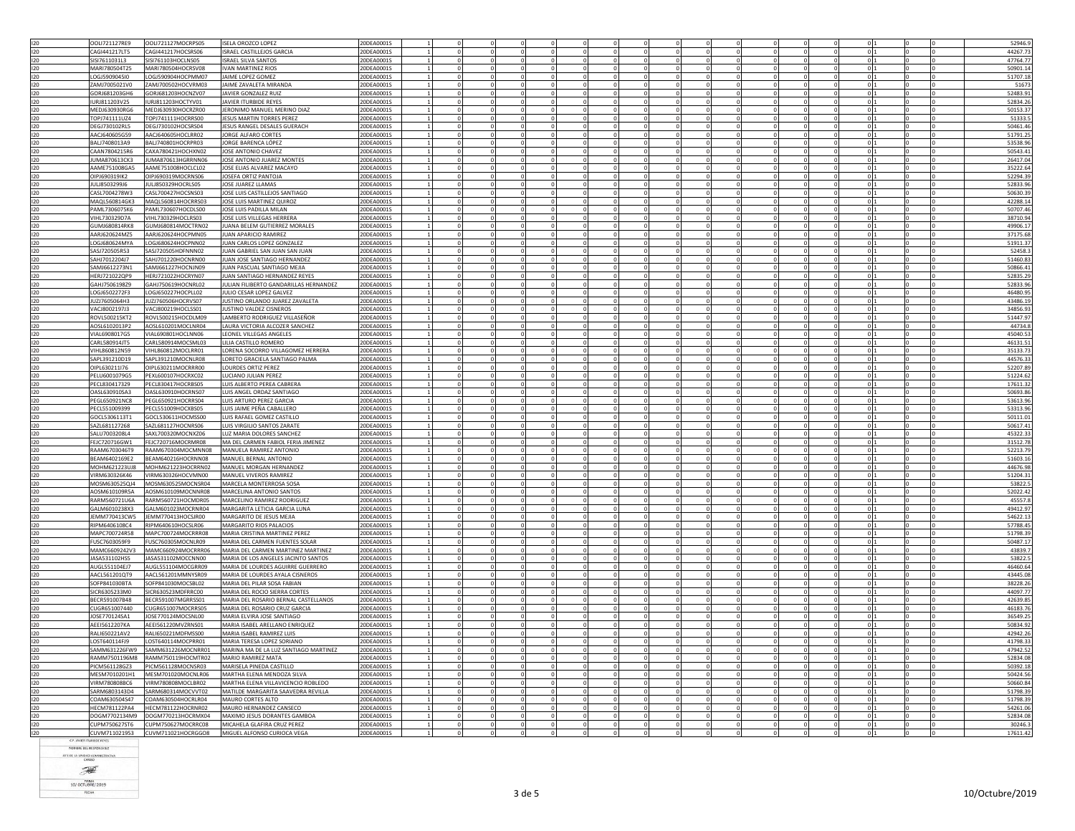| 120<br>120               |                      |                    |                                                            |            |                          |          |            |          |                        |                |                      |                             |  |          |
|--------------------------|----------------------|--------------------|------------------------------------------------------------|------------|--------------------------|----------|------------|----------|------------------------|----------------|----------------------|-----------------------------|--|----------|
|                          | OOLI721127RE9        | OOLI721127MOCRPS05 | <b>ISELA OROZCO LOPEZ</b>                                  | 20DEA0001S |                          |          |            |          |                        |                |                      |                             |  | 52946.   |
|                          | CAGI441217LT5        | CAGI441217HOCSRS06 | ISRAEL CASTILLEJOS GARCIA                                  | 20DEA0001S |                          |          |            |          |                        |                |                      | $\Omega$                    |  | 44267.73 |
|                          | SISI7611031L3        | SISI761103HOCLNS05 | <b>ISRAEL SILVA SANTOS</b>                                 | 20DEA0001S |                          |          |            |          |                        |                |                      | 0 <sub>1</sub>              |  | 47764.77 |
| 120                      | MARI780504T25        | MARI780504HOCRSV08 | <b>IVAN MARTINEZ RIOS</b>                                  | 20DEA0001S |                          |          |            |          |                        |                |                      | -01                         |  | 50901.14 |
| 120                      | OGJ5909045I0         | LOGJ590904HOCPMM07 | JAIME LOPEZ GOMEZ                                          | 20DEA0001S |                          |          |            |          |                        |                |                      | $\overline{0}$              |  | 51707.18 |
|                          |                      |                    | <b>JAIME ZAVALETA MIRANDA</b>                              |            |                          |          |            |          |                        |                |                      |                             |  |          |
| 120                      | ZAMI7005021V0        | ZAMJ700502HOCVRM03 |                                                            | 20DEA0001S |                          |          |            |          |                        |                |                      | $\Omega$                    |  | 5167     |
| 120                      | GORJ681203GH6        | GORJ681203HOCNZV07 | JAVIER GONZALEZ RUIZ                                       | 20DEA0001S |                          |          |            |          |                        |                |                      | 0                           |  | 52483.9  |
| 120                      | URJ811203V25         | IURJ811203HOCTYV01 | JAVIER ITURBIDE REYES                                      | 20DEA0001S |                          |          |            |          |                        |                |                      | $\overline{0}$              |  | 52834.2  |
| 120                      | MEDJ630930RG6        | MEDJ630930HOCRZR00 | JERONIMO MANUEL MERINO DIAZ                                | 20DEA0001S |                          |          |            |          |                        |                |                      | 0                           |  | 50153.3  |
| 120                      | TOPJ741111UZ4        | TOPJ741111HOCRRS00 | JESUS MARTIN TORRES PEREZ                                  | 20DEA0001S | $\Omega$                 | $\Omega$ | $\Omega$   |          | $\Omega$<br>$\Omega$   | $\Omega$       | $\Omega$             | 0 <sup>11</sup>             |  | 51333.   |
| 120                      | DEGJ730102RL5        | DEGJ730102HOCSRS04 | JESUS RANGEL DESALES GUERACH                               | 20DEA0001S | $\mathbf 0$              |          |            |          |                        | $^{\circ}$     |                      | 0 <sub>11</sub>             |  | 50461.46 |
|                          |                      |                    |                                                            |            |                          |          |            |          |                        |                |                      |                             |  |          |
| 120                      | AAC1640605G59        | AACI640605HOCLRR02 | <b>IORGE ALFARO CORTES</b>                                 | 20DEA0001S | $\Omega$                 |          | $\Omega$   | $\Omega$ | $\Omega$<br>$\Omega$   | $\Omega$       | $\Omega$             | 0 <sub>11</sub>             |  | 51791.25 |
| 120                      | BALJ7408013A9        | BALJ740801HOCRPR03 | JORGE BARENCA LÓPEZ                                        | 20DEA0001S |                          |          |            |          |                        |                |                      | $\mathbf{0}$                |  | 53538.96 |
| 120                      | CAAN7804215R6        | CAXA780421HOCHXN02 | JOSE ANTONIO CHAVEZ                                        | 20DEA0001S |                          |          |            |          |                        | $\Omega$       |                      | 0 <sub>11</sub>             |  | 50543.4  |
| 120                      | JUMA870613CK3        | JUMA870613HGRRNN06 | JOSE ANTONIO JUAREZ MONTES                                 | 20DEA0001S | 0                        |          |            |          |                        | $^{\circ}$     |                      | 0 <sub>11</sub>             |  | 26417.0  |
|                          |                      |                    |                                                            |            |                          |          |            |          |                        |                |                      |                             |  |          |
| 120                      | AAME751008GA5        | AAME751008HOCLCL02 | JOSE ELIAS ALVAREZ MACAYO                                  | 20DEA0001S |                          |          |            |          |                        | $\overline{0}$ |                      | $\overline{0}$              |  | 35222.64 |
| 120                      | JIPJ690319IK2        | OIPJ690319MOCRNS06 | JOSEFA ORTIZ PANTOJA                                       | 20DEA0001S |                          |          |            |          |                        |                |                      | $\Omega$                    |  | 52294.3  |
| 120                      | JULJ8503299J6        | JULJ850329HOCRLS05 | JOSE JUAREZ LLAMAS                                         | 20DEA0001S |                          |          |            |          |                        |                |                      | $\Omega$                    |  | 52833.9  |
| 120                      | CASL7004278W3        | CASL700427HOCSNS03 | JOSE LUIS CASTILLEJOS SANTIAGO                             | 20DEA0001S | $\Omega$                 |          |            |          | $\Omega$               | $\Omega$       |                      | 0 <sub>11</sub>             |  | 50630.3  |
| 120                      | MAQL560814GK3        | MAQL560814HOCRRS03 | JOSE LUIS MARTINEZ QUIROZ                                  | 20DEA0001S |                          |          |            |          |                        | $^{\circ}$     |                      | 0 <sub>1</sub>              |  | 42288.14 |
| 120                      | PAML7306075K6        | PAML730607HOCDLS00 | JOSE LUIS PADILLA MILAN                                    | 20DEA0001S |                          |          |            |          |                        |                |                      | $\overline{0}$              |  | 50707.46 |
|                          |                      |                    |                                                            |            |                          |          |            |          |                        |                |                      |                             |  |          |
| 120                      | IHL730329D7A         | VIHL730329HOCLRS03 | JOSE LUIS VILLEGAS HERRERA                                 | 20DEA0001S |                          |          |            |          |                        |                |                      | $\circ$                     |  | 38710.9  |
| 120                      | GUMI680814RK8        | GUMI680814MOCTRN02 | JUANA BELEM GUTIERREZ MORALES                              | 20DEA0001S | $\Omega$<br>$\Omega$     | $\Omega$ | $\Omega$   |          | $\Omega$<br>$\Omega$   | $\cap$         | $\Omega$             | 0 <sup>11</sup>             |  | 49906.1  |
| 120                      | AARJ620624MZ5        | AARJ620624HOCPMN05 | JUAN APARICIO RAMIREZ                                      | 20DEA0001S | $\bf{0}$                 |          |            |          |                        | $\mathbf 0$    |                      | 0 1                         |  | 37175.68 |
| 120                      | OGJ680624MYA         | LOGJ680624HOCPNN02 | JUAN CARLOS LOPEZ GONZALEZ                                 | 20DEA0001S | $^{\circ}$<br>$^{\circ}$ | 0        | $\Omega$   | $\Omega$ | $\Omega$<br>$^{\circ}$ | $\mathbf{0}$   | $^{\circ}$           | 0 <sub>1</sub>              |  | 51911.3  |
| 120                      | ASJ720505R53         | SASJ720505HDFNNN02 | JUAN GABRIEL SAN JUAN SAN JUAN                             | 20DEA0001S |                          |          |            |          |                        |                |                      | $\overline{0}$              |  | 52458.3  |
|                          |                      |                    |                                                            |            |                          |          |            |          |                        |                |                      |                             |  |          |
| 120                      | SAHJ7012204J7        | SAH1701220HOCNRN00 | <b>IUAN JOSE SANTIAGO HERNANDEZ</b>                        | 20DEA0001S | $\Omega$<br>$\Omega$     | $\Omega$ |            | $\Omega$ | $\Omega$<br>$\Omega$   | $\Omega$       | $\Omega$<br>$\Omega$ | 0 <sub>1</sub>              |  | 51460.8  |
| 120                      | SAMJ6612273N1        | SAMJ661227HOCNJN09 | JUAN PASCUAL SANTIAGO MEJIA                                | 20DEA0001S | $\Omega$                 |          |            |          | $\Omega$               | $\Omega$       |                      | 0 <sub>11</sub>             |  | 50866.4  |
| 120                      | HERJ721022QP9        | HERJ721022HOCRYN07 | JUAN SANTIAGO HERNANDEZ REYES                              | 20DEA0001S |                          |          |            |          |                        | $\overline{0}$ |                      | $\circ$                     |  | 52835.29 |
| 120                      | GAHJ7506198Z9        | GAHJ750619HOCNRL02 | JULIAN FILIBERTO GANDARILLAS HERNANDEZ                     | 20DEA0001S |                          |          |            |          |                        |                |                      | $\overline{0}$              |  | 52833.9  |
| 120                      | LOGJ6502272F3        | LOGJ650227HOCPLL02 | JULIO CESAR LOPEZ GALVEZ                                   | 20DEA0001S |                          |          |            |          |                        |                |                      | -ol                         |  | 46480.9  |
|                          |                      |                    |                                                            |            |                          |          |            |          |                        |                |                      |                             |  |          |
| 120                      | JUZJ7605064H3        | JUZJ760506HOCRVS07 | JUSTINO ORLANDO JUAREZ ZAVALETA                            | 20DEA0001S |                          |          |            |          |                        |                |                      | $\Omega$                    |  | 43486.1  |
| 120                      | VACJ8002197J3        | VACJ800219HOCLSS01 | JUSTINO VALDEZ CISNEROS                                    | 20DEA0001S |                          |          |            |          |                        |                |                      | $\overline{0}$              |  | 34856.9  |
| 120                      | ROVL500215KT2        | ROVL500215HOCDLM09 | LAMBERTO RODRIGUEZ VILLASEÑOR                              | 20DEA0001S |                          |          |            |          |                        |                |                      | $^{\circ}$                  |  | 51447.9  |
| 120                      | AOSL6102013P2        | AOSL610201MOCLNR04 | LAURA VICTORIA ALCOZER SANCHEZ                             | 20DEA0001S |                          |          |            |          |                        |                |                      | $\circ$                     |  | 44734.   |
| 120                      | VIAL6908017G5        | VIAL690801HOCLNN06 | LEONEL VILLEGAS ANGELES                                    | 20DEA0001S |                          |          |            |          | $\Omega$               | $\Omega$       |                      | 0 <sup>11</sup>             |  | 45040.5  |
|                          |                      |                    |                                                            |            |                          |          |            |          |                        |                |                      |                             |  |          |
| 120                      | CARL580914JT5        | CARL580914MOCSML03 | LILIA CASTILLO ROMERO                                      | 20DEA0001S |                          |          |            |          |                        |                |                      | 0 <sub>1</sub>              |  | 46131.5  |
| 120                      | /IHI 860812N59       | VIHL860812MOCLRR01 | LORENA SOCORRO VILLAGOMEZ HERRERA                          | 20DEA0001S |                          |          |            |          |                        | $\Omega$       |                      | 0 <sub>11</sub>             |  | 35133.73 |
| 120                      | SAPL391210D19        | SAPL391210MOCNLR08 | LORETO GRACIELA SANTIAGO PALMA                             | 20DEA0001S |                          |          |            |          |                        |                |                      | $\overline{0}$              |  | 44576.33 |
| 120                      | OIPL630211I76        | OIPL630211MOCRRR00 | LOURDES ORTIZ PEREZ                                        | 20DEA0001S |                          |          |            |          |                        |                |                      | 0 <sub>1</sub>              |  | 52207.8  |
| 120                      | PELU6001079G5        | PEXL600107HOCRXC02 | LUCIANO JULIAN PEREZ                                       | 20DEA0001S |                          |          |            |          |                        |                |                      | 0I.                         |  | 51224.6  |
|                          |                      |                    |                                                            |            |                          |          |            |          |                        |                |                      |                             |  |          |
| 120                      | PECL830417329        | PECL830417HOCRBS05 | LUIS ALBERTO PEREA CABRERA                                 | 20DEA0001S |                          |          |            |          |                        | $^{\circ}$     |                      | 0 <sub>1</sub>              |  | 17611.3  |
| 120                      | OASL630910SA3        | OASL630910HOCRNS07 | LUIS ANGEL ORDAZ SANTIAGO                                  | 20DEA0001S |                          |          |            |          |                        |                |                      | $\overline{0}$              |  | 50693.86 |
| 120                      | PEGL650921NC8        | PEGL650921HOCRRS04 | LUIS ARTURO PEREZ GARCIA                                   | 20DEA0001S |                          |          |            |          |                        |                |                      | $\overline{0}$              |  | 53613.9  |
| 120                      | PECL551009399        | PECL551009HOCXBS05 | LUIS JAIME PEÑA CABALLERO                                  | 20DEA0001S |                          |          |            |          |                        |                |                      | 0 <sub>11</sub>             |  | 53313.9  |
|                          |                      |                    |                                                            |            |                          |          |            |          |                        |                |                      |                             |  |          |
| 120                      | GOCL5306113T1        | GOCL530611HOCMSS00 | LUIS RAFAEL GOMEZ CASTILLO                                 | 20DEA0001S |                          |          |            |          |                        |                |                      | $\overline{0}$              |  | 50111.0  |
| 120                      | SAZL681127268        | SAZL681127HOCNRS06 |                                                            | 20DEA0001S |                          |          |            |          |                        |                |                      | $\overline{0}$              |  | 50617.4  |
| 120                      |                      |                    | LUIS VIRGILIO SANTOS ZARATE                                |            |                          |          |            |          |                        |                |                      |                             |  |          |
| 120                      | SALU7003208L4        | SAXL700320MOCNXZ06 | LUZ MARIA DOLORES SANCHEZ                                  | 20DEA0001S |                          |          |            |          |                        |                |                      | $\overline{0}$              |  | 45322.3  |
|                          |                      |                    |                                                            |            |                          |          |            |          |                        | $\Omega$       |                      |                             |  |          |
|                          | FEJC720716GW1        | FEJC720716MOCRMR08 | MA DEL CARMEN FABIOL FERIA JIMENEZ                         | 20DEA0001S |                          |          |            |          |                        |                |                      | 0 <sub>11</sub>             |  | 31512.78 |
| 120                      | RAAM6703046T9        | RAAM670304MOCMNN08 | MANUELA RAMIREZ ANTONIO                                    | 20DEA0001S |                          |          |            |          |                        | $\mathbf 0$    |                      | 0 <sub>11</sub>             |  | 52213.7  |
| 120                      | BFAM6402169F2        | BEAM640216HOCRNN08 | MANUEL BERNAL ANTONIO                                      | 20DEA0001S | $\Omega$                 |          | $\Omega$   |          | $\Omega$<br>$\Omega$   | $\Omega$       | $\Omega$             | 0 <sub>11</sub>             |  | 51603.16 |
| 120                      | <b>MOHM621223UJ8</b> | MOHM621223HOCRRN02 | MANUEL MORGAN HERNANDEZ                                    | 20DEA0001S |                          |          |            |          |                        |                |                      | 0                           |  | 44676.9  |
| 120                      | VIRM630326K46        | VIRM630326HOCVMN00 | MANUEL VIVEROS RAMIREZ                                     | 20DEA0001S | $\Omega$                 | $\Omega$ |            |          |                        | $\Omega$       | $\Omega$             | $\Omega$<br>0 <sub>11</sub> |  |          |
|                          |                      |                    |                                                            |            |                          |          |            |          |                        |                |                      |                             |  | 51204.3  |
| 120                      | MOSM630525QJ4        | MOSM630525MOCNSR04 | MARCELA MONTERROSA SOSA                                    | 20DEA0001S | $^{\circ}$               |          |            |          |                        | $\mathbf{0}$   |                      | 0 1                         |  | 53822.   |
| 120                      | AOSM610109R5A        | AOSM610109MOCNNR08 | MARCELINA ANTONIO SANTOS                                   | 20DEA0001S | $^{\circ}$<br>$\Omega$   | $\Omega$ | $\Omega$   | $\Omega$ | $\Omega$<br>$\Omega$   | $\Omega$       | $\Omega$             | 0 1<br>$\Omega$             |  | 52022.42 |
| 120                      | <b>RARM560721U6A</b> | RARM560721HOCMDR05 | MARCELINO RAMIREZ RODRIGUEZ                                | 20DEA0001S |                          |          |            |          |                        |                |                      | $\overline{0}$              |  | 45557.8  |
| 120                      | GALM6010238X3        | GALM601023MOCRNR04 | MARGARITA LETICIA GARCIA LUNA                              | 20DEA0001S |                          |          |            |          |                        | $\Omega$       |                      | $\Omega$                    |  | 49412.9  |
| 120                      | JEMM770413CW5        | JEMM770413HOCSJR00 | MARGARITO DE JESUS MEJIA                                   | 20DEA0001S |                          |          |            |          |                        | $^{\circ}$     |                      | 0                           |  | 54622.1  |
|                          |                      |                    |                                                            |            |                          |          |            |          |                        |                |                      |                             |  |          |
| 120                      | RIPM6406108C4        | RIPM640610HOCSLR06 | MARGARITO RIOS PALACIOS                                    | 20DEA0001S |                          |          |            |          |                        |                |                      | 0 <sub>1</sub>              |  | 57788.4  |
|                          | MAPC700724R58        | MAPC700724MOCRRR08 | MARIA CRISTINA MARTINEZ PEREZ                              | 20DEA0001S |                          |          |            |          |                        |                |                      | 0                           |  | 51798.3  |
| 120<br>120               | FUSC7603059F9        | USC760305MOCNLR09  | MARIA DEL CARMEN FUENTES SOLAR                             | 20DEA0001S |                          |          |            |          |                        |                |                      | $\circ$                     |  | 50487.1  |
| 120                      | MAMC6609242V3        | MAMC660924MOCRRR06 | MARIA DEL CARMEN MARTINEZ MARTINEZ                         | 20DEA0001S |                          |          |            |          |                        |                |                      | $\Omega$                    |  | 43839.   |
| 120                      | JASA531102HS5        | JASA531102MOCCNN00 | MARIA DE LOS ANGELES JACINTO SANTOS                        | 20DEA0001S |                          |          | $\Omega$   |          |                        | $\mathbf 0$    |                      | 0 1                         |  | 53822.   |
|                          |                      |                    |                                                            |            |                          |          |            |          |                        |                |                      |                             |  |          |
| 120                      | AUGL551104EJ7        | AUGL551104MOCGRR09 | MARIA DE LOURDES AGUIRRE GUERRERO                          | 20DEA0001S |                          |          | $^{\circ}$ |          |                        | $^{\circ}$     |                      | 0 <sub>1</sub>              |  | 46460.64 |
| 120                      | ACL561201QT9         | AACL561201MMNYSR09 | MARIA DE LOURDES AYALA CISNEROS                            | 20DEA0001S |                          |          |            |          |                        |                |                      | $\mathbf{0}$                |  | 43445.08 |
| 120                      | SOFP841030BTA        | SOFP841030MOCSBL02 | MARIA DEL PILAR SOSA FABIAN                                | 20DEA0001S |                          |          |            |          |                        |                |                      | $\Omega$                    |  | 38228.2  |
| 120                      | SICR6305233M0        | SICR630523MDFRRC00 | MARIA DEL ROCIO SIERRA CORTES                              | 20DEA0001S |                          |          |            |          |                        | $^{\circ}$     |                      | 0 <sub>11</sub>             |  | 44097.7  |
|                          |                      | BECR591007MGRRSS01 |                                                            | 20DEA0001S |                          |          |            |          |                        | $\Omega$       |                      |                             |  |          |
| 120                      | BECR591007B48        |                    | MARIA DEL ROSARIO BERNAL CASTELLANOS                       |            |                          |          |            |          |                        |                |                      | 0 1                         |  | 42639.8  |
| 120                      | UGR651007440         | CUGR651007MOCRRS05 | MARIA DEL ROSARIO CRUZ GARCIA                              | 20DEA0001S |                          |          |            |          |                        |                |                      | $\Omega$                    |  | 46183.7  |
|                          | JOSE770124SA1        | JOSE770124MOCSNL00 | MARIA ELVIRA JOSE SANTIAGO                                 | 20DEA0001S | $\Omega$<br>$\Omega$     | $\Omega$ |            |          | $\Omega$<br>$\Omega$   | $\Omega$       | $\Omega$             | 0 <sub>11</sub>             |  | 36549.2  |
|                          | AEEI5612207KA        | AEEI561220MVZRNS01 | MARIA ISABEL ARELLANO ENRIQUEZ                             | 20DEA0001S |                          |          |            |          |                        | $\Omega$       |                      | $\overline{0}$              |  | 50834.9  |
|                          | RALI650221AV2        | RALI650221MDFMSS00 | MARIA ISABEL RAMIREZ LUIS                                  | 20DEA0001S |                          |          |            |          |                        | $^{\circ}$     |                      | $\overline{0}$              |  | 42942.26 |
| 120<br>120<br>120<br>120 | LOST640114FJ9        | LOST640114MOCPRR01 | MARIA TERESA LOPEZ SORIANO                                 | 20DEA0001S |                          |          |            |          |                        |                |                      | $\overline{0}$              |  | 41798.33 |
|                          |                      |                    |                                                            |            |                          |          |            |          |                        |                |                      |                             |  |          |
| 120                      | SAMM631226FW9        | SAMM631226MOCNRR01 | MARINA MA DE LA LUZ SANTIAGO MARTINEZ                      | 20DEA0001S |                          |          |            |          |                        |                |                      | $\mathbf 0$                 |  | 47942.5  |
|                          | RAMM7501196M8        | RAMM750119HOCMTR02 | MARIO RAMIREZ MATA                                         | 20DEA0001S |                          |          |            |          |                        |                |                      | $\Omega$                    |  | 52834.08 |
| 120                      | PICM561128GZ3        | PICM561128MOCNSR03 | MARISELA PINEDA CASTILLC                                   | 20DEA0001S |                          |          |            |          |                        |                |                      | 0                           |  | 50392.18 |
| 120<br>120               | MESM7010201H1        | MESM701020MOCNLR06 | MARTHA ELENA MENDOZA SILVA                                 | 20DEA0001S |                          |          |            |          |                        |                |                      | $^{\circ}$                  |  | 50424.5  |
| 120                      | TRM780808BC6         | VIRM780808MOCLBR02 | MARTHA ELENA VILLAVICENCIO ROBLEDO                         | 20DEA0001S |                          |          |            |          |                        |                |                      | $\overline{0}$              |  | 50660.84 |
|                          |                      |                    |                                                            |            |                          |          |            |          |                        |                |                      |                             |  |          |
| 120                      | SARM6803143D4        | SARM680314MOCVVT02 | MATILDE MARGARITA SAAVEDRA REVILLA                         | 20DEA0001S | $\Omega$                 | $\Omega$ | $\Omega$   |          | $\Omega$<br>$\Omega$   | $\cap$         | $\Omega$             | 0 <sup>11</sup>             |  | 51798.3  |
| 120                      | COAM630504S47        | COAM630504HOCRLR04 | MAURO CORTES ALTO                                          | 20DEA0001S |                          |          |            |          |                        |                |                      | 0 <sub>1</sub>              |  | 51798.39 |
| 120                      | <b>HFCM781122PA4</b> | HECM781122HOCRNR02 | MAURO HERNANDEZ CANSECO                                    | 20DEA0001S |                          |          |            |          |                        | $^{\circ}$     |                      | $\overline{0}$              |  | 54261.06 |
| 120                      | DOGM7702134M9        | DOGM770213HOCRMX04 | MAXIMO JESUS DORANTES GAMBOA                               | 20DEA0001S |                          |          |            |          |                        |                |                      | 0                           |  | 52834.08 |
|                          | CUPM750627ST6        | CUPM750627MOCRRC08 |                                                            | 20DEA0001S | $\Omega$<br>$\Omega$     |          | $\Omega$   |          | $\Omega$<br>$\Omega$   | $\Omega$       | $\Omega$             | $\Omega$<br>0 <sup>11</sup> |  | 30246.   |
| 120<br>120               | CUVM711021953        | CUVM711021HOCRGGO8 | MICAHELA GLAFIRA CRUZ PEREZ<br>MIGUEL ALFONSO CURIOCA VEGA | 20DEA0001S |                          |          |            |          |                        | $\Omega$       |                      | 0 <sub>11</sub>             |  | 17611.42 |

URBIDE REYES NOMBRE DEL RESPONSABLE ILTE DE LA UNIDAD ADMINISTRATIVA

 $\overline{\mathcal{R}}$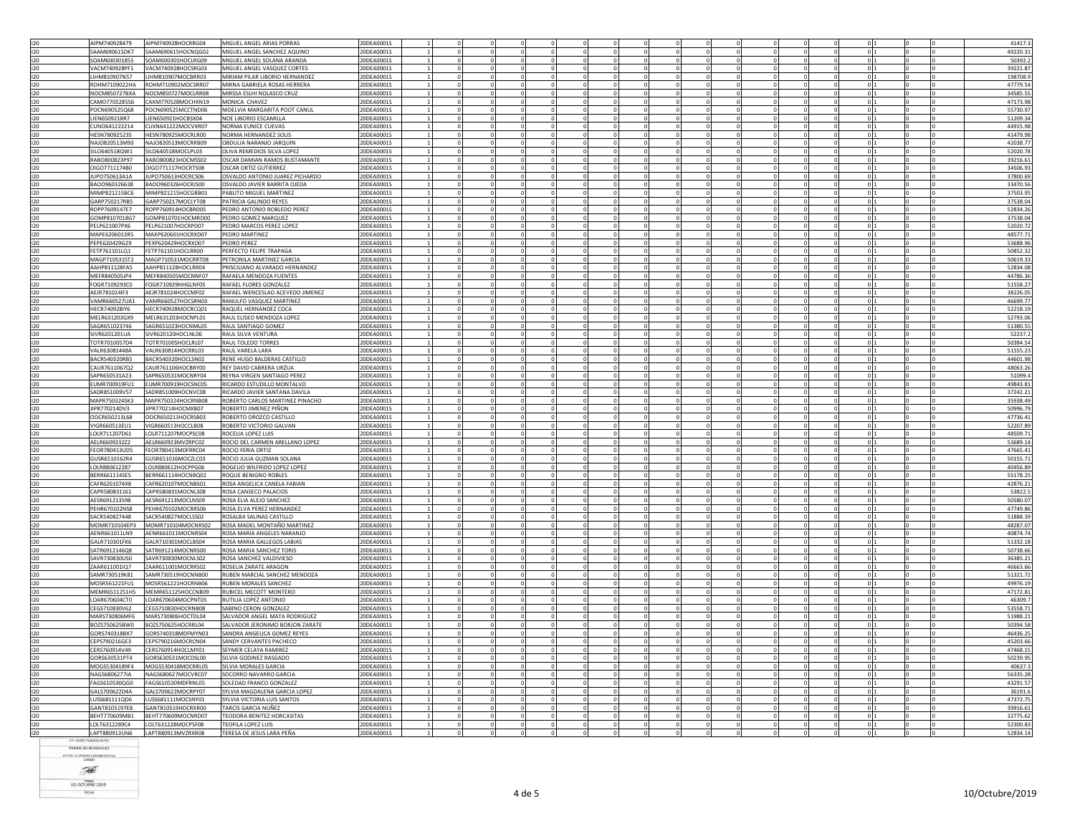|            | AIPM740928479<br>AIPM740928HOCRRG04                                        | MIGUEL ANGEL ARIAS PORRAS                                | 20DEA00019               |          |                           |                           |          |                                    |                          |                          |                          |                                                 |                 | 41417.               |
|------------|----------------------------------------------------------------------------|----------------------------------------------------------|--------------------------|----------|---------------------------|---------------------------|----------|------------------------------------|--------------------------|--------------------------|--------------------------|-------------------------------------------------|-----------------|----------------------|
|            | SAAM690615DK7<br>SAAM690615HOCNQG02                                        | MIGUEL ANGEL SANCHEZ AQUINO                              | 20DEA0001S               |          | $\mathbf 0$               |                           |          |                                    |                          |                          |                          | $\overline{0}$                                  |                 | 49220.31             |
| 120        | SOAM600301855<br>SOAM600301HOCLBG09                                        | MIGUEL ANGEL SOLANA ARANDA                               | :0DEA0001S               |          |                           |                           |          |                                    |                          |                          |                          | $\mathbf{0}$                                    |                 | 50392.               |
| 120        | VACM740928PF1<br>VACM740928HOCSRG03                                        | MIGUEL ANGEL VASQUEZ CORTES                              | 20DEA0001S               |          | $\Omega$                  | $\Omega$                  |          | $\overline{0}$                     | $\mathbf{0}$             | $\Omega$                 | $\mathbf 0$              | $\circ$                                         |                 | 39221.8              |
| 120        | LIHM810907N57<br>LIHM810907MOCBRR03                                        | MIRIAM PILAR LIBORIO HERNANDEZ                           | 20DEA0001S               |          | $\Omega$                  | $\Omega$                  |          |                                    |                          | $\Omega$                 |                          | 0 <sub>11</sub>                                 |                 | 198708.              |
| 120        | ROHM7109022HA<br>ROHM710902MOCSRR07                                        | MIRNA GABRIELA ROSAS HERRERA                             | 20DEA0001S               |          |                           |                           |          |                                    |                          |                          |                          | $\overline{0}$                                  |                 | 47779.54             |
| 120        | NOCM850727BXA<br>NOCM850727MOCLRR08                                        | MIRSSA ESLHI NOLASCO CRUZ                                | 0DEA0001S                |          |                           |                           |          |                                    |                          |                          |                          | $\Omega$                                        |                 | 34585.5              |
| 120        | CAMO770528556<br>CAXM770528MOCHXN19                                        | MONICA CHAVEZ<br>NIDEI VIA MARGARITA POOT CANUL          | 20DEA0001S               | $\Omega$ | $\Omega$                  | $\Omega$                  |          | $\Omega$<br>$\Omega$               | $\Omega$                 |                          | $\Omega$                 | $\overline{0}$<br>0 <sup>11</sup><br>$\Omega$   |                 | 47173.98<br>55730.9  |
| 120        | POCN690525068<br>POCN690525MCCTND06                                        |                                                          | 20DEA0001S               |          |                           |                           |          |                                    |                          | $\Omega$                 |                          |                                                 |                 |                      |
| 120<br>120 | LIEN6509218R7<br>LIEN650921HOCBSX04<br>CUNO641222214<br>CUXN641222MOCVXR07 | NOE LIBORIO ESCAMILLA<br>NORMA EUNICE CUEVAS             | 20DEA0001S<br>20DEA0001S |          | $\mathbf 0$               | $\mathbf{0}$              |          | $^{\circ}$                         | $^{\circ}$               | $^{\circ}$               | $^{\circ}$               | 0 <sub>11</sub><br>0 <sub>1</sub><br>$^{\circ}$ |                 | 51209.34<br>44915.98 |
| 120        | HESN780925235<br>HESN780925MOCRLR00                                        | NORMA HERNANDEZ SOLIS                                    | 20DEA0001S               |          | $\mathbf 0$<br>$^{\circ}$ | $\mathbf 0$<br>$^{\circ}$ |          | $^{\circ}$                         | $^{\circ}$               | $\mathbf{0}$             | $^{\circ}$               | $\overline{0}$                                  |                 | 41479.98             |
| 120        | NAJ0820513M93<br>NAJO820513MOCRRB09                                        | OBDULIA NARANJO JARQUIN                                  | 20DEA0001S               |          | $\Omega$                  | $\Omega$                  |          |                                    | $\mathbf{0}$             | $\Omega$                 | $\Omega$                 | -ol                                             |                 | 42038.7              |
| 120        | SILO640518QW1<br>SILO640518MOCLPL03                                        | OLIVA REMEDIOS SILVA LOPEZ                               | 20DEA0001S               |          | $\Omega$                  | $\Omega$                  |          |                                    |                          | $\Omega$                 |                          | 0 <sub>11</sub>                                 |                 | 52020.78             |
| 120        | RABO800823P97<br>RABO800823HOCMSS02                                        | OSCAR DAMIAN RAMOS BUSTAMANTE                            | 20DEA0001S               |          | $\mathbf 0$               | $\mathbf 0$               |          |                                    |                          |                          |                          | $\circ$                                         |                 | 39216.6              |
| 120        | OIGO7711174B0<br>OIGO771117HOCRTS08                                        | OSCAR ORTIZ GUTIERREZ                                    | ODEA0001S                |          |                           |                           |          |                                    |                          |                          |                          | 0                                               |                 | 34506.9              |
| 120        | <b>IUPO750613A1A</b><br>JUPO750613HOCRCS06                                 | OSVALDO ANTONIO JUAREZ PICHARDC                          | 20DEA0001S               |          |                           |                           |          |                                    |                          |                          |                          | 0                                               |                 | 37800.69             |
| 120        | BAOO960326HOCRJS00<br>BAO0960326638                                        | OSVALDO JAVIER BARRITA OJEDA                             | 20DEA0001S               |          | $\Omega$                  | $\Omega$                  |          |                                    |                          | $\Omega$                 | $\Omega$                 | 0 <sub>11</sub>                                 |                 | 33470.56             |
| 120        | MIMP821215BC6<br>MIMP821215HOCGRB01                                        | PABLITO MIGUEL MARTINEZ                                  | 20DEA0001S               |          | $\mathbf 0$               | $\mathbf 0$               |          |                                    |                          | $^{\circ}$               |                          | 0 <sub>11</sub>                                 |                 | 37503.9              |
| 120        | GARP750217RB5<br>GARP750217MOCLYT08                                        | PATRICIA GALINDO REYES                                   | 20DEA0001S               | $\Omega$ | $\Omega$                  | $^{\circ}$                |          | $\overline{0}$                     | $\overline{0}$           | $\Omega$                 | $\Omega$                 | 0 <sub>11</sub>                                 |                 | 37538.04             |
| 120        | ROPP7609147E7<br>ROPP760914HOCBRD05                                        | PEDRO ANTONIO ROBLEDO PEREZ                              | 20DEA0001S               |          |                           |                           |          |                                    |                          |                          |                          | 0                                               |                 | 52834.26             |
| 120        | GOMP8107018G7<br>GOMP810701HOCMRD00                                        | PEDRO GOMEZ MARQUEZ                                      | 20DEA0001S               |          | $\Omega$                  | $\Omega$                  |          | $\Omega$                           | $\Omega$                 | $\Omega$                 | $\Omega$                 | 0 <sub>11</sub><br>$\Omega$                     |                 | 37538.0              |
| 120        | PELP621007PX6<br>PELP621007HOCRPD07                                        | PEDRO MARCOS PEREZ LOPEZ                                 | 20DEA0001S               |          | $\mathbf 0$               | $\mathbf 0$               |          |                                    |                          | $^{\circ}$               |                          |                                                 | 0 <sub>1</sub>  | 52020.72             |
| 120        | MAPF6206013R5<br>MAXP620601HOCRXD07                                        | PEDRO MARTINEZ                                           | 20DEA0001S               |          | $\mathbf{0}$              | $\mathbf{0}$              |          | $\Omega$<br>$\Omega$               | $\overline{0}$           | $\overline{0}$           | $\Omega$                 | 0 <sub>1</sub><br>$^{\circ}$                    |                 | 48577.73             |
| 120        | PEPE620429G29<br>PEXP620429HOCRXD07                                        | PEDRO PEREZ                                              | ODEA0001S                |          |                           |                           |          |                                    |                          |                          |                          | $\overline{0}$                                  |                 | 53688.9              |
| 120        | FETP761101LQ1<br>FETP761101HOCLRR00                                        | PERFECTO FELIPE TRAPAGA                                  | 20DEA0001S               |          | $\Omega$                  |                           |          |                                    |                          |                          |                          | -ol                                             |                 | 50852.3              |
| 120        | MAGP710531ST2<br>MAGP710531MOCRRT08                                        | PETRONILA MARTINEZ GARCIA                                | 20DEA0001S               |          | $\Omega$                  | $\Omega$                  |          |                                    |                          | $\Omega$                 |                          | 0 1                                             |                 | 50619.33             |
| 120        | AAHP811128FA5<br>AAHP811128HOCLRR04                                        | PRISCILIANO ALVARADO HERNANDEZ                           | 20DEA0001S               |          | $\mathbf 0$               | $\mathbf 0$               |          |                                    |                          | $\mathbf 0$              |                          | 0 1                                             |                 | 52834.08             |
| 120        | MEFR840505JP4<br>MEFR840505MOCNNF07                                        | RAFAELA MENDOZA FUENTES                                  | 20DEA0001S               |          |                           |                           |          |                                    |                          |                          |                          | $\overline{0}$                                  |                 | 44786.30             |
| 120        | FOGR7109293C0<br>FOGR710929HHGLNF05                                        | RAFAEL FLORES GONZALEZ                                   | 20DEA0001S               |          |                           |                           |          |                                    |                          |                          |                          | $\mathbf{0}$                                    |                 | 51558.2              |
| 120        | AF1R7810241F3<br>AFIR781024HOCCME02                                        | RAFAEL WENCESLAO ACEVEDO JIMENEZ                         | 20DEA0001S               |          | $\Omega$                  | $\Omega$                  |          |                                    |                          | $\Omega$                 |                          | $\Omega$                                        |                 | 38226.0              |
| 120        | VAMR660527UA1<br>VAMR660527HOCSRN03<br>HFCR740928IY6<br>HECR740928MOCRCO01 | RANULFO VASQUEZ MARTINEZ                                 | 20DEA0001S               |          | $\mathbf 0$               | $\mathbf{0}$              |          |                                    |                          | $^{\circ}$               |                          | 0 <sub>11</sub>                                 |                 | 46699.7<br>52218.19  |
| 120        |                                                                            | <b>RAQUEL HERNANDEZ COCA</b>                             | 0DFA0001S                |          | $\Omega$                  | $\Omega$                  |          | $\Omega$                           | $\Omega$                 | $\Omega$                 | $\Omega$                 | 0 <sub>1</sub>                                  |                 |                      |
| 120        | MELR631203GX9<br>MELR631203HOCNPL01                                        | RAUL ELISEO MENDOZA LOPEZ                                | 0DEA0001S                |          |                           |                           |          |                                    |                          |                          |                          | $\mathbf{O}$                                    |                 | 52793.06             |
| 120<br>120 | SAGR651023746<br>SAGR651023HOCNML05<br>SIVR6201201UA                       | RAUL SANTIAGO GOMEZ<br>RAUL SILVA VENTURA                | 20DEA0001S               |          | $\Omega$<br>$\mathbf 0$   | $\Omega$<br>$\mathbf 0$   |          | $\Omega$<br>0                      | $\Omega$<br>$\mathbf{0}$ | $\Omega$<br>$\mathbf{0}$ | $\Omega$<br>$\mathbf 0$  | 0 <sub>11</sub><br>$\Omega$<br>$\mathbf 0$      |                 | 51380.5              |
|            | SIVR620120HOCLNL06<br>TOTR7010057D4<br>TOTR701005HOCLRL07                  |                                                          | 20DEA0001S               |          | $\mathbf{0}$              | $\mathbf{0}$              | $\Omega$ | $\Omega$                           | $\Omega$                 | $\overline{0}$           | $\Omega$                 | 0 1<br>$\Omega$                                 |                 | 52237.<br>50384.54   |
| 120<br>120 | VALR63081448A<br>VALR630814HOCRRL03                                        | RAUL TOLEDO TORRES<br>RAUL VARELA LARA                   | 20DEA0001S<br>ODEA0001S  |          |                           |                           |          |                                    |                          |                          |                          | 0 <sub>1</sub><br>$\overline{0}$                |                 | 51555.23             |
| 120        | BACR540320RB5<br>BACR540320HOCLSN02                                        | RENE HUGO BALDERAS CASTILLO                              | 20DEA0001S               |          | $\Omega$                  | $\Omega$                  |          |                                    |                          | $\Omega$                 | $\Omega$                 | 0 <sup>11</sup>                                 |                 | 44601.98             |
| 120        | CAUR761106HOCBRY00<br>CAUR7611067Q2                                        | REY DAVID CABRERA URZUA                                  | 20DEA0001S               |          |                           |                           |          |                                    |                          |                          |                          | $\circ$                                         |                 | 48063.26             |
| 120        | SAPR650531A23<br>SAPR650531MOCNRY04                                        | REYNA VIRGEN SANTIAGO PEREZ                              | 20DEA0001S               |          | $\mathbf 0$               |                           |          |                                    |                          |                          |                          | 0 <sub>1</sub>                                  |                 | 51099.               |
| 120        | EUMR700919FU1<br>EUMR700919HOCSNC05                                        | RICARDO ESTUDILLO MONTALVO                               | 20DEA0001S               |          |                           |                           |          |                                    |                          |                          |                          | $\overline{0}$                                  |                 | 49843.8              |
| 120        | SADR851009V57<br>SADR851009HOCNVC08                                        | RICARDO JAVIER SANTANA DAVILA                            | 20DEA0001S               |          | $\Omega$                  |                           |          |                                    |                          |                          |                          | $\overline{0}$                                  |                 | 37242.2              |
| 120        | MAPR7503245K3<br>MAPR750324HOCRNB08                                        | ROBERTO CARLOS MARTINEZ PINACHO                          | 20DEA0001S               |          | $\Omega$                  |                           |          |                                    |                          |                          |                          | $\Omega$                                        |                 | 35938.4              |
| 120        | JIPR770214DV3<br>JIPR770214HOCMXB07                                        | ROBERTO JIMENEZ PIÑON                                    | 20DEA0001S               |          | $\mathbf 0$               | $\mathsf 0$               |          |                                    |                          |                          |                          | 0 1                                             |                 | 50996.79             |
| 120        | OOCR650213L68<br>OOCR650213HOCRSB03                                        | ROBERTO OROZCO CASTILLO                                  | 20DEA0001S               |          | $^{\circ}$                |                           |          |                                    | $\mathbf{0}$             | $\sqrt{2}$               |                          | 0 <sub>1</sub>                                  |                 | 47736.43             |
| 120        | VIGR660513EU1<br>VIGR660513HOCCLB08                                        | ROBERTO VICTORIO GALVAN                                  | 20DEA0001S               |          |                           |                           |          |                                    | $\mathbf{0}$             |                          |                          | $\circ$                                         |                 | 52207.89             |
| 120        | LOLR711207MOCPSC08<br>LOLR711207D61                                        | ROCELIA LOPEZ LUIS                                       | 20DEA0001S               |          | $\Omega$                  | $\Omega$                  |          | $\Omega$<br>$\Omega$               | $\Omega$                 | $\Omega$                 | $\Omega$                 | 0 <sup>11</sup><br>$\Omega$                     |                 | 48509.7              |
| 120        | AELR6609232Z2<br>AELR660923MVZRPC02                                        | ROCIO DEL CARMEN ARELLANO LOPEZ                          | 20DEA0001S               |          | $\mathbf 0$               | $\mathbf 0$               |          |                                    |                          | $^{\circ}$               |                          | 0 <sub>11</sub>                                 |                 | 53689.1              |
| 120        | FEOR780413UD5<br>FEOR780413MDFRRC04                                        | ROCIO FERIA ORTIZ                                        | 20DEA0001S               |          | $\Omega$                  | $\Omega$                  |          |                                    | $\Omega$                 | $\mathbf 0$              | $\Omega$                 | 0 1<br>$\Omega$                                 |                 | 47665.4              |
| 120        | GUSR6510162R4<br>GUSR651016MOCZLC03                                        | ROCIO JULIA GUZMAN SOLANA                                | 0DEA0001S                |          |                           |                           |          |                                    |                          |                          |                          | $\Omega$                                        |                 | 50155.71             |
| 120        | LOLR880612287<br>LOLR880612HOCPPG06                                        | ROGELIO WILFRIDO LOPEZ LOPEZ                             | 20DEA0001S               |          | $\Omega$                  | $\Omega$                  |          |                                    | $\Omega$                 | $\Omega$                 | $\Omega$                 | 0 <sub>11</sub>                                 |                 | 40456.8              |
| 120        | BERR661114SE5<br>BERR661114HOCNBO02                                        | ROQUE BENIGNO ROBLES                                     | 20DEA0001S               |          | $\Omega$                  | $\Omega$                  |          |                                    |                          | $\Omega$                 |                          | 0 <sub>11</sub>                                 |                 | 55178.2              |
| 120        | CAFR6201074X8<br>CAFR620107MOCNBS01                                        | ROSA ANGELICA CANELA FABIAN                              | 20DEA0001S               |          | $\mathbf 0$               | $\mathbf 0$               |          |                                    |                          | $^{\circ}$               |                          | $\overline{0}$                                  |                 | 42876.2              |
| 120        | CAPR580831161<br>CAPR580831MOCNLS08                                        | ROSA CANSECO PALACIOS                                    | 20DEA0001S               |          |                           |                           |          |                                    |                          |                          |                          | $\overline{0}$                                  |                 | 53822.               |
| 120        | AESR691213598<br>AESR691213MOCLNS09                                        | ROSA ELIA ALEJO SANCHEZ                                  | 20DEA0001S               |          |                           |                           |          |                                    |                          |                          |                          | 0                                               |                 | 50580.0              |
| 120        | PEHR670102MOCRRS06<br><b>PEHR670102NS8</b>                                 | ROSA ELVA PEREZ HERNANDEZ                                | 20DEA0001S               |          | $\Omega$                  | $\Omega$                  |          | $\Omega$                           | $\Omega$                 | $\Omega$                 | $\Omega$                 | 0 <sub>11</sub>                                 |                 | 47749.8              |
| 120        | SACR540827448<br>SACR540827MOCLSS02                                        | ROSALBA SALINAS CASTILLO                                 | 20DEA0001S               |          | $\mathbf 0$               | $\mathbf 0$               |          |                                    |                          | $\mathbf 0$              |                          | 0 1                                             |                 | 51888.39             |
| 120        | MOMR710104FP3<br>MOMR710104MOCNRS02                                        | ROSA MADEL MONTAÑO MARTINEZ                              | 20DEA0001S               | $\Omega$ | $^{\circ}$                | $^{\circ}$                |          | $^{\circ}$                         | $^{\circ}$               | $^{\circ}$               | $^{\circ}$               | 0 <sub>11</sub><br>$\Omega$                     |                 | 48287.07             |
| 120<br>120 | AENR661011LN9<br>AENR661011MOCNRS04<br>GALR710301MOCLBS04<br>GALR710301FK6 | ROSA MARIA ANGELES NARANJO<br>ROSA MARIA GALLEGOS LABIAS | 20DEA0001S<br>20DEA0001S | $\Omega$ | $\Omega$                  | $\Omega$                  |          | $^{\circ}$<br>$\Omega$<br>$\Omega$ | $\mathbf{0}$<br>$\Omega$ | $\Omega$                 | $\mathbf{0}$<br>$\Omega$ | 0 1<br>$\Omega$<br>0 <sup>11</sup>              |                 | 40874.74<br>51332.1  |
|            |                                                                            |                                                          |                          |          | $\Omega$                  | $\Omega$                  |          |                                    |                          |                          |                          |                                                 |                 |                      |
| 120        | SATR6912146Q8<br>SATR691214MOCNRS00<br>SAVR730830US0                       | ROSA MARIA SANCHEZ TORIS<br>ROSA SANCHEZ VALDIVIESO      | 20DEA0001S               |          |                           |                           |          | $^{\circ}$                         |                          | $\Omega$                 |                          | 0 1<br>$^{\circ}$                               |                 | 50738.66             |
| 120<br>120 | SAVR730830MOCNLS02<br>ZAAR611001IQ7<br>ZAAR611001MOCRRS02                  | ROSELIA ZARATE ARAGON                                    | 20DEA0001S<br>20DEA0001S |          | $\mathbf 0$<br>$^{\circ}$ | $\mathbf 0$               |          | 0                                  | $\mathbf 0$              | $\mathbf{0}$             | $\mathbf 0$              | 0 1<br>$\overline{0}$                           |                 | 36385.2<br>46663.66  |
| 120        | SAMR730519K81<br>SAMR730519HOCNNB00                                        | RUBEN MARCIAL SANCHEZ MENDOZA                            | 20DEA0001S               |          | $\Omega$                  | $\Omega$                  |          |                                    |                          | $\Omega$                 |                          | 0 1                                             |                 |                      |
| 120        | MOSR561221FU1<br>MOSR561221HOCRNB06                                        | <b>RUBEN MORALES SANCHEZ</b>                             | 20DEA0001S               |          | $\Omega$                  | $\Omega$                  |          |                                    |                          | $\Omega$                 |                          | $\overline{0}$                                  |                 | 51321.7<br>49976.1   |
| 120        | MEMR6511251H5<br>MEMR651125HOCCNB09                                        | RUBICEL MECOTT MONTERO                                   | 20DEA0001S               |          | $\mathbf{0}$              | $\mathbf 0$               |          |                                    |                          | $\overline{0}$           |                          | $\overline{0}$                                  |                 | 47172.8              |
| 120        | LOAR670604CT0<br>LOAR670604MOCPNT05                                        | RUTILIA LOPEZ ANTONIO                                    | 0DEA0001S                |          |                           |                           |          |                                    |                          |                          |                          | $\Omega$                                        |                 | 46309.               |
| 120        | CEGS710830V62<br>CEGS710830HOCRNB08                                        | SABINO CERON GONZALEZ                                    | 20DEA0001S               |          |                           |                           |          |                                    |                          |                          |                          | $\circ$                                         |                 | 53558.7              |
| 120        | MARS730806MF6<br>MARS730806HOCTDL04                                        | SALVADOR ANGEL MATA RODRIGUEZ                            | 20DEA0001S               |          | $\Omega$                  | $\Omega$                  |          |                                    |                          |                          |                          | 0 <sub>1</sub>                                  |                 | 51988.2              |
| 120        | BOZS750625BW0<br>BOZS750625HOCRRL04                                        | SALVADOR JERONIMO BORJON ZARATE                          | 20DEA0001S               |          | $\mathbf 0$               |                           |          |                                    |                          |                          |                          |                                                 | 0 1             | 50394.58             |
| 120        | GORS740318BX7<br>GORS740318MDEMYN03                                        | SANDRA ANGELICA GOMEZ REYES                              | 20DEA0001S               |          | $\Omega$                  | $\Omega$                  |          | $\Omega$                           | $\Omega$                 | $\Omega$                 | $\Omega$                 | 0 <sub>11</sub>                                 |                 | 46436.2              |
| 120        | CEPS790216GE3<br>CEPS790216MOCRCN04                                        | SANDY CERVANTES PACHECO                                  | 20DEA0001S               |          |                           |                           |          |                                    |                          |                          |                          | $\overline{0}$                                  |                 | 45203.6              |
| 120        | CERS760914V49<br>CERS760914HOCLMY01                                        | SEYMER CELAYA RAMIREZ                                    | 20DEA00019               |          | $\Omega$                  | $\Omega$                  |          |                                    |                          | $\Omega$                 |                          | 0                                               |                 | 47468.1              |
| 120        | GORS630531PT4<br>GORS630531MOCDSL00                                        | SILVIA GODINEZ RASGADO                                   | 20DEA0001S               |          | $\mathbf 0$               | $\mathbf{0}$              |          |                                    |                          | 0                        |                          | 0I.                                             |                 | 50239.9              |
| 120        | MOGS5304189F4<br>MOGS530418MOCRRL05                                        | SILVIA MORALES GARCIA                                    | 20DEA0001S               |          | $^{\circ}$                | $^{\circ}$                |          |                                    |                          | $^{\circ}$               | $\Omega$                 | 0 <sub>11</sub>                                 |                 | 40637.               |
| 120        | NAGS6806277IA<br>NAGS680627MOCVRC07                                        | SOCORRO NAVARRO GARCIA                                   | 0DEA0001S                |          |                           |                           |          |                                    |                          |                          |                          | $\overline{0}$                                  |                 | 56335.28             |
| 120        | FAGS610530QG0<br>FAGS610530MDFRNL05                                        | SOLEDAD FRANCO GONZALEZ                                  | 20DEA0001S               |          | $\Omega$                  | $\Omega$                  |          |                                    |                          | $\Omega$                 | $\Omega$                 | 0 <sub>11</sub>                                 |                 | 43291.5              |
|            | GALS700622D4A<br>GALS700622MOCRPY07                                        | SYLVIA MAGDALENA GARCIA LOPEZ                            | 20DEA0001S               |          | $\Omega$                  |                           |          |                                    |                          |                          |                          | 0 <sub>11</sub>                                 |                 | 36191.               |
|            | LUSS681111QD6<br>LUSS681111MOCSNY01                                        | SYLVIA VICTORIA LUIS SANTOS                              | 20DEA0001S               |          | $\bf{0}$                  | $\overline{0}$            |          |                                    |                          | $\Omega$                 | $\Omega$                 | 0 <sub>1</sub>                                  |                 | 47372.7              |
| 120        | GANT8105197E8<br>GANT810519HOCRXR00                                        | <b><i>FARCIS GARCIA NUÑEZ</i></b>                        | 20DEA0001S               |          |                           |                           |          |                                    |                          |                          |                          | $\overline{0}$                                  |                 | 39916.63             |
| 120        | BEHT770609MB1<br>BEHT770609MOCNRD07                                        | TEODORA BENITEZ HORCASITAS                               | 20DEA0001S               |          | $\Omega$                  |                           |          |                                    |                          |                          |                          | 0 <sub>1</sub>                                  |                 | 32775.62             |
| 120        | LOLT631228MOCPSF08<br>LOLT6312289C4                                        | <b>TEOFILA LOPEZ LUIS</b>                                | 20DEA0001S               |          |                           |                           |          |                                    |                          |                          |                          | $\overline{0}$                                  |                 | 52300.83             |
| 120        | LAPT880913UN6<br>LAPT880913MVZRXR08                                        | TERESA DE JESUS LARA PEÑA                                | 20DEA0001S               |          |                           |                           |          |                                    |                          |                          |                          |                                                 | 0 <sub>11</sub> | 52834.14             |

NOMBRE DEL RESPONSABLE

THE DE LA UNIDAD ADMINISTRATIVA  $\overline{\mathcal{R}}$